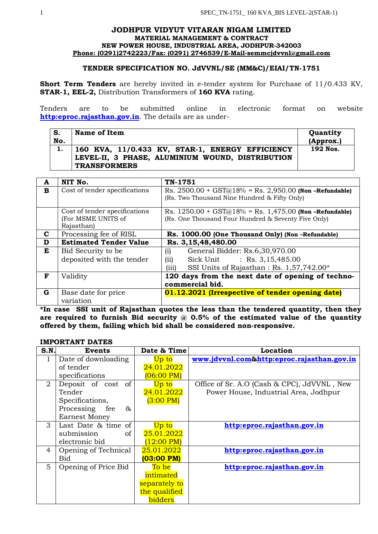### **JODHPUR VIDYUT VITARAN NIGAM LIMITED MATERIAL MANAGEMENT & CONTRACT NEW POWER HOUSE, INDUSTRIAL AREA, JODHPUR-342003 Phone: (0291)2742223/Fax: (0291) 2746539/E-Mail-semmcjdvvnl@gmail.com**

### **TENDER SPECIFICATION NO. JdVVNL/SE (MM&C)/EIAI/TN-1751**

**Short Term Tenders** are hereby invited in e-tender system for Purchase of 11/0.433 KV, **STAR-1, EEL-2,** Distribution Transformers of **160 KVA** rating.

Tenders are to be submitted online in electronic format on website **[http:eproc.rajasthan.gov.in](http://www.eproc.rajasthan.gov.in/nicgep/app)**. The details are as under-

| S.  | <b>Name of Item</b>                                                                                                        | Quantity  |
|-----|----------------------------------------------------------------------------------------------------------------------------|-----------|
| No. |                                                                                                                            | (Approx.) |
|     | 160 KVA, 11/0.433 KV, STAR-1, ENERGY EFFICIENCY<br>LEVEL-II, 3 PHASE, ALUMINIUM WOUND, DISTRIBUTION<br><b>TRANSFORMERS</b> | 192 Nos.  |

| A | NIT No.                                                           | TN-1751                                                                                                                                |  |
|---|-------------------------------------------------------------------|----------------------------------------------------------------------------------------------------------------------------------------|--|
| в | Cost of tender specifications                                     | Rs. $2500.00 + GST(a)18% = Rs. 2,950.00$ (Non-Refundable)<br>(Rs. Two Thousand Nine Hundred & Fifty Only)                              |  |
|   | Cost of tender specifications<br>(For MSME UNITS of<br>Rajasthan) | Rs. $1250.00 + GST(a)18% = Rs. 1,475.00$ (Non-Refundable)<br>(Rs. One Thousand Four Hundred & Seventy Five Only)                       |  |
| C | Processing fee of RISL                                            | Rs. 1000.00 (One Thousand Only) (Non-Refundable)                                                                                       |  |
| D | <b>Estimated Tender Value</b>                                     | Rs. 3,15,48,480.00                                                                                                                     |  |
| E | Bid Security to be<br>deposited with the tender                   | (i)<br>General Bidder: Rs.6,30,970.00<br>: Rs. $3,15,485.00$<br>Sick Unit<br>(ii)<br>(iii)<br>SSI Units of Rajasthan: Rs. 1,57,742.00* |  |
| F | Validity                                                          | 120 days from the next date of opening of techno-<br>commercial bid.                                                                   |  |
| G | Base date for price<br>variation                                  | 01.12.2021 (Irrespective of tender opening date)                                                                                       |  |

**\*In case SSI unit of Rajasthan quotes the less than the tendered quantity, then they are required to furnish Bid security @ 0.5% of the estimated value of the quantity offered by them, failing which bid shall be considered non-responsive.**

#### **IMPORTANT DATES**

| S.N.           | <b>Events</b>        | Date & Time          | Location                                    |
|----------------|----------------------|----------------------|---------------------------------------------|
| $\mathbf{1}$   | Date of downloading  | Up to                | www.jdvvnl.com&http:eproc.rajasthan.gov.in  |
|                | of tender            | 24.01.2022           |                                             |
|                | specifications       | $(06:00 \text{ PM})$ |                                             |
| $\overline{2}$ | Deposit of cost of   | Up to                | Office of Sr. A.O (Cash & CPC), JdVVNL, New |
|                | Tender               | 24.01.2022           | Power House, Industrial Area, Jodhpur       |
|                | Specifications,      | $(3:00 \text{ PM})$  |                                             |
|                | Processing fee<br>&  |                      |                                             |
|                | <b>Earnest Money</b> |                      |                                             |
| 3              | Last Date & time of  | Up to                | http:eproc.rajasthan.gov.in                 |
|                | of<br>submission     | 25.01.2022           |                                             |
|                | electronic bid       | $(12:00 \text{ PM})$ |                                             |
| 4              | Opening of Technical | 25.01.2022           | http:eproc.rajasthan.gov.in                 |
|                | Bid                  | (03:00 PM)           |                                             |
| 5              | Opening of Price Bid | To be                | http:eproc.rajasthan.gov.in                 |
|                |                      | intimated            |                                             |
|                |                      | separately to        |                                             |
|                |                      | the qualified        |                                             |
|                |                      | bidders              |                                             |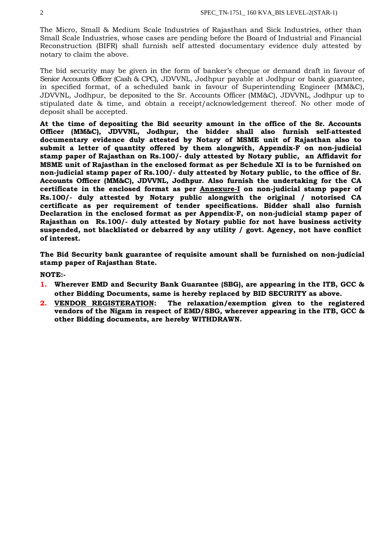The Micro, Small & Medium Scale Industries of Rajasthan and Sick Industries, other than Small Scale Industries, whose cases are pending before the Board of Industrial and Financial Reconstruction (BIFR) shall furnish self attested documentary evidence duly attested by notary to claim the above.

The bid security may be given in the form of banker's cheque or demand draft in favour of Senior Accounts Officer (Cash & CPC), JDVVNL, Jodhpur payable at Jodhpur or bank guarantee, in specified format, of a scheduled bank in favour of Superintending Engineer (MM&C), JDVVNL, Jodhpur, be deposited to the Sr. Accounts Officer (MM&C), JDVVNL, Jodhpur up to stipulated date & time, and obtain a receipt/acknowledgement thereof. No other mode of deposit shall be accepted.

**At the time of depositing the Bid security amount in the office of the Sr. Accounts Officer (MM&C), JDVVNL, Jodhpur, the bidder shall also furnish self-attested documentary evidence duly attested by Notary of MSME unit of Rajasthan also to submit a letter of quantity offered by them alongwith, Appendix-F on non-judicial stamp paper of Rajasthan on Rs.100/- duly attested by Notary public, an Affidavit for MSME unit of Rajasthan in the enclosed format as per Schedule XI is to be furnished on non-judicial stamp paper of Rs.100/- duly attested by Notary public, to the office of Sr. Accounts Officer (MM&C), JDVVNL, Jodhpur. Also furnish the undertaking for the CA certificate in the enclosed format as per Annexure-I on non-judicial stamp paper of Rs.100/- duly attested by Notary public alongwith the original / notorised CA certificate as per requirement of tender specifications. Bidder shall also furnish Declaration in the enclosed format as per Appendix-F, on non-judicial stamp paper of Rajasthan on Rs.100/- duly attested by Notary public for not have business activity suspended, not blacklisted or debarred by any utility / govt. Agency, not have conflict of interest.**

**The Bid Security bank guarantee of requisite amount shall be furnished on non-judicial stamp paper of Rajasthan State.**

### **NOTE:-**

- **1. Wherever EMD and Security Bank Guarantee (SBG), are appearing in the ITB, GCC & other Bidding Documents, same is hereby replaced by BID SECURITY as above.**
- **2. VENDOR REGISTERATION: The relaxation/exemption given to the registered vendors of the Nigam in respect of EMD/SBG, wherever appearing in the ITB, GCC & other Bidding documents, are hereby WITHDRAWN.**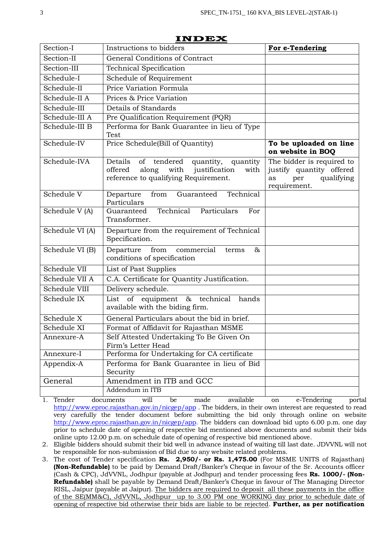|                 | іліса                                                                                                                                           |                                                                                                  |  |
|-----------------|-------------------------------------------------------------------------------------------------------------------------------------------------|--------------------------------------------------------------------------------------------------|--|
| Section-I       | Instructions to bidders                                                                                                                         | For e-Tendering                                                                                  |  |
| Section-II      | General Conditions of Contract                                                                                                                  |                                                                                                  |  |
| Section-III     | <b>Technical Specification</b>                                                                                                                  |                                                                                                  |  |
| Schedule-I      | Schedule of Requirement                                                                                                                         |                                                                                                  |  |
| Schedule-II     | Price Variation Formula                                                                                                                         |                                                                                                  |  |
| Schedule-II A   | Prices & Price Variation                                                                                                                        |                                                                                                  |  |
| Schedule-III    | Details of Standards                                                                                                                            |                                                                                                  |  |
| Schedule-III A  | Pre Qualification Requirement (PQR)                                                                                                             |                                                                                                  |  |
| Schedule-III B  | Performa for Bank Guarantee in lieu of Type<br>Test                                                                                             |                                                                                                  |  |
| Schedule-IV     | Price Schedule(Bill of Quantity)                                                                                                                | To be uploaded on line<br>on website in BOQ                                                      |  |
| Schedule-IVA    | Details<br>of<br>tendered<br>quantity,<br>quantity<br>offered<br>along<br>with<br>justification<br>with<br>reference to qualifying Requirement. | The bidder is required to<br>justify quantity offered<br>qualifying<br>as<br>per<br>requirement. |  |
| Schedule V      | Technical<br>Departure<br>from<br>Guaranteed<br>Particulars                                                                                     |                                                                                                  |  |
| Schedule V (A)  | Technical<br>Particulars<br>Guaranteed<br>For<br>Transformer.                                                                                   |                                                                                                  |  |
| Schedule VI (A) | Departure from the requirement of Technical<br>Specification.                                                                                   |                                                                                                  |  |
| Schedule VI (B) | from<br>commercial<br>$\&$<br>Departure<br>terms<br>conditions of specification                                                                 |                                                                                                  |  |
| Schedule VII    | List of Past Supplies                                                                                                                           |                                                                                                  |  |
| Schedule VII A  | C.A. Certificate for Quantity Justification.                                                                                                    |                                                                                                  |  |
| Schedule VIII   | Delivery schedule.                                                                                                                              |                                                                                                  |  |
| Schedule IX     | of<br>equipment<br>technical<br>hands<br>List<br>$\&$<br>available with the biding firm.                                                        |                                                                                                  |  |
| Schedule X      | General Particulars about the bid in brief.                                                                                                     |                                                                                                  |  |
| Schedule XI     | Format of Affidavit for Rajasthan MSME                                                                                                          |                                                                                                  |  |
| Annexure-A      | Self Attested Undertaking To Be Given On<br>Firm's Letter Head                                                                                  |                                                                                                  |  |
| Annexure-I      | Performa for Undertaking for CA certificate                                                                                                     |                                                                                                  |  |
| Appendix-A      | Performa for Bank Guarantee in lieu of Bid<br>Security                                                                                          |                                                                                                  |  |
| General         | Amendment in ITB and GCC                                                                                                                        |                                                                                                  |  |
|                 | Addendum in ITB                                                                                                                                 |                                                                                                  |  |

## **INDEX**

1. Tender documents will be made available on e-Tendering portal <http://www.eproc.rajasthan.gov.in/nicgep/app> . The bidders, in their own interest are requested to read very carefully the tender document before submitting the bid only through online on website [http://www.eproc.rajasthan.gov.in/nicgep/app.](http://www.eproc.rajasthan.gov.in/nicgep/app) The bidders can download bid upto 6.00 p.m. one day prior to schedule date of opening of respective bid mentioned above documents and submit their bids online upto 12.00 p.m. on schedule date of opening of respective bid mentioned above.

2. Eligible bidders should submit their bid well in advance instead of waiting till last date. JDVVNL will not be responsible for non-submission of Bid due to any website related problems.

3. The cost of Tender specification **Rs. 2,950/- or Rs. 1,475.00** (For MSME UNITS of Rajasthan) **(Non-Refundable)** to be paid by Demand Draft/Banker's Cheque in favour of the Sr. Accounts officer (Cash & CPC), JdVVNL, Jodhpur (payable at Jodhpur) and tender processing fees **Rs. 1000/- (Non-Refundable)** shall be payable by Demand Draft/Banker's Cheque in favour of The Managing Director RISL, Jaipur (payable at Jaipur). The bidders are required to deposit all these payments in the office of the SE(MM&C), JdVVNL, Jodhpur up to 3.00 PM one WORKING day prior to schedule date of opening of respective bid otherwise their bids are liable to be rejected. **Further, as per notification**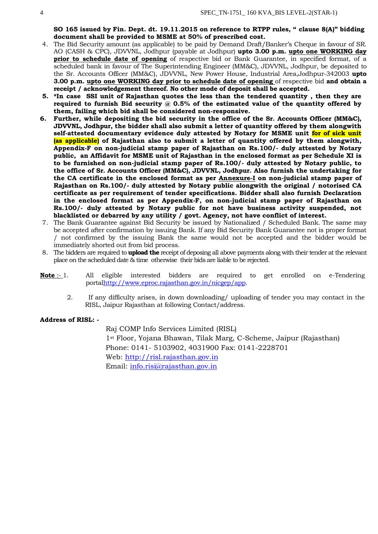**SO 165 issued by Fin. Dept. dt. 19.11.2015 on reference to RTPP rules, " clause 8(A)" bidding document shall be provided to MSME at 50% of prescribed cost.**

- 4. The Bid Security amount (as applicable) to be paid by Demand Draft/Banker's Cheque in favour of SR. AO (CASH & CPC), JDVVNL, Jodhpur (payable at Jodhpur) **upto 3.00 p.m. upto one WORKING day prior to schedule date of opening** of respective bid or Bank Guarantee, in specified format, of a scheduled bank in favour of The Superintending Engineer (MM&C), JDVVNL, Jodhpur, be deposited to the Sr. Accounts Officer (MM&C), JDVVNL, New Power House, Industrial Area,Jodhpur-342003 **upto 3.00 p.m. upto one WORKING day prior to schedule date of opening** of respective bid **and obtain a receipt / acknowledgement thereof. No other mode of deposit shall be accepted.**
- **5. \*In case SSI unit of Rajasthan quotes the less than the tendered quantity , then they are required to furnish Bid security @ 0.5% of the estimated value of the quantity offered by them, failing which bid shall be considered non-responsive.**
- **6. Further, while depositing the bid security in the office of the Sr. Accounts Officer (MM&C), JDVVNL, Jodhpur, the bidder shall also submit a letter of quantity offered by them alongwith self-attested documentary evidence duly attested by Notary for MSME unit for of sick unit (as applicable) of Rajasthan also to submit a letter of quantity offered by them alongwith, Appendix-F on non-judicial stamp paper of Rajasthan on Rs.100/- duly attested by Notary public, an Affidavit for MSME unit of Rajasthan in the enclosed format as per Schedule XI is to be furnished on non-judicial stamp paper of Rs.100/- duly attested by Notary public, to the office of Sr. Accounts Officer (MM&C), JDVVNL, Jodhpur. Also furnish the undertaking for the CA certificate in the enclosed format as per Annexure-I on non-judicial stamp paper of Rajasthan on Rs.100/- duly attested by Notary public alongwith the original / notorised CA certificate as per requirement of tender specifications. Bidder shall also furnish Declaration in the enclosed format as per Appendix-F, on non-judicial stamp paper of Rajasthan on Rs.100/- duly attested by Notary public for not have business activity suspended, not blacklisted or debarred by any utility / govt. Agency, not have conflict of interest.**
- 7. The Bank Guarantee against Bid Security be issued by Nationalized / Scheduled Bank. The same may be accepted after confirmation by issuing Bank. If any Bid Security Bank Guarantee not is proper format / not confirmed by the issuing Bank the same would not be accepted and the bidder would be immediately shorted out from bid process.
- 8. The bidders are required to **upload the** receipt of deposing all above payments along with their tender at the relevant place on the scheduled date & time otherwise their bids are liable to be rejected.
- **Note** :- 1. All eligible interested bidders are required to get enrolled on e-Tendering portal[http://www.eproc.rajasthan.gov.in/nicgep/app.](http://www.eproc.rajasthan.gov.in/nicgep/app)
	- 2. If any difficulty arises, in down downloading/ uploading of tender you may contact in the RISL, Jaipur Rajasthan at following Contact/address.

### **Address of RISL: -**

Raj COMP Info Services Limited (RISL) 1st Floor, Yojana Bhawan, Tilak Marg, C-Scheme, Jaipur (Rajasthan) Phone: 0141- 5103902, 4031900 Fax: 0141-2228701 Web: [http://risl.rajasthan.gov.in](http://risl.rajasthan.gov.in/) Email: [info.risi@rajasthan.gov.in](mailto:info.risi@rajasthan.gov.in)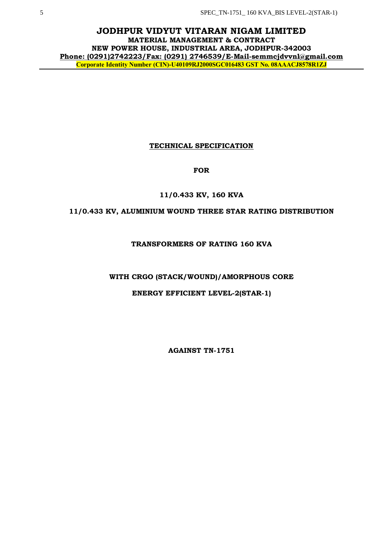**JODHPUR VIDYUT VITARAN NIGAM LIMITED MATERIAL MANAGEMENT & CONTRACT NEW POWER HOUSE, INDUSTRIAL AREA, JODHPUR-342003 Phone: (0291)2742223/Fax: (0291) 2746539/E-Mail-semmcjdvvnl@gmail.com Corporate Identity Number (CIN)-U40109RJ2000SGC016483 GST No. 08AAACJ8578R1ZJ**

## **TECHNICAL SPECIFICATION**

## **FOR**

## **11/0.433 KV, 160 KVA**

## **11/0.433 KV, ALUMINIUM WOUND THREE STAR RATING DISTRIBUTION**

## **TRANSFORMERS OF RATING 160 KVA**

### **WITH CRGO (STACK/WOUND)/AMORPHOUS CORE**

## **ENERGY EFFICIENT LEVEL-2(STAR-1)**

**AGAINST TN-1751**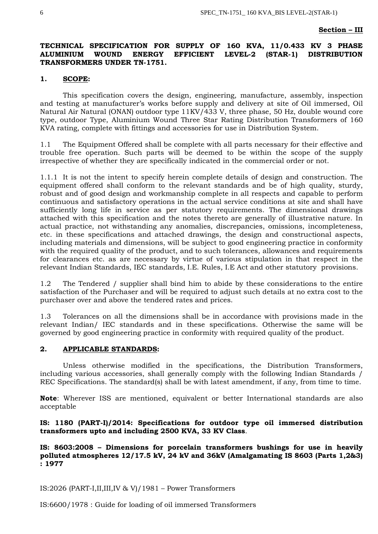### **Section – III**

### **TECHNICAL SPECIFICATION FOR SUPPLY OF 160 KVA, 11/0.433 KV 3 PHASE ALUMINIUM WOUND ENERGY EFFICIENT LEVEL-2 (STAR-1) DISTRIBUTION TRANSFORMERS UNDER TN-1751.**

### **1. SCOPE:**

This specification covers the design, engineering, manufacture, assembly, inspection and testing at manufacturer's works before supply and delivery at site of Oil immersed, Oil Natural Air Natural (ONAN) outdoor type 11KV/433 V, three phase, 50 Hz, double wound core type, outdoor Type, Aluminium Wound Three Star Rating Distribution Transformers of 160 KVA rating, complete with fittings and accessories for use in Distribution System.

1.1 The Equipment Offered shall be complete with all parts necessary for their effective and trouble free operation. Such parts will be deemed to be within the scope of the supply irrespective of whether they are specifically indicated in the commercial order or not.

1.1.1 It is not the intent to specify herein complete details of design and construction. The equipment offered shall conform to the relevant standards and be of high quality, sturdy, robust and of good design and workmanship complete in all respects and capable to perform continuous and satisfactory operations in the actual service conditions at site and shall have sufficiently long life in service as per statutory requirements. The dimensional drawings attached with this specification and the notes thereto are generally of illustrative nature. In actual practice, not withstanding any anomalies, discrepancies, omissions, incompleteness, etc. in these specifications and attached drawings, the design and constructional aspects, including materials and dimensions, will be subject to good engineering practice in conformity with the required quality of the product, and to such tolerances, allowances and requirements for clearances etc. as are necessary by virtue of various stipulation in that respect in the relevant Indian Standards, IEC standards, I.E. Rules, I.E Act and other statutory provisions.

1.2 The Tendered / supplier shall bind him to abide by these considerations to the entire satisfaction of the Purchaser and will be required to adjust such details at no extra cost to the purchaser over and above the tendered rates and prices.

1.3 Tolerances on all the dimensions shall be in accordance with provisions made in the relevant Indian/ IEC standards and in these specifications. Otherwise the same will be governed by good engineering practice in conformity with required quality of the product.

#### **2. APPLICABLE STANDARDS:**

Unless otherwise modified in the specifications, the Distribution Transformers, including various accessories, shall generally comply with the following Indian Standards / REC Specifications. The standard(s) shall be with latest amendment, if any, from time to time.

**Note**: Wherever ISS are mentioned, equivalent or better International standards are also acceptable

### **IS: 1180 (PART-I)/2014: Specifications for outdoor type oil immersed distribution transformers upto and including 2500 KVA, 33 KV Class**.

**IS: 8603:2008 – Dimensions for porcelain transformers bushings for use in heavily polluted atmospheres 12/17.5 kV, 24 kV and 36kV (Amalgamating IS 8603 (Parts 1,2&3) : 1977**

IS:2026 (PART-I,II,III,IV & V)/1981 – Power Transformers

IS:6600/1978 : Guide for loading of oil immersed Transformers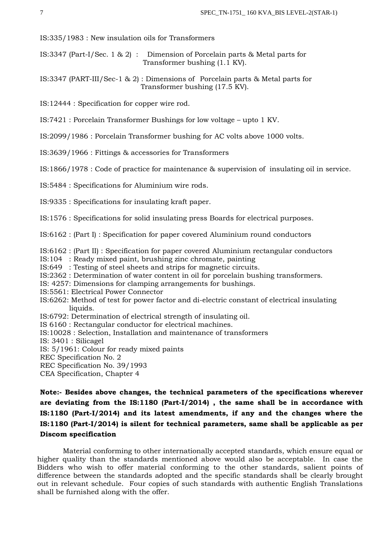IS:335/1983 : New insulation oils for Transformers

IS:3347 (Part-I/Sec. 1 & 2) : Dimension of Porcelain parts & Metal parts for Transformer bushing (1.1 KV).

IS:3347 (PART-III/Sec-1 & 2) : Dimensions of Porcelain parts & Metal parts for Transformer bushing (17.5 KV).

IS:12444 : Specification for copper wire rod.

IS:7421 : Porcelain Transformer Bushings for low voltage – upto 1 KV.

IS:2099/1986 : Porcelain Transformer bushing for AC volts above 1000 volts.

IS:3639/1966 : Fittings & accessories for Transformers

IS:1866/1978 : Code of practice for maintenance & supervision of insulating oil in service.

IS:5484 : Specifications for Aluminium wire rods.

IS:9335 : Specifications for insulating kraft paper.

IS:1576 : Specifications for solid insulating press Boards for electrical purposes.

IS:6162 : (Part I) : Specification for paper covered Aluminium round conductors

IS:6162 : (Part II) : Specification for paper covered Aluminium rectangular conductors

IS:104 : Ready mixed paint, brushing zinc chromate, painting

IS:649 : Testing of steel sheets and strips for magnetic circuits.

IS:2362 : Determination of water content in oil for porcelain bushing transformers.

IS: 4257: Dimensions for clamping arrangements for bushings.

IS:5561: Electrical Power Connector

IS:6262: Method of test for power factor and di-electric constant of electrical insulating liquids.

IS:6792: Determination of electrical strength of insulating oil.

IS 6160 : Rectangular conductor for electrical machines.

IS:10028 : Selection, Installation and maintenance of transformers

IS: 3401 : Silicagel

IS: 5/1961: Colour for ready mixed paints

REC Specification No. 2

REC Specification No. 39/1993

CEA Specification, Chapter 4

**Note:- Besides above changes, the technical parameters of the specifications wherever are deviating from the IS:1180 (Part-I/2014) , the same shall be in accordance with IS:1180 (Part-I/2014) and its latest amendments, if any and the changes where the IS:1180 (Part-I/2014) is silent for technical parameters, same shall be applicable as per Discom specification**

Material conforming to other internationally accepted standards, which ensure equal or higher quality than the standards mentioned above would also be acceptable. In case the Bidders who wish to offer material conforming to the other standards, salient points of difference between the standards adopted and the specific standards shall be clearly brought out in relevant schedule. Four copies of such standards with authentic English Translations shall be furnished along with the offer.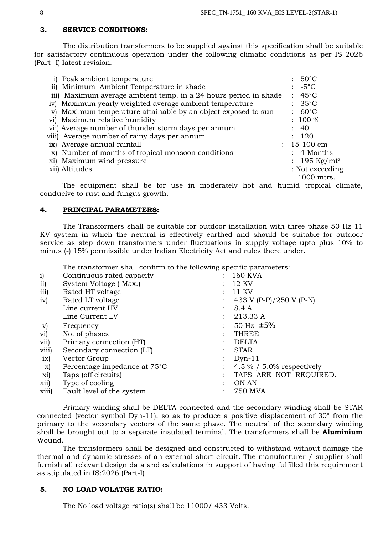## **3. SERVICE CONDITIONS:**

The distribution transformers to be supplied against this specification shall be suitable for satisfactory continuous operation under the following climatic conditions as per IS 2026 (Part- I) latest revision.

| i) Peak ambient temperature                                      | $: 50^{\circ}$ C         |
|------------------------------------------------------------------|--------------------------|
| ii) Minimum Ambient Temperature in shade                         | $\therefore -5^{\circ}C$ |
| iii) Maximum average ambient temp. in a 24 hours period in shade | $: 45^{\circ}$ C         |
| iv) Maximum yearly weighted average ambient temperature          | $: 35^{\circ}$ C         |
| Maximum temperature attainable by an object exposed to sun<br>V) | $: 60^{\circ}$ C         |
| vi) Maximum relative humidity                                    | $: 100 \%$               |
| vii) Average number of thunder storm days per annum              | : 40                     |
| viii) Average number of rainy days per annum                     | : 120                    |
| ix) Average annual rainfall                                      | $: 15-100$ cm            |
| x) Number of months of tropical monsoon conditions               | $: 4$ Months             |
| xi) Maximum wind pressure                                        | : 195 Kg/mt <sup>2</sup> |
| xii) Altitudes                                                   | : Not exceeding          |
|                                                                  | 1000 mtrs.               |

 The equipment shall be for use in moderately hot and humid tropical climate, conducive to rust and fungus growth.

### **4. PRINCIPAL PARAMETERS:**

The Transformers shall be suitable for outdoor installation with three phase 50 Hz 11 KV system in which the neutral is effectively earthed and should be suitable for outdoor service as step down transformers under fluctuations in supply voltage upto plus 10% to minus (-) 15% permissible under Indian Electricity Act and rules there under.

The transformer shall confirm to the following specific parameters:

| $\mathbf{i}$ | Continuous rated capacity                 |                | 160 KVA                     |
|--------------|-------------------------------------------|----------------|-----------------------------|
| ii)          | System Voltage (Max.)                     |                | 12 KV                       |
| iii)         | Rated HT voltage                          |                | 11 KV                       |
| iv)          | Rated LT voltage                          |                | 433 V (P-P)/250 V (P-N)     |
|              | Line current HV                           |                | 8.4 A                       |
|              | Line Current LV                           |                | 213.33 A                    |
| $\rm v)$     | Frequency                                 |                | 50 Hz $\pm 5\%$             |
| vi)          | No. of phases                             |                | <b>THREE</b>                |
| vii)         | Primary connection (HT)                   |                | <b>DELTA</b>                |
| viii)        | Secondary connection (LT)                 |                | <b>STAR</b>                 |
| ix)          | Vector Group                              |                | $Dyn-11$                    |
| X)           | Percentage impedance at 75 <sup>°</sup> C | $\ddot{\cdot}$ | 4.5 % $/$ 5.0% respectively |
| xi)          | Taps (off circuits)                       | $\ddot{\cdot}$ | TAPS ARE NOT REQUIRED.      |
| xii)         | Type of cooling                           |                | ON AN                       |
| xiii)        | Fault level of the system                 |                | <b>750 MVA</b>              |
|              |                                           |                |                             |

Primary winding shall be DELTA connected and the secondary winding shall be STAR connected (vector symbol Dyn-11), so as to produce a positive displacement of 30° from the primary to the secondary vectors of the same phase. The neutral of the secondary winding shall be brought out to a separate insulated terminal. The transformers shall be **Aluminium**  Wound.

The transformers shall be designed and constructed to withstand without damage the thermal and dynamic stresses of an external short circuit. The manufacturer / supplier shall furnish all relevant design data and calculations in support of having fulfilled this requirement as stipulated in IS:2026 (Part-I)

### **5. NO LOAD VOLATGE RATIO:**

The No load voltage ratio(s) shall be 11000/ 433 Volts.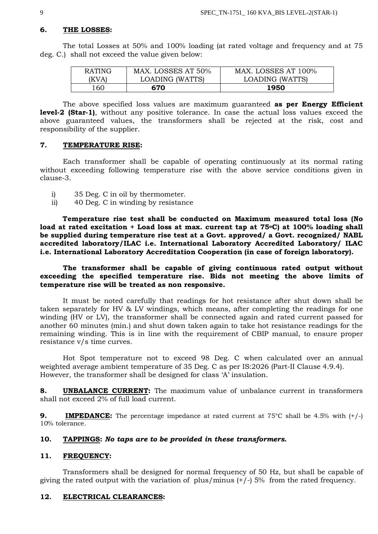### **6. THE LOSSES:**

The total Losses at 50% and 100% loading (at rated voltage and frequency and at 75 deg. C.) shall not exceed the value given below:

| <b>RATING</b> | MAX. LOSSES AT 50% | MAX. LOSSES AT 100% |
|---------------|--------------------|---------------------|
| (KVA)         | LOADING (WATTS)    | LOADING (WATTS)     |
| 160           | 670                | 1950                |

The above specified loss values are maximum guaranteed **as per Energy Efficient level-2 (Star-1)**, without any positive tolerance. In case the actual loss values exceed the above guaranteed values, the transformers shall be rejected at the risk, cost and responsibility of the supplier.

### **7. TEMPERATURE RISE:**

Each transformer shall be capable of operating continuously at its normal rating without exceeding following temperature rise with the above service conditions given in clause-3.

- i) 35 Deg. C in oil by thermometer.
- ii) 40 Deg. C in winding by resistance

**Temperature rise test shall be conducted on Maximum measured total loss (No load at rated excitation + Load loss at max. current tap at 75oC) at 100% loading shall be supplied during temperature rise test at a Govt. approved/ a Govt. recognized/ NABL accredited laboratory/ILAC i.e. International Laboratory Accredited Laboratory/ ILAC i.e. International Laboratory Accreditation Cooperation (in case of foreign laboratory).**

### **The transformer shall be capable of giving continuous rated output without exceeding the specified temperature rise. Bids not meeting the above limits of temperature rise will be treated as non responsive.**

It must be noted carefully that readings for hot resistance after shut down shall be taken separately for HV & LV windings, which means, after completing the readings for one winding (HV or LV), the transformer shall be connected again and rated current passed for another 60 minutes (min.) and shut down taken again to take hot resistance readings for the remaining winding. This is in line with the requirement of CBIP manual, to ensure proper resistance v/s time curves.

Hot Spot temperature not to exceed 98 Deg. C when calculated over an annual weighted average ambient temperature of 35 Deg. C as per IS:2026 (Part-II Clause 4.9.4). However, the transformer shall be designed for class 'A' insulation.

**8. UNBALANCE CURRENT:** The maximum value of unbalance current in transformers shall not exceed 2% of full load current.

**9.** IMPEDANCE: The percentage impedance at rated current at 75<sup>o</sup>C shall be 4.5% with  $(+/-)$ 10% tolerance.

### **10. TAPPINGS:** *No taps are to be provided in these transformers.*

### **11. FREQUENCY:**

Transformers shall be designed for normal frequency of 50 Hz, but shall be capable of giving the rated output with the variation of plus/minus  $(+/-)$  5% from the rated frequency.

## **12. ELECTRICAL CLEARANCES:**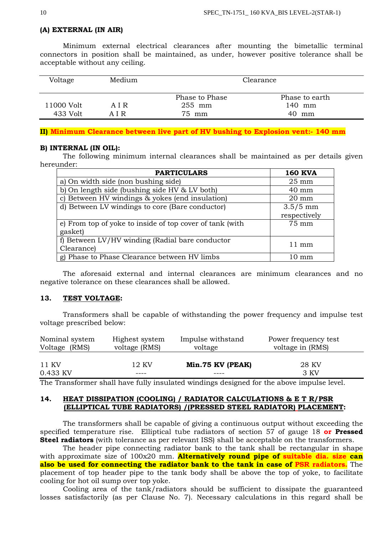### **(A) EXTERNAL (IN AIR)**

Minimum external electrical clearances after mounting the bimetallic terminal connectors in position shall be maintained, as under, however positive tolerance shall be acceptable without any ceiling.

| Voltage                | Medium         | Clearance                         |                                   |
|------------------------|----------------|-----------------------------------|-----------------------------------|
| 11000 Volt<br>433 Volt | A I R<br>A I R | Phase to Phase<br>255 mm<br>75 mm | Phase to earth<br>140 mm<br>40 mm |

#### **II) Minimum Clearance between live part of HV bushing to Explosion vent:- 140 mm**

#### **B) INTERNAL (IN OIL):**

The following minimum internal clearances shall be maintained as per details given hereunder:

| <b>PARTICULARS</b>                                       | <b>160 KVA</b>  |
|----------------------------------------------------------|-----------------|
| a) On width side (non bushing side)                      | $25 \text{ mm}$ |
| b) On length side (bushing side HV & LV both)            | $40 \text{ mm}$ |
| c) Between HV windings & yokes (end insulation)          | $20 \text{ mm}$ |
| d) Between LV windings to core (Bare conductor)          | $3.5/5$ mm      |
|                                                          | respectively    |
| e) From top of yoke to inside of top cover of tank (with | 75 mm           |
| gasket)                                                  |                 |
| f) Between LV/HV winding (Radial bare conductor          | $11 \text{ mm}$ |
| Clearance)                                               |                 |
| g) Phase to Phase Clearance between HV limbs             | mm              |

The aforesaid external and internal clearances are minimum clearances and no negative tolerance on these clearances shall be allowed.

### **13. TEST VOLTAGE:**

Transformers shall be capable of withstanding the power frequency and impulse test voltage prescribed below:

| Nominal system | Highest system | Impulse withstand | Power frequency test |
|----------------|----------------|-------------------|----------------------|
| Voltage (RMS)  | voltage (RMS)  | voltage           | voltage in (RMS)     |
|                |                |                   |                      |
| 11 KV          | 12 KV          | Min.75 KV (PEAK)  | 28 KV                |
| 0.433 KV       |                |                   | 3 KV                 |

The Transformer shall have fully insulated windings designed for the above impulse level.

### **14. HEAT DISSIPATION (COOLING) / RADIATOR CALCULATIONS & E T R/PSR (ELLIPTICAL TUBE RADIATORS) /(PRESSED STEEL RADIATOR) PLACEMENT:**

The transformers shall be capable of giving a continuous output without exceeding the specified temperature rise. Elliptical tube radiators of section 57 of gauge 18 **or Pressed Steel radiators** (with tolerance as per relevant ISS) shall be acceptable on the transformers.

The header pipe connecting radiator bank to the tank shall be rectangular in shape with approximate size of 100x20 mm. **Alternatively round pipe of suitable dia. size can also be used for connecting the radiator bank to the tank in case of PSR radiators.** The placement of top header pipe to the tank body shall be above the top of yoke, to facilitate cooling for hot oil sump over top yoke.

Cooling area of the tank/radiators should be sufficient to dissipate the guaranteed losses satisfactorily (as per Clause No. 7). Necessary calculations in this regard shall be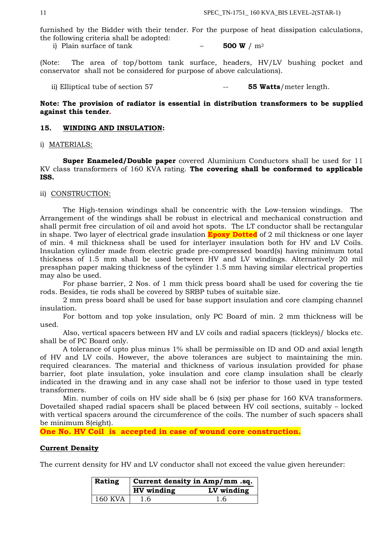furnished by the Bidder with their tender. For the purpose of heat dissipation calculations, the following criteria shall be adopted:

i) Plain surface of tank  $-$  **500 W**  $/m^2$ 

(Note: The area of top/bottom tank surface, headers, HV/LV bushing pocket and conservator shall not be considered for purpose of above calculations).

ii) Elliptical tube of section 57  $-$  **55 Watts**/meter length.

### **Note: The provision of radiator is essential in distribution transformers to be supplied against this tender.**

### **15. WINDING AND INSULATION:**

i) MATERIALS:

**Super Enameled/Double paper** covered Aluminium Conductors shall be used for 11 KV class transformers of 160 KVA rating. **The covering shall be conformed to applicable ISS.**

### ii) CONSTRUCTION:

The High-tension windings shall be concentric with the Low-tension windings. The Arrangement of the windings shall be robust in electrical and mechanical construction and shall permit free circulation of oil and avoid hot spots. The LT conductor shall be rectangular in shape. Two layer of electrical grade insulation **Epoxy Dotted** of 2 mil thickness or one layer of min. 4 mil thickness shall be used for interlayer insulation both for HV and LV Coils. Insulation cylinder made from electric grade pre-compressed board(s) having minimum total thickness of 1.5 mm shall be used between HV and LV windings. Alternatively 20 mil pressphan paper making thickness of the cylinder 1.5 mm having similar electrical properties may also be used.

For phase barrier, 2 Nos. of 1 mm thick press board shall be used for covering the tie rods. Besides, tie rods shall be covered by SRBP tubes of suitable size.

2 mm press board shall be used for base support insulation and core clamping channel insulation.

For bottom and top yoke insulation, only PC Board of min. 2 mm thickness will be used.

Also, vertical spacers between HV and LV coils and radial spacers (tickleys)/ blocks etc. shall be of PC Board only.

A tolerance of upto plus minus 1% shall be permissible on ID and OD and axial length of HV and LV coils. However, the above tolerances are subject to maintaining the min. required clearances. The material and thickness of various insulation provided for phase barrier, foot plate insulation, yoke insulation and core clamp insulation shall be clearly indicated in the drawing and in any case shall not be inferior to those used in type tested transformers.

Min. number of coils on HV side shall be 6 (six) per phase for 160 KVA transformers. Dovetailed shaped radial spacers shall be placed between HV coil sections, suitably – locked with vertical spacers around the circumference of the coils. The number of such spacers shall be minimum 8(eight).

**One No. HV Coil is accepted in case of wound core construction.**

### **Current Density**

The current density for HV and LV conductor shall not exceed the value given hereunder:

| Rating  | Current density in Amp/mm .sq. |            |
|---------|--------------------------------|------------|
|         | HV winding                     | LV winding |
| 160 KVA | 1.6                            | 1.6        |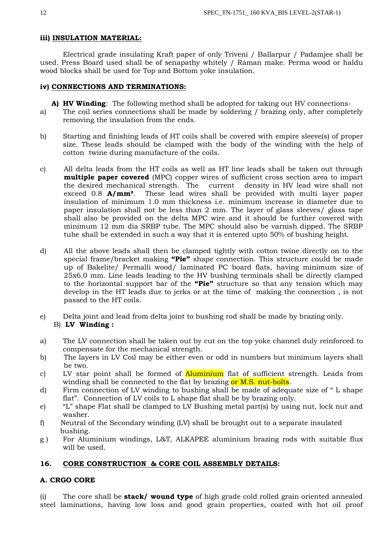## **iii) INSULATION MATERIAL:**

Electrical grade insulating Kraft paper of only Triveni / Ballarpur / Padamjee shall be used. Press Board used shall be of senapathy whitely / Raman make. Perma wood or haldu wood blocks shall be used for Top and Bottom yoke insulation.

## **iv) CONNECTIONS AND TERMINATIONS:**

- **A) HV Winding**: The following method shall be adopted for taking out HV connections-
- a) The coil series connections shall be made by soldering / brazing only, after completely removing the insulation from the ends.
- b) Starting and finishing leads of HT coils shall be covered with empire sleeve(s) of proper size. These leads should be clamped with the body of the winding with the help of cotton twine during manufacture of the coils.
- c) All delta leads from the HT coils as well as HT line leads shall be taken out through **multiple paper covered** (MPC) copper wires of sufficient cross section area to impart the desired mechanical strength. The current density in HV lead wire shall not exceed 0.8 **A/mm²**. These lead wires shall be provided with multi layer paper insulation of minimum 1.0 mm thickness i.e. minimum increase in diameter due to paper insulation shall not be less than 2 mm. The layer of glass sleeves/ glass tape shall also be provided on the delta MPC wire and it should be further covered with minimum 12 mm dia SRBP tube. The MPC should also be varnish dipped. The SRBP tube shall be extended in such a way that it is entered upto 50% of bushing height.
- d) All the above leads shall then be clamped tightly with cotton twine directly on to the special frame/bracket making **"Pie"** shape connection. This structure could be made up of Bakelite/ Permalli wood/ laminated PC board flats, having minimum size of 25x6.0 mm. Line leads leading to the HV bushing terminals shall be directly clamped to the horizontal support bar of the **"Pie"** structure so that any tension which may develop in the HT leads due to jerks or at the time of making the connection , is not passed to the HT coils.
- e) Delta joint and lead from delta joint to bushing rod shall be made by brazing only.

## B) **LV Winding :**

- a) The LV connection shall be taken out by cut on the top yoke channel duly reinforced to compensate for the mechanical strength.
- b) The layers in LV Coil may be either even or odd in numbers but minimum layers shall be two.
- c) LV star point shall be formed of **Aluminium** flat of sufficient strength. Leads from winding shall be connected to the flat by brazing or M.S. nut-bolts.
- d) Firm connection of LV winding to bushing shall be made of adequate size of " L shape flat". Connection of LV coils to L shape flat shall be by brazing only.
- e) "L" shape Flat shall be clamped to LV Bushing metal part(s) by using nut, lock nut and washer.
- f) Neutral of the Secondary winding (LV) shall be brought out to a separate insulated bushing.
- g ) For Aluminium windings, L&T, ALKAPEE aluminium brazing rods with suitable flux will be used.

## **16. CORE CONSTRUCTION & CORE COIL ASSEMBLY DETAILS:**

## **A. CRGO CORE**

(i) The core shall be **stack/ wound type** of high grade cold rolled grain oriented annealed steel laminations, having low loss and good grain properties, coated with hot oil proof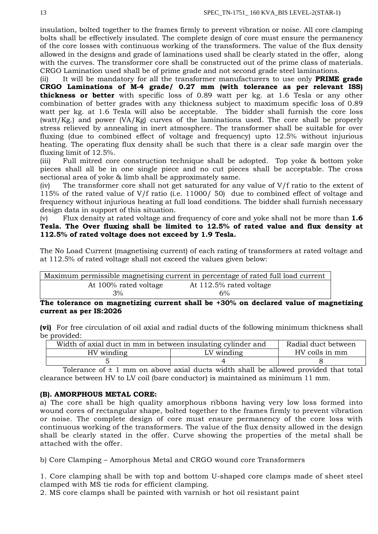insulation, bolted together to the frames firmly to prevent vibration or noise. All core clamping bolts shall be effectively insulated. The complete design of core must ensure the permanency of the core losses with continuous working of the transformers. The value of the flux density allowed in the designs and grade of laminations used shall be clearly stated in the offer, along with the curves. The transformer core shall be constructed out of the prime class of materials. CRGO Lamination used shall be of prime grade and not second grade steel laminations.

(ii) It will be mandatory for all the transformer manufacturers to use only **PRIME grade CRGO Laminations of M-4 grade/ 0.27 mm (with tolerance as per relevant ISS) thickness or better** with specific loss of 0.89 watt per kg. at 1.6 Tesla or any other combination of better grades with any thickness subject to maximum specific loss of 0.89 watt per kg. at 1.6 Tesla will also be acceptable. The bidder shall furnish the core loss (watt/Kg.) and power (VA/Kg) curves of the laminations used. The core shall be properly stress relieved by annealing in inert atmosphere. The transformer shall be suitable for over fluxing (due to combined effect of voltage and frequency) upto 12.5% without injurious heating. The operating flux density shall be such that there is a clear safe margin over the fluxing limit of 12.5%.

(iii) Full mitred core construction technique shall be adopted. Top yoke & bottom yoke pieces shall all be in one single piece and no cut pieces shall be acceptable. The cross sectional area of yoke & limb shall be approximately same.

(iv) The transformer core shall not get saturated for any value of V/f ratio to the extent of 115% of the rated value of V/f ratio (i.e. 11000/ 50) due to combined effect of voltage and frequency without injurious heating at full load conditions. The bidder shall furnish necessary design data in support of this situation.

## (v) Flux density at rated voltage and frequency of core and yoke shall not be more than **1.6 Tesla. The Over fluxing shall be limited to 12.5% of rated value and flux density at 112.5% of rated voltage does not exceed by 1.9 Tesla.**

The No Load Current (magnetising current) of each rating of transformers at rated voltage and at 112.5% of rated voltage shall not exceed the values given below:

|                       | Maximum permissible magnetising current in percentage of rated full load current |
|-----------------------|----------------------------------------------------------------------------------|
| At 100% rated voltage | At 112.5% rated voltage                                                          |
| 3%                    | 6%                                                                               |

### **The tolerance on magnetizing current shall be +30% on declared value of magnetizing current as per IS:2026**

**(vi)** For free circulation of oil axial and radial ducts of the following minimum thickness shall be provided:

| Width of axial duct in mm in between insulating cylinder and | Radial duct between |  |
|--------------------------------------------------------------|---------------------|--|
| HV winding                                                   | HV coils in mm      |  |
|                                                              |                     |  |

Tolerance of  $\pm$  1 mm on above axial ducts width shall be allowed provided that total clearance between HV to LV coil (bare conductor) is maintained as minimum 11 mm.

## **(B). AMORPHOUS METAL CORE:**

a) The core shall be high quality amorphous ribbons having very low loss formed into wound cores of rectangular shape, bolted together to the frames firmly to prevent vibration or noise. The complete design of core must ensure permanency of the core loss with continuous working of the transformers. The value of the flux density allowed in the design shall be clearly stated in the offer. Curve showing the properties of the metal shall be attached with the offer.

b) Core Clamping – Amorphous Metal and CRGO wound core Transformers

1. Core clamping shall be with top and bottom U-shaped core clamps made of sheet steel clamped with MS tie rods for efficient clamping.

2. MS core clamps shall be painted with varnish or hot oil resistant paint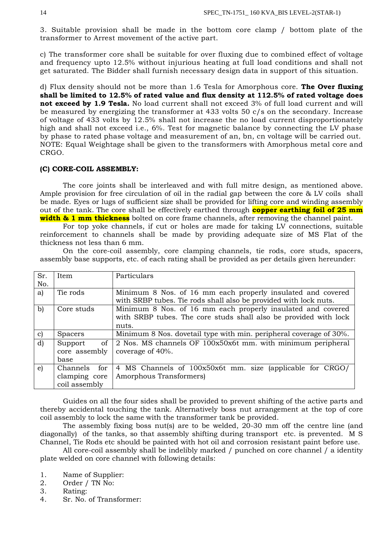3. Suitable provision shall be made in the bottom core clamp / bottom plate of the transformer to Arrest movement of the active part.

c) The transformer core shall be suitable for over fluxing due to combined effect of voltage and frequency upto 12.5% without injurious heating at full load conditions and shall not get saturated. The Bidder shall furnish necessary design data in support of this situation.

d) Flux density should not be more than 1.6 Tesla for Amorphous core. **The Over fluxing shall be limited to 12.5% of rated value and flux density at 112.5% of rated voltage does not exceed by 1.9 Tesla.** No load current shall not exceed 3% of full load current and will be measured by energizing the transformer at 433 volts 50 c/s on the secondary. Increase of voltage of 433 volts by 12.5% shall not increase the no load current disproportionately high and shall not exceed i.e., 6%. Test for magnetic balance by connecting the LV phase by phase to rated phase voltage and measurement of an, bn, cn voltage will be carried out. NOTE: Equal Weightage shall be given to the transformers with Amorphous metal core and CRGO.

#### **(C) CORE-COIL ASSEMBLY:**

The core joints shall be interleaved and with full mitre design, as mentioned above. Ample provision for free circulation of oil in the radial gap between the core & LV coils shall be made. Eyes or lugs of sufficient size shall be provided for lifting core and winding assembly out of the tank. The core shall be effectively earthed through **copper earthing foil of 25 mm width & 1 mm thickness** bolted on core frame channels, after removing the channel paint.

For top yoke channels, if cut or holes are made for taking LV connections, suitable reinforcement to channels shall be made by providing adequate size of MS Flat of the thickness not less than 6 mm.

On the core-coil assembly, core clamping channels, tie rods, core studs, spacers, assembly base supports, etc. of each rating shall be provided as per details given hereunder:

| Sr.           | Item            | Particulars                                                        |
|---------------|-----------------|--------------------------------------------------------------------|
| No.           |                 |                                                                    |
| a)            | Tie rods        | Minimum 8 Nos. of 16 mm each properly insulated and covered        |
|               |                 | with SRBP tubes. Tie rods shall also be provided with lock nuts.   |
| b)            | Core studs      | Minimum 8 Nos. of 16 mm each properly insulated and covered        |
|               |                 | with SRBP tubes. The core studs shall also be provided with lock   |
|               |                 | nuts.                                                              |
| $\mathbf{c})$ | <b>Spacers</b>  | Minimum 8 Nos. dovetail type with min. peripheral coverage of 30%. |
| $\mathbf{d}$  | οf<br>Support   | 2 Nos. MS channels OF 100x50x6t mm. with minimum peripheral        |
|               | core assembly   | coverage of 40%.                                                   |
|               | base            |                                                                    |
| $\epsilon$    | for<br>Channels | 4 MS Channels of 100x50x6t mm. size (applicable for CRGO/          |
|               | clamping core   | Amorphous Transformers)                                            |
|               | coil assembly   |                                                                    |

Guides on all the four sides shall be provided to prevent shifting of the active parts and thereby accidental touching the tank. Alternatively boss nut arrangement at the top of core coil assembly to lock the same with the transformer tank be provided.

The assembly fixing boss nut(s) are to be welded, 20-30 mm off the centre line (and diagonally) of the tanks, so that assembly shifting during transport etc. is prevented. M S Channel, Tie Rods etc should be painted with hot oil and corrosion resistant paint before use.

All core-coil assembly shall be indelibly marked / punched on core channel / a identity plate welded on core channel with following details:

1. Name of Supplier:

2. Order / TN No:

3. Rating:

4. Sr. No. of Transformer: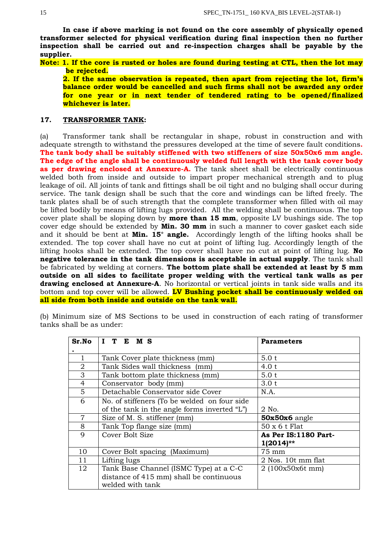**In case if above marking is not found on the core assembly of physically opened transformer selected for physical verification during final inspection then no further inspection shall be carried out and re-inspection charges shall be payable by the supplier.** 

**Note: 1. If the core is rusted or holes are found during testing at CTL, then the lot may be rejected.**

**2. If the same observation is repeated, then apart from rejecting the lot, firm's balance order would be cancelled and such firms shall not be awarded any order for one year or in next tender of tendered rating to be opened/finalized whichever is later.**

### **17. TRANSFORMER TANK:**

(a) Transformer tank shall be rectangular in shape, robust in construction and with adequate strength to withstand the pressures developed at the time of severe fault conditions**. The tank body shall be suitably stiffened with two stiffeners of size 50x50x6 mm angle. The edge of the angle shall be continuously welded full length with the tank cover body**  as per drawing enclosed at Annexure-A. The tank sheet shall be electrically continuous welded both from inside and outside to impart proper mechanical strength and to plug leakage of oil. All joints of tank and fittings shall be oil tight and no bulging shall occur during service. The tank design shall be such that the core and windings can be lifted freely. The tank plates shall be of such strength that the complete transformer when filled with oil may be lifted bodily by means of lifting lugs provided. All the welding shall be continuous. The top cover plate shall be sloping down by **more than 15 mm**, opposite LV bushings side. The top cover edge should be extended by **Min. 30 mm** in such a manner to cover gasket each side and it should be bent at **Min. 15° angle.** Accordingly length of the lifting hooks shall be extended. The top cover shall have no cut at point of lifting lug. Accordingly length of the lifting hooks shall be extended. The top cover shall have no cut at point of lifting lug. **No negative tolerance in the tank dimensions is acceptable in actual supply**. The tank shall be fabricated by welding at corners. **The bottom plate shall be extended at least by 5 mm outside on all sides to facilitate proper welding with the vertical tank walls as per drawing enclosed at Annexure-A**. No horizontal or vertical joints in tank side walls and its bottom and top cover will be allowed. **LV Bushing pocket shall be continuously welded on all side from both inside and outside on the tank wall.**

(b) Minimum size of MS Sections to be used in construction of each rating of transformer tanks shall be as under:

| Sr.No          | I T E M S                                    | <b>Parameters</b>    |
|----------------|----------------------------------------------|----------------------|
|                |                                              |                      |
| 1              | Tank Cover plate thickness (mm)              | 5.0 t                |
| $\overline{2}$ | Tank Sides wall thickness (mm)               | 4.0 t                |
| 3              | Tank bottom plate thickness (mm)             | 5.0 t                |
| $\overline{4}$ | Conservator body (mm)                        | 3.0 t                |
| 5              | Detachable Conservator side Cover            | N.A.                 |
| 6              | No. of stiffeners (To be welded on four side |                      |
|                | of the tank in the angle forms inverted "L") | 2 No.                |
| $\overline{7}$ | Size of M. S. stiffener (mm)                 | 50x50x6 angle        |
| 8              | Tank Top flange size (mm)                    | 50 x 6 t Flat        |
| 9              | Cover Bolt Size                              | As Per IS:1180 Part- |
|                |                                              | $1(2014)$ **         |
| 10             | Cover Bolt spacing (Maximum)                 | 75 mm                |
| 11             | Lifting lugs                                 | 2 Nos. 10t mm flat   |
| 12             | Tank Base Channel (ISMC Type) at a C-C       | 2 (100x50x6t mm)     |
|                | distance of 415 mm) shall be continuous      |                      |
|                | welded with tank                             |                      |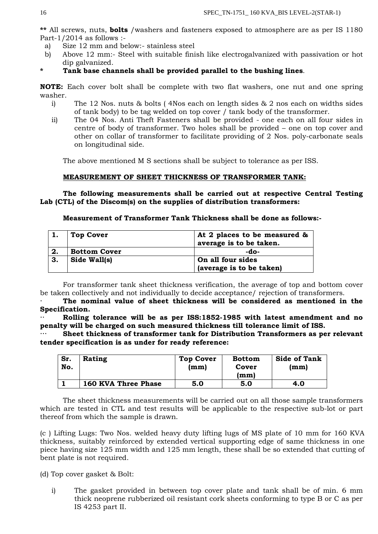**\*\*** All screws, nuts, **bolts** /washers and fasteners exposed to atmosphere are as per IS 1180 Part-1/2014 as follows :-

- a) Size 12 mm and below:- stainless steel
- b) Above 12 mm:- Steel with suitable finish like electrogalvanized with passivation or hot dip galvanized.

### **\* Tank base channels shall be provided parallel to the bushing lines**.

**NOTE:** Each cover bolt shall be complete with two flat washers, one nut and one spring washer.

- i) The 12 Nos. nuts & bolts ( 4Nos each on length sides & 2 nos each on widths sides of tank body) to be tag welded on top cover / tank body of the transformer.
- ii) The 04 Nos. Anti Theft Fasteners shall be provided one each on all four sides in centre of body of transformer. Two holes shall be provided – one on top cover and other on collar of transformer to facilitate providing of 2 Nos. poly-carbonate seals on longitudinal side.

The above mentioned M S sections shall be subject to tolerance as per ISS.

## **MEASUREMENT OF SHEET THICKNESS OF TRANSFORMER TANK:**

**The following measurements shall be carried out at respective Central Testing Lab (CTL) of the Discom(s) on the supplies of distribution transformers:** 

**Measurement of Transformer Tank Thickness shall be done as follows:-**

|    | <b>Top Cover</b>    | At 2 places to be measured &<br>average is to be taken. |
|----|---------------------|---------------------------------------------------------|
| 2. | <b>Bottom Cover</b> | -do-                                                    |
| 3. | Side Wall(s)        | On all four sides                                       |
|    |                     | (average is to be taken)                                |

For transformer tank sheet thickness verification, the average of top and bottom cover be taken collectively and not individually to decide acceptance/ rejection of transformers.

**· The nominal value of sheet thickness will be considered as mentioned in the Specification.** 

Rolling tolerance will be as per ISS:1852-1985 with latest amendment and no **penalty will be charged on such measured thickness till tolerance limit of ISS.**

**Sheet thickness of transformer tank for Distribution Transformers as per relevant tender specification is as under for ready reference:**

| Sr.<br>No. | Rating                     | <b>Top Cover</b><br>(mm) | <b>Bottom</b><br>Cover<br>(mm) | <b>Side of Tank</b><br>(mm) |
|------------|----------------------------|--------------------------|--------------------------------|-----------------------------|
|            | <b>160 KVA Three Phase</b> | 5.0                      | 5.0                            | 4.0                         |

The sheet thickness measurements will be carried out on all those sample transformers which are tested in CTL and test results will be applicable to the respective sub-lot or part thereof from which the sample is drawn.

(c ) Lifting Lugs: Two Nos. welded heavy duty lifting lugs of MS plate of 10 mm for 160 KVA thickness, suitably reinforced by extended vertical supporting edge of same thickness in one piece having size 125 mm width and 125 mm length, these shall be so extended that cutting of bent plate is not required.

(d) Top cover gasket & Bolt:

i) The gasket provided in between top cover plate and tank shall be of min. 6 mm thick neoprene rubberized oil resistant cork sheets conforming to type B or C as per IS 4253 part II.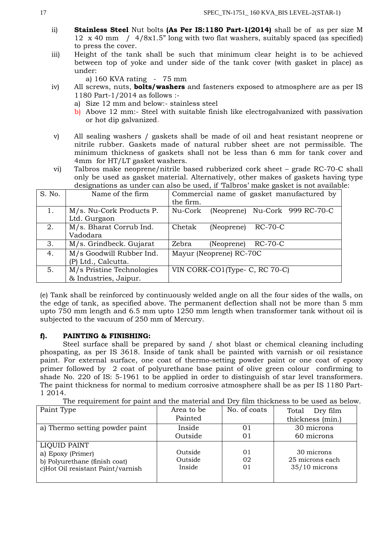- ii) **Stainless Steel** Nut bolts **(As Per IS:1180 Part-1(2014)** shall be of as per size M 12 x 40 mm / 4/8x1.5" long with two flat washers, suitably spaced (as specified) to press the cover.
- iii) Height of the tank shall be such that minimum clear height is to be achieved between top of yoke and under side of the tank cover (with gasket in place) as under:
	- a) 160 KVA rating 75 mm
- iv) All screws, nuts, **bolts/washers** and fasteners exposed to atmosphere are as per IS 1180 Part-1/2014 as follows :
	- a) Size 12 mm and below:- stainless steel
	- b) Above 12 mm:- Steel with suitable finish like electrogalvanized with passivation or hot dip galvanized.
- v) All sealing washers / gaskets shall be made of oil and heat resistant neoprene or nitrile rubber. Gaskets made of natural rubber sheet are not permissible. The minimum thickness of gaskets shall not be less than 6 mm for tank cover and 4mm for HT/LT gasket washers.
- vi) Talbros make neoprene/nitrile based rubberized cork sheet grade RC-70-C shall only be used as gasket material. Alternatively, other makes of gaskets having type designations as under can also be used, if 'Talbros' make gasket is not available:

| S. No. | Name of the firm          | Commercial name of gasket manufactured by |  |  |  |
|--------|---------------------------|-------------------------------------------|--|--|--|
|        |                           | the firm.                                 |  |  |  |
| 1.     | M/s. Nu-Cork Products P.  | (Neoprene) Nu-Cork 999 RC-70-C<br>Nu-Cork |  |  |  |
|        | Ltd. Gurgaon              |                                           |  |  |  |
| 2.     | M/s. Bharat Corrub Ind.   | Chetak<br>$RC-70-C$<br>(Neoprene)         |  |  |  |
|        | Vadodara                  |                                           |  |  |  |
| 3.     | M/s. Grindbeck. Gujarat   | Zebra<br>RC-70-C<br>(Neoprene)            |  |  |  |
| 4.     | M/s Goodwill Rubber Ind.  | Mayur (Neoprene) RC-70C                   |  |  |  |
|        | (P) Ltd., Calcutta.       |                                           |  |  |  |
| 5.     | M/s Pristine Technologies | VIN CORK-CO1(Type- C, RC 70-C)            |  |  |  |
|        | & Industries, Jaipur.     |                                           |  |  |  |

(e) Tank shall be reinforced by continuously welded angle on all the four sides of the walls, on the edge of tank, as specified above. The permanent deflection shall not be more than 5 mm upto 750 mm length and 6.5 mm upto 1250 mm length when transformer tank without oil is subjected to the vacuum of 250 mm of Mercury.

## **f). PAINTING & FINISHING:**

Steel surface shall be prepared by sand / shot blast or chemical cleaning including phospating, as per IS 3618. Inside of tank shall be painted with varnish or oil resistance paint. For external surface, one coat of thermo-setting powder paint or one coat of epoxy primer followed by 2 coat of polyurethane base paint of olive green colour confirming to shade No. 220 of IS: 5-1961 to be applied in order to distinguish of star level transformers. The paint thickness for normal to medium corrosive atmosphere shall be as per IS 1180 Part-1 2014.

The requirement for paint and the material and Dry film thickness to be used as below.

| Paint Type                        | Area to be | No. of coats | Total<br>Dry film |
|-----------------------------------|------------|--------------|-------------------|
|                                   | Painted    |              | thickness (min.)  |
| a) Thermo setting powder paint    | Inside     | $\Omega$ 1   | 30 microns        |
|                                   | Outside    | 01           | 60 microns        |
| LIQUID PAINT                      |            |              |                   |
| a) Epoxy (Primer)                 | Outside    | 01           | 30 microns        |
| b) Polyurethane (finish coat)     | Outside    | 02           | 25 microns each   |
| c)Hot Oil resistant Paint/varnish | Inside     | 01           | $35/10$ microns   |
|                                   |            |              |                   |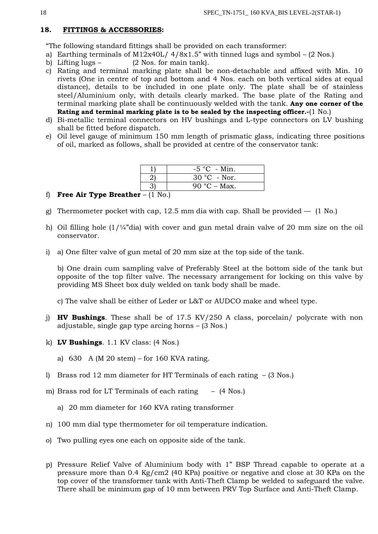### **18. FITTINGS & ACCESSORIES:**

"The following standard fittings shall be provided on each transformer:

- a) Earthing terminals of M12x40L/  $4/8x1.5$ " with tinned lugs and symbol (2 Nos.)
- b) Lifting lugs  $(2 \text{ Nos. for main tank}).$
- c) Rating and terminal marking plate shall be non-detachable and affixed with Min. 10 rivets (One in centre of top and bottom and 4 Nos. each on both vertical sides at equal distance), details to be included in one plate only. The plate shall be of stainless steel/Aluminium only, with details clearly marked. The base plate of the Rating and terminal marking plate shall be continuously welded with the tank. **Any one corner of the Rating and terminal marking plate is to be sealed by the inspecting officer.-**(1 No.)
- d) Bi-metallic terminal connectors on HV bushings and L-type connectors on LV bushing shall be fitted before dispatch.
- e) Oil level gauge of minimum 150 mm length of prismatic glass, indicating three positions of oil, marked as follows, shall be provided at centre of the conservator tank:

|  | $-5$ °C - Min. |
|--|----------------|
|  | $30 °C$ - Nor. |
|  | 90 °C – Max.   |

- f) **Free Air Type Breather** (1 No.)
- g) Thermometer pocket with cap, 12.5 mm dia with cap. Shall be provided  $-$  (1 No.)
- h) Oil filling hole  $(1)/4$ "dia) with cover and gun metal drain valve of 20 mm size on the oil conservator.
- i) a) One filter valve of gun metal of 20 mm size at the top side of the tank.

b) One drain cum sampling valve of Preferably Steel at the bottom side of the tank but opposite of the top filter valve. The necessary arrangement for locking on this valve by providing MS Sheet box duly welded on tank body shall be made.

- c) The valve shall be either of Leder or L&T or AUDCO make and wheel type.
- j) **HV Bushings**. These shall be of 17.5 KV/250 A class, porcelain/ polycrate with non adjustable, single gap type arcing horns – (3 Nos.)
- k) **LV Bushings**. 1.1 KV class: (4 Nos.)
	- a) 630 A (M 20 stem) for 160 KVA rating.
- l) Brass rod 12 mm diameter for HT Terminals of each rating (3 Nos.)
- m) Brass rod for LT Terminals of each rating (4 Nos.)
	- a) 20 mm diameter for 160 KVA rating transformer
- n) 100 mm dial type thermometer for oil temperature indication.
- o) Two pulling eyes one each on opposite side of the tank.
- p) Pressure Relief Valve of Aluminium body with 1" BSP Thread capable to operate at a pressure more than 0.4 Kg/cm2 (40 KPa) positive or negative and close at 30 KPa on the top cover of the transformer tank with Anti-Theft Clamp be welded to safeguard the valve. There shall be minimum gap of 10 mm between PRV Top Surface and Anti-Theft Clamp.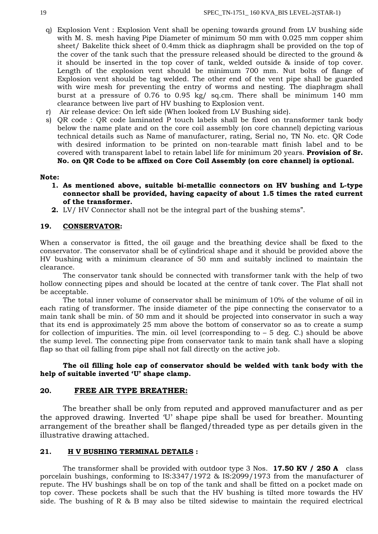- q) Explosion Vent : Explosion Vent shall be opening towards ground from LV bushing side with M. S. mesh having Pipe Diameter of minimum 50 mm with 0.025 mm copper shim sheet/ Bakelite thick sheet of 0.4mm thick as diaphragm shall be provided on the top of the cover of the tank such that the pressure released should be directed to the ground & it should be inserted in the top cover of tank, welded outside & inside of top cover. Length of the explosion vent should be minimum 700 mm. Nut bolts of flange of Explosion vent should be tag welded. The other end of the vent pipe shall be guarded with wire mesh for preventing the entry of worms and nesting. The diaphragm shall burst at a pressure of 0.76 to 0.95 kg/ sq.cm. There shall be minimum 140 mm clearance between live part of HV bushing to Explosion vent.
- r) Air release device: On left side (When looked from LV Bushing side).
- s) QR code : QR code laminated P touch labels shall be fixed on transformer tank body below the name plate and on the core coil assembly (on core channel) depicting various technical details such as Name of manufacturer, rating, Serial no, TN No. etc. QR Code with desired information to be printed on non-tearable matt finish label and to be covered with transparent label to retain label life for minimum 20 years. **Provision of Sr. No. on QR Code to be affixed on Core Coil Assembly (on core channel) is optional.**

### **Note:**

- **1. As mentioned above, suitable bi-metallic connectors on HV bushing and L-type connector shall be provided, having capacity of about 1.5 times the rated current of the transformer.**
- **2.** LV/ HV Connector shall not be the integral part of the bushing stems".

### **19. CONSERVATOR:**

When a conservator is fitted, the oil gauge and the breathing device shall be fixed to the conservator. The conservator shall be of cylindrical shape and it should be provided above the HV bushing with a minimum clearance of 50 mm and suitably inclined to maintain the clearance.

The conservator tank should be connected with transformer tank with the help of two hollow connecting pipes and should be located at the centre of tank cover. The Flat shall not be acceptable.

The total inner volume of conservator shall be minimum of 10% of the volume of oil in each rating of transformer. The inside diameter of the pipe connecting the conservator to a main tank shall be min. of 50 mm and it should be projected into conservator in such a way that its end is approximately 25 mm above the bottom of conservator so as to create a sump for collection of impurities. The min. oil level (corresponding to  $-5$  deg. C.) should be above the sump level. The connecting pipe from conservator tank to main tank shall have a sloping flap so that oil falling from pipe shall not fall directly on the active job.

**The oil filling hole cap of conservator should be welded with tank body with the help of suitable inverted 'U' shape clamp.**

### **20. FREE AIR TYPE BREATHER:**

The breather shall be only from reputed and approved manufacturer and as per the approved drawing. Inverted 'U' shape pipe shall be used for breather. Mounting arrangement of the breather shall be flanged/threaded type as per details given in the illustrative drawing attached.

#### **21. H V BUSHING TERMINAL DETAILS :**

The transformer shall be provided with outdoor type 3 Nos. **17.50 KV / 250 A** class porcelain bushings, conforming to IS:3347/1972 & IS:2099/1973 from the manufacturer of repute. The HV bushings shall be on top of the tank and shall be fitted on a pocket made on top cover. These pockets shall be such that the HV bushing is tilted more towards the HV side. The bushing of R & B may also be tilted sidewise to maintain the required electrical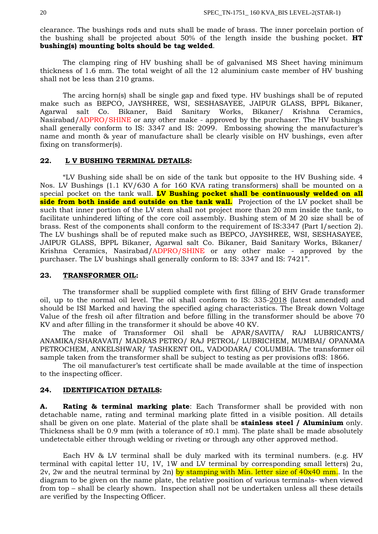clearance. The bushings rods and nuts shall be made of brass. The inner porcelain portion of the bushing shall be projected about 50% of the length inside the bushing pocket. **HT bushing(s) mounting bolts should be tag welded**.

The clamping ring of HV bushing shall be of galvanised MS Sheet having minimum thickness of 1.6 mm. The total weight of all the 12 aluminium caste member of HV bushing shall not be less than 210 grams.

The arcing horn(s) shall be single gap and fixed type. HV bushings shall be of reputed make such as BEPCO, JAYSHREE, WSI, SESHASAYEE, JAIPUR GLASS, BPPL Bikaner, Agarwal salt Co. Bikaner, Baid Sanitary Works, Bikaner/ Krishna Ceramics, Nasirabad/ADPRO/SHINE or any other make - approved by the purchaser. The HV bushings shall generally conform to IS: 3347 and IS: 2099. Embossing showing the manufacturer's name and month & year of manufacture shall be clearly visible on HV bushings, even after fixing on transformer(s).

### **22. L V BUSHING TERMINAL DETAILS:**

"LV Bushing side shall be on side of the tank but opposite to the HV Bushing side. 4 Nos. LV Bushings (1.1 KV/630 A for 160 KVA rating transformers) shall be mounted on a special pocket on the tank wall. **LV Bushing pocket shall be continuously welded on all side from both inside and outside on the tank wall.** Projection of the LV pocket shall be such that inner portion of the LV stem shall not project more than 20 mm inside the tank, to facilitate unhindered lifting of the core coil assembly. Bushing stem of M 20 size shall be of brass. Rest of the components shall conform to the requirement of IS:3347 (Part I/section 2). The LV bushings shall be of reputed make such as BEPCO, JAYSHREE, WSI, SESHASAYEE, JAIPUR GLASS, BPPL Bikaner, Agarwal salt Co. Bikaner, Baid Sanitary Works, Bikaner/ Krishna Ceramics, Nasirabad/ADPRO/SHINE or any other make - approved by the purchaser. The LV bushings shall generally conform to IS: 3347 and IS: 7421".

### **23. TRANSFORMER OIL:**

The transformer shall be supplied complete with first filling of EHV Grade transformer oil, up to the normal oil level. The oil shall conform to IS: 335-2018 (latest amended) and should be ISI Marked and having the specified aging characteristics. The Break down Voltage Value of the fresh oil after filtration and before filling in the transformer should be above 70 KV and after filling in the transformer it should be above 40 KV.

The make of Transformer Oil shall be APAR/SAVITA/ RAJ LUBRICANTS/ ANAMIKA/SHARAVATI/ MADRAS PETRO/ RAJ PETROL/ LUBRICHEM, MUMBAI/ OPANAMA PETROCHEM, ANKELSHWAR/ TASHKENT OIL, VADODARA/ COLUMBIA. The transformer oil sample taken from the transformer shall be subject to testing as per provisions ofIS: 1866.

The oil manufacturer's test certificate shall be made available at the time of inspection to the inspecting officer.

#### **24. IDENTIFICATION DETAILS:**

**A. Rating & terminal marking plate**: Each Transformer shall be provided with non detachable name, rating and terminal marking plate fitted in a visible position. All details shall be given on one plate. Material of the plate shall be **stainless steel / Aluminium** only. Thickness shall be 0.9 mm (with a tolerance of  $\pm 0.1$  mm). The plate shall be made absolutely undetectable either through welding or riveting or through any other approved method.

Each HV & LV terminal shall be duly marked with its terminal numbers. (e.g. HV terminal with capital letter 1U, 1V, 1W and LV terminal by corresponding small letters) 2u,  $2v$ , 2w and the neutral terminal by 2n) by stamping with Min. letter size of  $40x40$  mm. In the diagram to be given on the name plate, the relative position of various terminals- when viewed from top – shall be clearly shown. Inspection shall not be undertaken unless all these details are verified by the Inspecting Officer.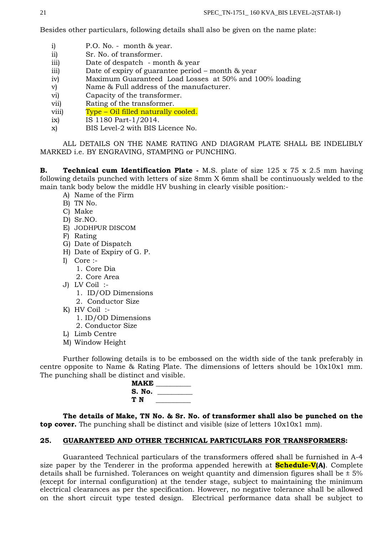Besides other particulars, following details shall also be given on the name plate:

- i) P.O. No. month & year.
- ii) Sr. No. of transformer.
- iii) Date of despatch month & year
- iii) Date of expiry of guarantee period month & year
- iv) Maximum Guaranteed Load Losses at 50% and 100% loading
- v) Name & Full address of the manufacturer.
- vi) Capacity of the transformer.
- vii) Rating of the transformer.
- viii) Type Oil filled naturally cooled.
- ix) IS 1180 Part-1/2014.
- x) BIS Level-2 with BIS Licence No.

ALL DETAILS ON THE NAME RATING AND DIAGRAM PLATE SHALL BE INDELIBLY MARKED i.e. BY ENGRAVING, STAMPING or PUNCHING.

**B. Technical cum Identification Plate -** M.S. plate of size 125 x 75 x 2.5 mm having following details punched with letters of size 8mm X 6mm shall be continuously welded to the main tank body below the middle HV bushing in clearly visible position:-

- A) Name of the Firm
- B) TN No.
- C) Make
- D) Sr.NO.
- E) JODHPUR DISCOM
- F) Rating
- G) Date of Dispatch
- H) Date of Expiry of G. P.
- I) Core :-
	- 1. Core Dia
	- 2. Core Area
- J) LV Coil :-
	- 1. ID/OD Dimensions
	- 2. Conductor Size
- K) HV Coil :-
	- 1. ID/OD Dimensions
	- 2. Conductor Size
- L) Limb Centre
- M) Window Height

Further following details is to be embossed on the width side of the tank preferably in centre opposite to Name & Rating Plate. The dimensions of letters should be 10x10x1 mm. The punching shall be distinct and visible.

| <b>MAKE</b> |  |
|-------------|--|
| S. No.      |  |
| TΝ          |  |

**The details of Make, TN No. & Sr. No. of transformer shall also be punched on the top cover.** The punching shall be distinct and visible (size of letters 10x10x1 mm).

### **25. GUARANTEED AND OTHER TECHNICAL PARTICULARS FOR TRANSFORMERS:**

Guaranteed Technical particulars of the transformers offered shall be furnished in A-4 size paper by the Tenderer in the proforma appended herewith at **Schedule-V(A)**. Complete details shall be furnished. Tolerances on weight quantity and dimension figures shall be  $\pm$  5% (except for internal configuration) at the tender stage, subject to maintaining the minimum electrical clearances as per the specification. However, no negative tolerance shall be allowed on the short circuit type tested design. Electrical performance data shall be subject to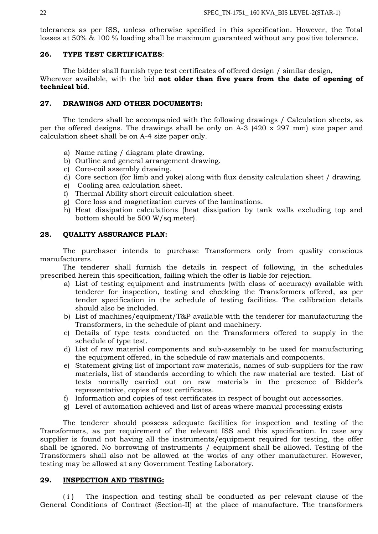tolerances as per ISS, unless otherwise specified in this specification. However, the Total losses at 50% & 100 % loading shall be maximum guaranteed without any positive tolerance.

## **26. TYPE TEST CERTIFICATES**:

The bidder shall furnish type test certificates of offered design / similar design, Wherever available, with the bid **not older than five years from the date of opening of technical bid**.

## **27. DRAWINGS AND OTHER DOCUMENTS:**

The tenders shall be accompanied with the following drawings / Calculation sheets, as per the offered designs. The drawings shall be only on A-3 (420 x 297 mm) size paper and calculation sheet shall be on A-4 size paper only.

- a) Name rating / diagram plate drawing.
- b) Outline and general arrangement drawing.
- c) Core-coil assembly drawing.
- d) Core section (for limb and yoke) along with flux density calculation sheet / drawing.
- e) Cooling area calculation sheet.
- f) Thermal Ability short circuit calculation sheet.
- g) Core loss and magnetization curves of the laminations.
- h) Heat dissipation calculations (heat dissipation by tank walls excluding top and bottom should be 500 W/sq.meter).

### **28. QUALITY ASSURANCE PLAN:**

The purchaser intends to purchase Transformers only from quality conscious manufacturers.

The tenderer shall furnish the details in respect of following, in the schedules prescribed herein this specification, failing which the offer is liable for rejection.

- a) List of testing equipment and instruments (with class of accuracy) available with tenderer for inspection, testing and checking the Transformers offered, as per tender specification in the schedule of testing facilities. The calibration details should also be included.
- b) List of machines/equipment/T&P available with the tenderer for manufacturing the Transformers, in the schedule of plant and machinery.
- c) Details of type tests conducted on the Transformers offered to supply in the schedule of type test.
- d) List of raw material components and sub-assembly to be used for manufacturing the equipment offered, in the schedule of raw materials and components.
- e) Statement giving list of important raw materials, names of sub-suppliers for the raw materials, list of standards according to which the raw material are tested. List of tests normally carried out on raw materials in the presence of Bidder's representative, copies of test certificates.
- f) Information and copies of test certificates in respect of bought out accessories.
- g) Level of automation achieved and list of areas where manual processing exists

The tenderer should possess adequate facilities for inspection and testing of the Transformers, as per requirement of the relevant ISS and this specification. In case any supplier is found not having all the instruments/equipment required for testing, the offer shall be ignored. No borrowing of instruments / equipment shall be allowed. Testing of the Transformers shall also not be allowed at the works of any other manufacturer. However, testing may be allowed at any Government Testing Laboratory.

#### **29. INSPECTION AND TESTING:**

( i ) The inspection and testing shall be conducted as per relevant clause of the General Conditions of Contract (Section-II) at the place of manufacture. The transformers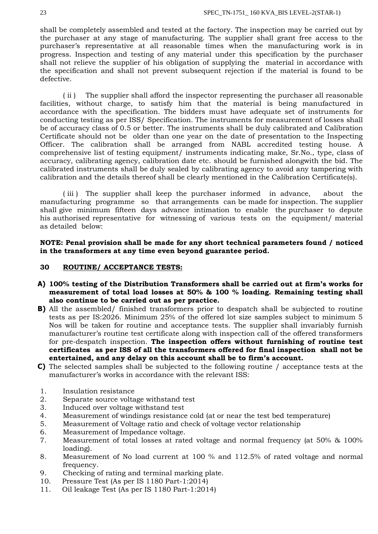shall be completely assembled and tested at the factory. The inspection may be carried out by the purchaser at any stage of manufacturing. The supplier shall grant free access to the purchaser's representative at all reasonable times when the manufacturing work is in progress. Inspection and testing of any material under this specification by the purchaser shall not relieve the supplier of his obligation of supplying the material in accordance with the specification and shall not prevent subsequent rejection if the material is found to be defective.

( ii ) The supplier shall afford the inspector representing the purchaser all reasonable facilities, without charge, to satisfy him that the material is being manufactured in accordance with the specification. The bidders must have adequate set of instruments for conducting testing as per ISS/ Specification. The instruments for measurement of losses shall be of accuracy class of 0.5 or better. The instruments shall be duly calibrated and Calibration Certificate should not be older than one year on the date of presentation to the Inspecting Officer. The calibration shall be arranged from NABL accredited testing house. A comprehensive list of testing equipment/ instruments indicating make, Sr.No., type, class of accuracy, calibrating agency, calibration date etc. should be furnished alongwith the bid. The calibrated instruments shall be duly sealed by calibrating agency to avoid any tampering with calibration and the details thereof shall be clearly mentioned in the Calibration Certificate(s).

( iii ) The supplier shall keep the purchaser informed in advance, about the manufacturing programme so that arrangements can be made for inspection. The supplier shall give minimum fifteen days advance intimation to enable the purchaser to depute his authorised representative for witnessing of various tests on the equipment/ material as detailed below:

**NOTE: Penal provision shall be made for any short technical parameters found / noticed in the transformers at any time even beyond guarantee period.**

## **30 ROUTINE/ ACCEPTANCE TESTS:**

- **A) 100% testing of the Distribution Transformers shall be carried out at firm's works for measurement of total load losses at 50% & 100 % loading. Remaining testing shall also continue to be carried out as per practice.**
- **B)** All the assembled/ finished transformers prior to despatch shall be subjected to routine tests as per IS:2026. Minimum 25% of the offered lot size samples subject to minimum 5 Nos will be taken for routine and acceptance tests. The supplier shall invariably furnish manufacturer's routine test certificate along with inspection call of the offered transformers for pre-despatch inspection. **The inspection offers without furnishing of routine test certificates as per ISS of all the transformers offered for final inspection shall not be entertained, and any delay on this account shall be to firm's account.**
- **C)** The selected samples shall be subjected to the following routine / acceptance tests at the manufacturer's works in accordance with the relevant ISS:
- 1. Insulation resistance
- 2. Separate source voltage withstand test
- 3. Induced over voltage withstand test
- 4. Measurement of windings resistance cold (at or near the test bed temperature)
- 5. Measurement of Voltage ratio and check of voltage vector relationship
- 6. Measurement of Impedance voltage.
- 7. Measurement of total losses at rated voltage and normal frequency (at 50% & 100% loading).
- 8. Measurement of No load current at 100 % and 112.5% of rated voltage and normal frequency.
- 9. Checking of rating and terminal marking plate.
- 10. Pressure Test (As per IS 1180 Part-1:2014)
- 11. Oil leakage Test (As per IS 1180 Part-1:2014)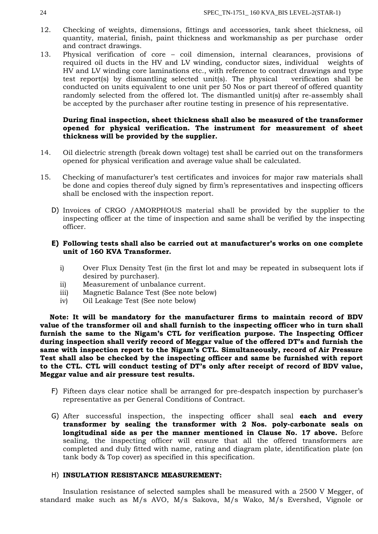- 12. Checking of weights, dimensions, fittings and accessories, tank sheet thickness, oil quantity, material, finish, paint thickness and workmanship as per purchase order and contract drawings.
- 13. Physical verification of core coil dimension, internal clearances, provisions of required oil ducts in the HV and LV winding, conductor sizes, individual weights of HV and LV winding core laminations etc., with reference to contract drawings and type test report(s) by dismantling selected unit(s). The physical verification shall be conducted on units equivalent to one unit per 50 Nos or part thereof of offered quantity randomly selected from the offered lot. The dismantled unit(s) after re-assembly shall be accepted by the purchaser after routine testing in presence of his representative.

### **During final inspection, sheet thickness shall also be measured of the transformer opened for physical verification. The instrument for measurement of sheet thickness will be provided by the supplier.**

- 14. Oil dielectric strength (break down voltage) test shall be carried out on the transformers opened for physical verification and average value shall be calculated.
- 15. Checking of manufacturer's test certificates and invoices for major raw materials shall be done and copies thereof duly signed by firm's representatives and inspecting officers shall be enclosed with the inspection report.
	- D) Invoices of CRGO /AMORPHOUS material shall be provided by the supplier to the inspecting officer at the time of inspection and same shall be verified by the inspecting officer.

## **E) Following tests shall also be carried out at manufacturer's works on one complete unit of 160 KVA Transformer.**

- i) Over Flux Density Test (in the first lot and may be repeated in subsequent lots if desired by purchaser).
- ii) Measurement of unbalance current.
- iii) Magnetic Balance Test (See note below)
- iv) Oil Leakage Test (See note below)

 **Note: It will be mandatory for the manufacturer firms to maintain record of BDV value of the transformer oil and shall furnish to the inspecting officer who in turn shall furnish the same to the Nigam's CTL for verification purpose. The Inspecting Officer during inspection shall verify record of Meggar value of the offered DT's and furnish the same with inspection report to the Nigam's CTL. Simultaneously, record of Air Pressure Test shall also be checked by the inspecting officer and same be furnished with report to the CTL. CTL will conduct testing of DT's only after receipt of record of BDV value, Meggar value and air pressure test results.**

- F) Fifteen days clear notice shall be arranged for pre-despatch inspection by purchaser's representative as per General Conditions of Contract.
- G) After successful inspection, the inspecting officer shall seal **each and every transformer by sealing the transformer with 2 Nos. poly-carbonate seals on longitudinal side as per the manner mentioned in Clause No. 17 above.** Before sealing, the inspecting officer will ensure that all the offered transformers are completed and duly fitted with name, rating and diagram plate, identification plate (on tank body & Top cover) as specified in this specification.

### H) **INSULATION RESISTANCE MEASUREMENT:**

Insulation resistance of selected samples shall be measured with a 2500 V Megger, of standard make such as M/s AVO, M/s Sakova, M/s Wako, M/s Evershed, Vignole or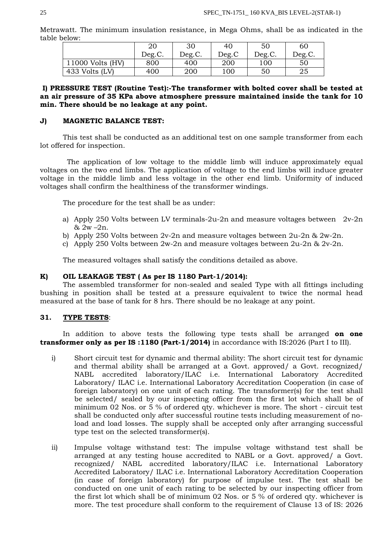Metrawatt. The minimum insulation resistance, in Mega Ohms, shall be as indicated in the table below:

|                  | 20     | 30     | 40    | 50     | 60     |
|------------------|--------|--------|-------|--------|--------|
|                  | Deg.C. | Deg.C. | Deg.C | Deg.C. | Deg.C. |
| 11000 Volts (HV) | 800    | 400    | 200   | 100    | 50     |
| 433 Volts (LV)   | 400    | 200    | 100   | 50     | 25     |

**I) PRESSURE TEST (Routine Test):-The transformer with bolted cover shall be tested at an air pressure of 35 KPa above atmosphere pressure maintained inside the tank for 10 min. There should be no leakage at any point.**

### **J) MAGNETIC BALANCE TEST:**

This test shall be conducted as an additional test on one sample transformer from each lot offered for inspection.

 The application of low voltage to the middle limb will induce approximately equal voltages on the two end limbs. The application of voltage to the end limbs will induce greater voltage in the middle limb and less voltage in the other end limb. Uniformity of induced voltages shall confirm the healthiness of the transformer windings.

The procedure for the test shall be as under:

- a) Apply 250 Volts between LV terminals-2u-2n and measure voltages between  $2v-2n$  $& 2w - 2n.$
- b) Apply 250 Volts between 2v-2n and measure voltages between 2u-2n & 2w-2n.
- c) Apply 250 Volts between 2w-2n and measure voltages between 2u-2n & 2v-2n.

The measured voltages shall satisfy the conditions detailed as above.

### **K) OIL LEAKAGE TEST ( As per IS 1180 Part-1/2014):**

The assembled transformer for non-sealed and sealed Type with all fittings including bushing in position shall be tested at a pressure equivalent to twice the normal head measured at the base of tank for 8 hrs. There should be no leakage at any point.

#### **31. TYPE TESTS**:

In addition to above tests the following type tests shall be arranged **on one transformer only as per IS :1180 (Part-1/2014)** in accordance with IS:2026 (Part I to III).

- i) Short circuit test for dynamic and thermal ability: The short circuit test for dynamic and thermal ability shall be arranged at a Govt. approved/ a Govt. recognized/ NABL accredited laboratory/ILAC i.e. International Laboratory Accredited Laboratory/ ILAC i.e. International Laboratory Accreditation Cooperation (in case of foreign laboratory) on one unit of each rating. The transformer(s) for the test shall be selected/ sealed by our inspecting officer from the first lot which shall be of minimum 02 Nos. or 5 % of ordered qty. whichever is more. The short - circuit test shall be conducted only after successful routine tests including measurement of noload and load losses. The supply shall be accepted only after arranging successful type test on the selected transformer(s).
- ii) Impulse voltage withstand test: The impulse voltage withstand test shall be arranged at any testing house accredited to NABL or a Govt. approved/ a Govt. recognized/ NABL accredited laboratory/ILAC i.e. International Laboratory Accredited Laboratory/ ILAC i.e. International Laboratory Accreditation Cooperation (in case of foreign laboratory) for purpose of impulse test. The test shall be conducted on one unit of each rating to be selected by our inspecting officer from the first lot which shall be of minimum 02 Nos. or 5 % of ordered qty. whichever is more. The test procedure shall conform to the requirement of Clause 13 of IS: 2026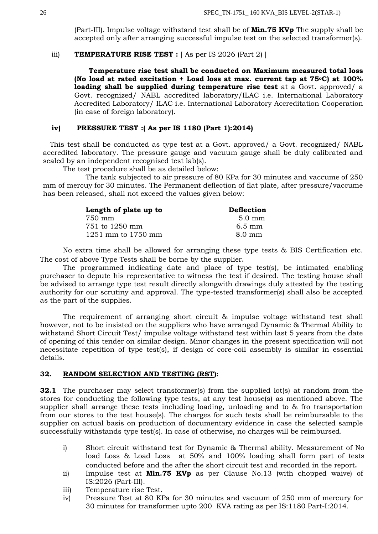(Part-III). Impulse voltage withstand test shall be of **Min.75 KVp** The supply shall be accepted only after arranging successful impulse test on the selected transformer(s).

#### iii) **TEMPERATURE RISE TEST** : [As per IS 2026 (Part 2) ]

 **Temperature rise test shall be conducted on Maximum measured total loss (No load at rated excitation + Load loss at max. current tap at 75oC) at 100% loading shall be supplied during temperature rise test** at a Govt. approved/ a Govt. recognized/ NABL accredited laboratory/ILAC i.e. International Laboratory Accredited Laboratory/ ILAC i.e. International Laboratory Accreditation Cooperation (in case of foreign laboratory).

### **iv) PRESSURE TEST :( As per IS 1180 (Part 1):2014)**

 This test shall be conducted as type test at a Govt. approved/ a Govt. recognized/ NABL accredited laboratory. The pressure gauge and vacuum gauge shall be duly calibrated and sealed by an independent recognised test lab(s).

The test procedure shall be as detailed below:

The tank subjected to air pressure of 80 KPa for 30 minutes and vaccume of 250 mm of mercuy for 30 minutes. The Permanent deflection of flat plate, after pressure/vaccume has been released, shall not exceed the values given below:

| Length of plate up to | <b>Deflection</b> |
|-----------------------|-------------------|
| 750 mm                | $5.0 \text{ mm}$  |
| 751 to 1250 mm        | $6.5 \text{ mm}$  |
| 1251 mm to 1750 mm    | $8.0 \text{ mm}$  |

No extra time shall be allowed for arranging these type tests & BIS Certification etc. The cost of above Type Tests shall be borne by the supplier.

The programmed indicating date and place of type test(s), be intimated enabling purchaser to depute his representative to witness the test if desired. The testing house shall be advised to arrange type test result directly alongwith drawings duly attested by the testing authority for our scrutiny and approval. The type-tested transformer(s) shall also be accepted as the part of the supplies.

The requirement of arranging short circuit & impulse voltage withstand test shall however, not to be insisted on the suppliers who have arranged Dynamic & Thermal Ability to withstand Short Circuit Test/ impulse voltage withstand test within last 5 years from the date of opening of this tender on similar design. Minor changes in the present specification will not necessitate repetition of type test(s), if design of core-coil assembly is similar in essential details.

### **32. RANDOM SELECTION AND TESTING (RST):**

**32.1** The purchaser may select transformer(s) from the supplied lot(s) at random from the stores for conducting the following type tests, at any test house(s) as mentioned above. The supplier shall arrange these tests including loading, unloading and to & fro transportation from our stores to the test house(s). The charges for such tests shall be reimbursable to the supplier on actual basis on production of documentary evidence in case the selected sample successfully withstands type test(s). In case of otherwise, no charges will be reimbursed.

- i) Short circuit withstand test for Dynamic & Thermal ability. Measurement of No load Loss & Load Loss at 50% and 100% loading shall form part of tests conducted before and the after the short circuit test and recorded in the report.
- ii) Impulse test at **Min.75 KVp** as per Clause No.13 (with chopped waive) of IS:2026 (Part-III).
- iii) Temperature rise Test.
- iv) Pressure Test at 80 KPa for 30 minutes and vacuum of 250 mm of mercury for 30 minutes for transformer upto 200 KVA rating as per IS:1180 Part-I:2014.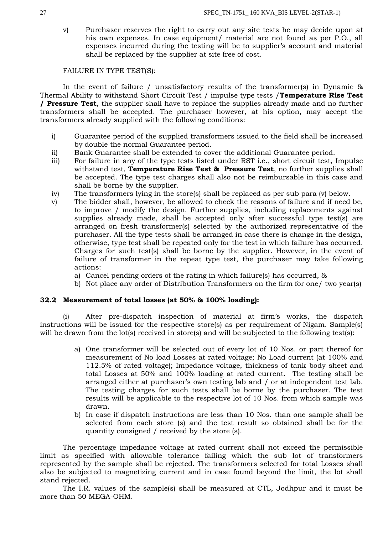v) Purchaser reserves the right to carry out any site tests he may decide upon at his own expenses. In case equipment/ material are not found as per P.O., all expenses incurred during the testing will be to supplier's account and material shall be replaced by the supplier at site free of cost.

FAILURE IN TYPE TEST(S):

In the event of failure / unsatisfactory results of the transformer(s) in Dynamic & Thermal Ability to withstand Short Circuit Test / impulse type tests /**Temperature Rise Test / Pressure Test**, the supplier shall have to replace the supplies already made and no further transformers shall be accepted. The purchaser however, at his option, may accept the transformers already supplied with the following conditions:

- i) Guarantee period of the supplied transformers issued to the field shall be increased by double the normal Guarantee period.
- ii) Bank Guarantee shall be extended to cover the additional Guarantee period.
- iii) For failure in any of the type tests listed under RST i.e., short circuit test, Impulse withstand test, **Temperature Rise Test & Pressure Test**, no further supplies shall be accepted. The type test charges shall also not be reimbursable in this case and shall be borne by the supplier.
- iv) The transformers lying in the store(s) shall be replaced as per sub para (v) below.
- v) The bidder shall, however, be allowed to check the reasons of failure and if need be, to improve / modify the design. Further supplies, including replacements against supplies already made, shall be accepted only after successful type test(s) are arranged on fresh transformer(s) selected by the authorized representative of the purchaser. All the type tests shall be arranged in case there is change in the design, otherwise, type test shall be repeated only for the test in which failure has occurred. Charges for such test(s) shall be borne by the supplier. However, in the event of failure of transformer in the repeat type test, the purchaser may take following actions:
	- a) Cancel pending orders of the rating in which failure(s) has occurred, &
	- b) Not place any order of Distribution Transformers on the firm for one/ two year(s)

### **32.2 Measurement of total losses (at 50% & 100% loading):**

(i) After pre-dispatch inspection of material at firm's works, the dispatch instructions will be issued for the respective store(s) as per requirement of Nigam. Sample(s) will be drawn from the lot(s) received in store(s) and will be subjected to the following test(s):

- a) One transformer will be selected out of every lot of 10 Nos. or part thereof for measurement of No load Losses at rated voltage; No Load current (at 100% and 112.5% of rated voltage); Impedance voltage, thickness of tank body sheet and total Losses at 50% and 100% loading at rated current. The testing shall be arranged either at purchaser's own testing lab and / or at independent test lab. The testing charges for such tests shall be borne by the purchaser. The test results will be applicable to the respective lot of 10 Nos. from which sample was drawn.
- b) In case if dispatch instructions are less than 10 Nos. than one sample shall be selected from each store (s) and the test result so obtained shall be for the quantity consigned / received by the store (s).

The percentage impedance voltage at rated current shall not exceed the permissible limit as specified with allowable tolerance failing which the sub lot of transformers represented by the sample shall be rejected. The transformers selected for total Losses shall also be subjected to magnetizing current and in case found beyond the limit, the lot shall stand rejected.

The I.R. values of the sample(s) shall be measured at CTL, Jodhpur and it must be more than 50 MEGA-OHM.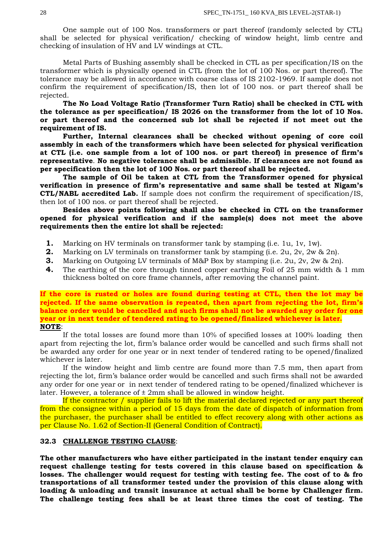One sample out of 100 Nos. transformers or part thereof (randomly selected by CTL) shall be selected for physical verification/ checking of window height, limb centre and checking of insulation of HV and LV windings at CTL.

Metal Parts of Bushing assembly shall be checked in CTL as per specification/IS on the transformer which is physically opened in CTL (from the lot of 100 Nos. or part thereof). The tolerance may be allowed in accordance with coarse class of IS 2102-1969. If sample does not confirm the requirement of specification/IS, then lot of 100 nos. or part thereof shall be rejected.

**The No Load Voltage Ratio (Transformer Turn Ratio) shall be checked in CTL with the tolerance as per specification/ IS 2026 on the transformer from the lot of 10 Nos. or part thereof and the concerned sub lot shall be rejected if not meet out the requirement of IS.** 

**Further, Internal clearances shall be checked without opening of core coil assembly in each of the transformers which have been selected for physical verification at CTL (i.e. one sample from a lot of 100 nos. or part thereof) in presence of firm's representative**. **No negative tolerance shall be admissible. If clearances are not found as per specification then the lot of 100 Nos. or part thereof shall be rejected.**

**The sample of Oil be taken at CTL from the Transformer opened for physical verification in presence of firm's representative and same shall be tested at Nigam's CTL/NABL accredited Lab.** If sample does not confirm the requirement of specification/IS, then lot of 100 nos. or part thereof shall be rejected.

**Besides above points following shall also be checked in CTL on the transformer opened for physical verification and if the sample(s) does not meet the above requirements then the entire lot shall be rejected:**

- **1.** Marking on HV terminals on transformer tank by stamping (i.e. 1u, 1v, 1w).
- **2.** Marking on LV terminals on transformer tank by stamping (i.e. 2u, 2v, 2w & 2n).
- **3.** Marking on Outgoing LV terminals of M&P Box by stamping (i.e. 2u, 2v, 2w & 2n).
- **4.** The earthing of the core through tinned copper earthing Foil of 25 mm width & 1 mm thickness bolted on core frame channels, after removing the channel paint.

**If the core is rusted or holes are found during testing at CTL, then the lot may be rejected. If the same observation is repeated, then apart from rejecting the lot, firm's balance order would be cancelled and such firms shall not be awarded any order for one year or in next tender of tendered rating to be opened/finalized whichever is later. NOTE**:

If the total losses are found more than 10% of specified losses at 100% loading then apart from rejecting the lot, firm's balance order would be cancelled and such firms shall not be awarded any order for one year or in next tender of tendered rating to be opened/finalized whichever is later.

If the window height and limb centre are found more than 7.5 mm, then apart from rejecting the lot, firm's balance order would be cancelled and such firms shall not be awarded any order for one year or in next tender of tendered rating to be opened/finalized whichever is later. However, a tolerance of  $\pm 2$ mm shall be allowed in window height.

If the contractor / supplier fails to lift the material declared rejected or any part thereof from the consignee within a period of 15 days from the date of dispatch of information from the purchaser, the purchaser shall be entitled to effect recovery along with other actions as per Clause No. 1.62 of Section-II (General Condition of Contract).

#### **32.3 CHALLENGE TESTING CLAUSE**:

**The other manufacturers who have either participated in the instant tender enquiry can request challenge testing for tests covered in this clause based on specification & losses. The challenger would request for testing with testing fee. The cost of to & fro transportations of all transformer tested under the provision of this clause along with loading & unloading and transit insurance at actual shall be borne by Challenger firm. The challenge testing fees shall be at least three times the cost of testing. The**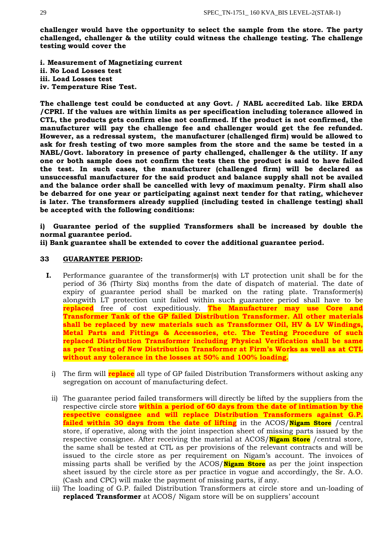**challenger would have the opportunity to select the sample from the store. The party challenged, challenger & the utility could witness the challenge testing. The challenge testing would cover the**

**i. Measurement of Magnetizing current ii. No Load Losses test iii. Load Losses test iv. Temperature Rise Test.**

**The challenge test could be conducted at any Govt. / NABL accredited Lab. like ERDA /CPRI. If the values are within limits as per specification including tolerance allowed in CTL, the products gets confirm else not confirmed. If the product is not confirmed, the manufacturer will pay the challenge fee and challenger would get the fee refunded. However, as a redressal system, the manufacturer (challenged firm) would be allowed to ask for fresh testing of two more samples from the store and the same be tested in a NABL/Govt. laboratory in presence of party challenged, challenger & the utility. If any one or both sample does not confirm the tests then the product is said to have failed the test. In such cases, the manufacturer (challenged firm) will be declared as unsuccessful manufacturer for the said product and balance supply shall not be availed and the balance order shall be cancelled with levy of maximum penalty. Firm shall also be debarred for one year or participating against next tender for that rating, whichever is later. The transformers already supplied (including tested in challenge testing) shall be accepted with the following conditions:**

**i) Guarantee period of the supplied Transformers shall be increased by double the normal guarantee period.**

**ii) Bank guarantee shall be extended to cover the additional guarantee period.**

### **33 GUARANTEE PERIOD:**

- **I.** Performance guarantee of the transformer(s) with LT protection unit shall be for the period of 36 (Thirty Six) months from the date of dispatch of material. The date of expiry of guarantee period shall be marked on the rating plate. Transformer(s) alongwith LT protection unit failed within such guarantee period shall have to be **replaced** free of cost expeditiously. **The Manufacturer may use Core and Transformer Tank of the GP failed Distribution Transformer. All other materials shall be replaced by new materials such as Transformer Oil, HV & LV Windings, Metal Parts and Fittings & Accessories, etc. The Testing Procedure of such replaced Distribution Transformer including Physical Verification shall be same as per Testing of New Distribution Transformer at Firm's Works as well as at CTL without any tolerance in the losses at 50% and 100% loading.**
	- i) The firm will **replace** all type of GP failed Distribution Transformers without asking any segregation on account of manufacturing defect.
	- ii) The guarantee period failed transformers will directly be lifted by the suppliers from the respective circle store **within a period of 60 days from the date of intimation by the respective consignee and will replace Distribution Transformers against G.P. failed within 30 days from the date of lifting** in the ACOS/**Nigam Store** /central store, if operative, along with the joint inspection sheet of missing parts issued by the respective consignee. After receiving the material at ACOS/**Nigam Store** /central store, the same shall be tested at CTL as per provisions of the relevant contracts and will be issued to the circle store as per requirement on Nigam's account. The invoices of missing parts shall be verified by the ACOS/**Nigam Store** as per the joint inspection sheet issued by the circle store as per practice in vogue and accordingly, the Sr. A.O. (Cash and CPC) will make the payment of missing parts, if any.
	- iii) The loading of G.P. failed Distribution Transformers at circle store and un-loading of **replaced Transformer** at ACOS/ Nigam store will be on suppliers' account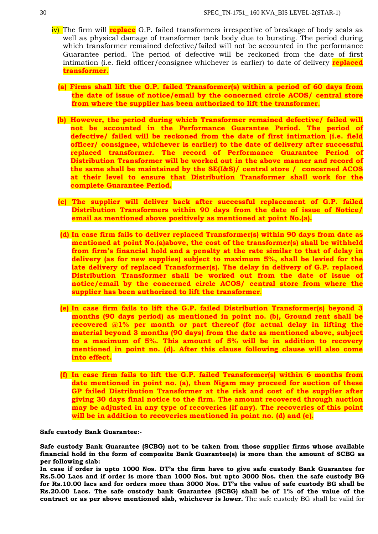- iv) The firm will **replace** G.P. failed transformers irrespective of breakage of body seals as well as physical damage of transformer tank body due to bursting. The period during which transformer remained defective/failed will not be accounted in the performance Guarantee period. The period of defective will be reckoned from the date of first intimation (i.e. field officer/consignee whichever is earlier) to date of delivery **replaced transformer.**
	- **(a) Firms shall lift the G.P. failed Transformer(s) within a period of 60 days from the date of issue of notice/email by the concerned circle ACOS/ central store from where the supplier has been authorized to lift the transformer.**
	- **(b) However, the period during which Transformer remained defective/ failed will not be accounted in the Performance Guarantee Period. The period of defective/ failed will be reckoned from the date of first intimation (i.e. field officer/ consignee, whichever is earlier) to the date of delivery after successful replaced transformer. The record of Performance Guarantee Period of Distribution Transformer will be worked out in the above manner and record of the same shall be maintained by the SE(I&S)/ central store / concerned ACOS at their level to ensure that Distribution Transformer shall work for the complete Guarantee Period.**
	- **(c) The supplier will deliver back after successful replacement of G.P. failed Distribution Transformers within 90 days from the date of issue of Notice/ email as mentioned above positively as mentioned at point No.(a).**
	- **(d) In case firm fails to deliver replaced Transformer(s) within 90 days from date as mentioned at point No.(a)above, the cost of the transformer(s) shall be withheld from firm's financial hold and a penalty at the rate similar to that of delay in delivery (as for new supplies) subject to maximum 5%, shall be levied for the late delivery of replaced Transformer(s). The delay in delivery of G.P. replaced**  Distribution Transformer shall be worked out from the date of issue of **notice/email by the concerned circle ACOS/ central store from where the supplier has been authorized to lift the transformer**.
	- **(e) In case firm fails to lift the G.P. failed Distribution Transformer(s) beyond 3 months (90 days period) as mentioned in point no. (b), Ground rent shall be recovered @1% per month or part thereof (for actual delay in lifting the material beyond 3 months (90 days) from the date as mentioned above, subject to a maximum of 5%. This amount of 5% will be in addition to recovery mentioned in point no. (d). After this clause following clause will also come into effect.**
	- **(f) In case firm fails to lift the G.P. failed Transformer(s) within 6 months from date mentioned in point no. (a), then Nigam may proceed for auction of these GP failed Distribution Transformer at the risk and cost of the supplier after giving 30 days final notice to the firm. The amount recovered through auction may be adjusted in any type of recoveries (if any). The recoveries of this point will be in addition to recoveries mentioned in point no. (d) and (e).**

#### **Safe custody Bank Guarantee:-**

**Safe custody Bank Guarantee (SCBG) not to be taken from those supplier firms whose available financial hold in the form of composite Bank Guarantee(s) is more than the amount of SCBG as per following slab:**

**In case if order is upto 1000 Nos. DT's the firm have to give safe custody Bank Guarantee for Rs.5.00 Lacs and if order is more than 1000 Nos. but upto 3000 Nos. then the safe custody BG for Rs.10.00 lacs and for orders more than 3000 Nos. DT's the value of safe custody BG shall be Rs.20.00 Lacs. The safe custody bank Guarantee (SCBG) shall be of 1% of the value of the contract or as per above mentioned slab, whichever is lower.** The safe custody BG shall be valid for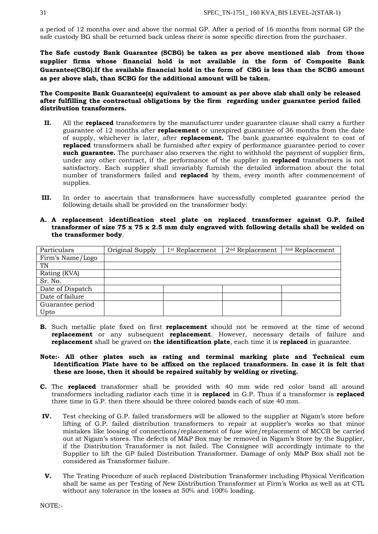a period of 12 months over and above the normal GP. After a period of 16 months from normal GP the safe custody BG shall be returned back unless there is some specific direction from the purchaser.

**The Safe custody Bank Guarantee (SCBG) be taken as per above mentioned slab from those supplier firms whose financial hold is not available in the form of Composite Bank Guarantee(CBG).If the available financial hold in the form of CBG is less than the SCBG amount as per above slab, than SCBG for the additional amount will be taken.**

**The Composite Bank Guarantee(s) equivalent to amount as per above slab shall only be released after fulfilling the contractual obligations by the firm regarding under guarantee period failed distribution transformers.**

- **II.** All the **replaced** transformers by the manufacturer under guarantee clause shall carry a further guarantee of 12 months after **replacement** or unexpired guarantee of 36 months from the date of supply, whichever is later, after **replacement.** The bank guarantee equivalent to cost of **replaced** transformers shall be furnished after expiry of performance guarantee period to cover **such guarantee.** The purchaser also reserves the right to withhold the payment of supplier firm, under any other contract, if the performance of the supplier in **replaced** transformers is not satisfactory. Each supplier shall invariably furnish the detailed information about the total number of transformers failed and **replaced** by them, every month after commencement of supplies.
- **III.** In order to ascertain that transformers have successfully completed guarantee period the following details shall be provided on the transformer body:
- **A. A replacement identification steel plate on replaced transformer against G.P. failed transformer of size 75 x 75 x 2.5 mm duly engraved with following details shall be welded on the transformer body**.

| Particulars      | Original Supply | 1 <sup>st</sup> Replacement | $2nd$ Replacement | <sup>3nd</sup> Replacement |
|------------------|-----------------|-----------------------------|-------------------|----------------------------|
| Firm's Name/Logo |                 |                             |                   |                            |
| TN               |                 |                             |                   |                            |
| Rating (KVA)     |                 |                             |                   |                            |
| Sr. No.          |                 |                             |                   |                            |
| Date of Dispatch |                 |                             |                   |                            |
| Date of failure  |                 |                             |                   |                            |
| Guarantee period |                 |                             |                   |                            |
| Upto             |                 |                             |                   |                            |

- **B.** Such metallic plate fixed on first **replacement** should not be removed at the time of second **replacement** or any subsequent **replacement**. However, necessary details of failure and **replacement** shall be graved on **the identification plate**, each time it is **replaced** in guarantee.
- **Note:- All other plates such as rating and terminal marking plate and Technical cum Identification Plate have to be affixed on the replaced transformers. In case it is felt that these are loose, then it should be repaired suitably by welding or riveting.**
- **C.** The **replaced** transformer shall be provided with 40 mm wide red color band all around transformers including radiator each time it is **replaced** in G.P. Thus if a transformer is **replaced**  three time in G.P. then there should be three colored bands each of size 40 mm.
- **IV.** Test checking of G.P. failed transformers will be allowed to the supplier at Nigam's store before lifting of G.P. failed distribution transformers to repair at supplier's works so that minor mistakes like loosing of connections/replacement of fuse wire/replacement of MCCB be carried out at Nigam's stores. The defects of M&P Box may be removed in Nigam's Store by the Supplier, if the Distribution Transformer is not failed. The Consignee will accordingly intimate to the Supplier to lift the GP failed Distribution Transformer. Damage of only M&P Box shall not be considered as Transformer failure.
- **V.** The Testing Procedure of such replaced Distribution Transformer including Physical Verification shall be same as per Testing of New Distribution Transformer at Firm's Works as well as at CTL without any tolerance in the losses at 50% and 100% loading.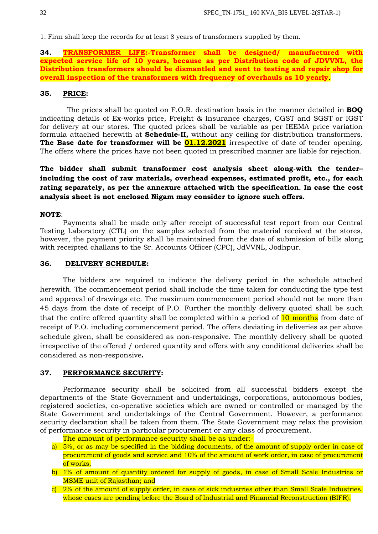1. Firm shall keep the records for at least 8 years of transformers supplied by them.

**34. TRANSFORMER LIFE:-Transformer shall be designed/ manufactured with expected service life of 10 years, because as per Distribution code of JDVVNL, the Distribution transformers should be dismantled and sent to testing and repair shop for overall inspection of the transformers with frequency of overhauls as 10 yearly**.

### **35. PRICE:**

 The prices shall be quoted on F.O.R. destination basis in the manner detailed in **BOQ** indicating details of Ex-works price, Freight & Insurance charges, CGST and SGST or IGST for delivery at our stores. The quoted prices shall be variable as per IEEMA price variation formula attached herewith at **Schedule-II,** without any ceiling for distribution transformers. **The Base date for transformer will be**  $01.12.2021$  irrespective of date of tender opening. The offers where the prices have not been quoted in prescribed manner are liable for rejection.

**The bidder shall submit transformer cost analysis sheet along-with the tender– including the cost of raw materials, overhead expenses, estimated profit, etc., for each rating separately, as per the annexure attached with the specification. In case the cost analysis sheet is not enclosed Nigam may consider to ignore such offers.**

#### **NOTE**:

Payments shall be made only after receipt of successful test report from our Central Testing Laboratory (CTL) on the samples selected from the material received at the stores, however, the payment priority shall be maintained from the date of submission of bills along with receipted challans to the Sr. Accounts Officer (CPC), JdVVNL, Jodhpur.

### **36. DELIVERY SCHEDULE:**

The bidders are required to indicate the delivery period in the schedule attached herewith. The commencement period shall include the time taken for conducting the type test and approval of drawings etc. The maximum commencement period should not be more than 45 days from the date of receipt of P.O. Further the monthly delivery quoted shall be such that the entire offered quantity shall be completed within a period of 10 months from date of receipt of P.O. including commencement period. The offers deviating in deliveries as per above schedule given, shall be considered as non-responsive. The monthly delivery shall be quoted irrespective of the offered / ordered quantity and offers with any conditional deliveries shall be considered as non-responsive**.** 

### **37. PERFORMANCE SECURITY:**

Performance security shall be solicited from all successful bidders except the departments of the State Government and undertakings, corporations, autonomous bodies, registered societies, co-operative societies which are owned or controlled or managed by the State Government and undertakings of the Central Government. However, a performance security declaration shall be taken from them. The State Government may relax the provision of performance security in particular procurement or any class of procurement.

The amount of performance security shall be as under:-

- a) 5%, or as may be specified in the bidding documents, of the amount of supply order in case of procurement of goods and service and 10% of the amount of work order, in case of procurement of works.
- b) 1% of amount of quantity ordered for supply of goods, in case of Small Scale Industries or MSME unit of Rajasthan; and
- c) 2% of the amount of supply order, in case of sick industries other than Small Scale Industries, whose cases are pending before the Board of Industrial and Financial Reconstruction (BIFR).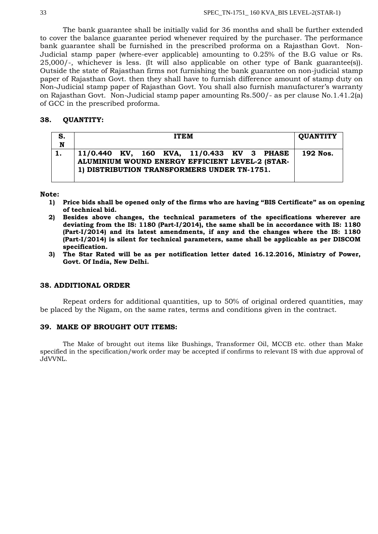The bank guarantee shall be initially valid for 36 months and shall be further extended to cover the balance guarantee period whenever required by the purchaser. The performance bank guarantee shall be furnished in the prescribed proforma on a Rajasthan Govt. Non-Judicial stamp paper (where-ever applicable) amounting to 0.25% of the B.G value or Rs. 25,000/-, whichever is less. (It will also applicable on other type of Bank guarantee(s)). Outside the state of Rajasthan firms not furnishing the bank guarantee on non-judicial stamp paper of Rajasthan Govt. then they shall have to furnish difference amount of stamp duty on Non-Judicial stamp paper of Rajasthan Govt. You shall also furnish manufacturer's warranty on Rajasthan Govt. Non-Judicial stamp paper amounting Rs.500/- as per clause No.1.41.2(a) of GCC in the prescribed proforma.

### **38. QUANTITY:**

| S.                      | <b>ITEM</b>                                                                                    |  |  |  |                                           | <b>QUANTITY</b> |  |          |
|-------------------------|------------------------------------------------------------------------------------------------|--|--|--|-------------------------------------------|-----------------|--|----------|
| $\overline{\mathbf{N}}$ |                                                                                                |  |  |  |                                           |                 |  |          |
|                         |                                                                                                |  |  |  | 11/0.440 KV, 160 KVA, 11/0.433 KV 3 PHASE |                 |  | 192 Nos. |
|                         | ALUMINIUM WOUND ENERGY EFFICIENT LEVEL-2 (STAR-<br>1) DISTRIBUTION TRANSFORMERS UNDER TN-1751. |  |  |  |                                           |                 |  |          |
|                         |                                                                                                |  |  |  |                                           |                 |  |          |

#### **Note:**

- **1) Price bids shall be opened only of the firms who are having "BIS Certificate" as on opening of technical bid.**
- **2) Besides above changes, the technical parameters of the specifications wherever are deviating from the IS: 1180 (Part-I/2014), the same shall be in accordance with IS: 1180 (Part-I/2014) and its latest amendments, if any and the changes where the IS: 1180 (Part-I/2014) is silent for technical parameters, same shall be applicable as per DISCOM specification.**
- **3) The Star Rated will be as per notification letter dated 16.12.2016, Ministry of Power, Govt. Of India, New Delhi.**

### **38. ADDITIONAL ORDER**

Repeat orders for additional quantities, up to 50% of original ordered quantities, may be placed by the Nigam, on the same rates, terms and conditions given in the contract.

### **39. MAKE OF BROUGHT OUT ITEMS:**

The Make of brought out items like Bushings, Transformer Oil, MCCB etc. other than Make specified in the specification/work order may be accepted if confirms to relevant IS with due approval of JdVVNL.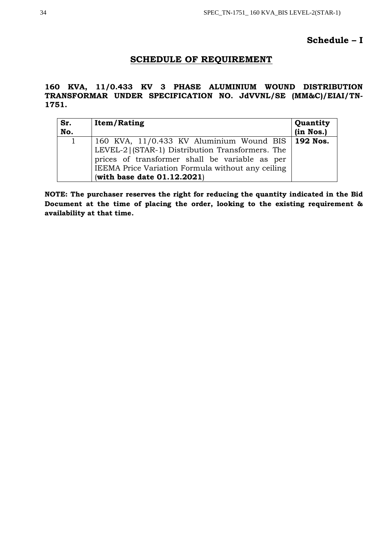## **Schedule – I**

## **SCHEDULE OF REQUIREMENT**

## **160 KVA, 11/0.433 KV 3 PHASE ALUMINIUM WOUND DISTRIBUTION TRANSFORMAR UNDER SPECIFICATION NO. JdVVNL/SE (MM&C)/EIAI/TN-1751.**

| Sr.<br>No. | <b>Item/Rating</b>                                                                                                                                                                                                                              | Quantity<br>(in Nos.) |
|------------|-------------------------------------------------------------------------------------------------------------------------------------------------------------------------------------------------------------------------------------------------|-----------------------|
|            | 160 KVA, 11/0.433 KV Aluminium Wound BIS   192 Nos.<br>LEVEL-2 (STAR-1) Distribution Transformers. The<br>prices of transformer shall be variable as per<br>IEEMA Price Variation Formula without any ceiling<br>(with base date $01.12.2021$ ) |                       |

**NOTE: The purchaser reserves the right for reducing the quantity indicated in the Bid Document at the time of placing the order, looking to the existing requirement & availability at that time.**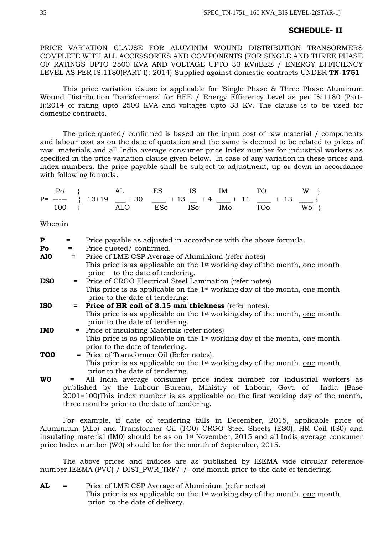## **SCHEDULE- II**

PRICE VARIATION CLAUSE FOR ALUMINIM WOUND DISTRIBUTION TRANSORMERS COMPLETE WITH ALL ACCESSORIES AND COMPONENTS (FOR SINGLE AND THREE PHASE OF RATINGS UPTO 2500 KVA AND VOLTAGE UPTO 33 KV)(BEE / ENERGY EFFICIENCY LEVEL AS PER IS:1180(PART-I): 2014) Supplied against domestic contracts UNDER **TN-1751**

This price variation clause is applicable for 'Single Phase & Three Phase Aluminum Wound Distribution Transformers' for BEE / Energy Efficiency Level as per IS:1180 (Part-I):2014 of rating upto 2500 KVA and voltages upto 33 KV. The clause is to be used for domestic contracts.

The price quoted/ confirmed is based on the input cost of raw material / components and labour cost as on the date of quotation and the same is deemed to be related to prices of raw materials and all India average consumer price Index number for industrial workers as specified in the price variation clause given below. In case of any variation in these prices and index numbers, the price payable shall be subject to adjustment, up or down in accordance with following formula.

|  |  |  | $P_0$ { AL ES IS IM TO W }                                        |  |
|--|--|--|-------------------------------------------------------------------|--|
|  |  |  | $P =$ ----- { $10+19$ $+30$ $-$ + 13 $+4$ $-$ + 11 $-$ + 13 $-$ } |  |
|  |  |  | 100 { ALO ESo ISo IMo TOo Wo }                                    |  |

Wherein

| ${\bf P}$       | $=$ | Price payable as adjusted in accordance with the above formula.                                                                  |
|-----------------|-----|----------------------------------------------------------------------------------------------------------------------------------|
| Po              | $=$ | Price quoted/confirmed.                                                                                                          |
| <b>A10</b>      | $=$ | Price of LME CSP Average of Aluminium (refer notes)                                                                              |
|                 |     | This price is as applicable on the 1 <sup>st</sup> working day of the month, <u>one</u> month<br>prior to the date of tendering. |
| <b>ESO</b>      |     | = Price of CRGO Electrical Steel Lamination (refer notes)                                                                        |
|                 |     | This price is as applicable on the 1 <sup>st</sup> working day of the month, one month<br>prior to the date of tendering.        |
| <b>ISO</b>      |     | $=$ Price of HR coil of 3.15 mm thickness (refer notes).                                                                         |
|                 |     | This price is as applicable on the 1 <sup>st</sup> working day of the month, one month                                           |
|                 |     | prior to the date of tendering.                                                                                                  |
| <b>IMO</b>      |     | = Price of insulating Materials (refer notes)                                                                                    |
|                 |     | This price is as applicable on the 1 <sup>st</sup> working day of the month, <u>one</u> month                                    |
|                 |     | prior to the date of tendering.                                                                                                  |
| TO <sub>0</sub> |     | = Price of Transformer Oil (Refer notes).                                                                                        |
|                 |     | This price is as applicable on the 1 <sup>st</sup> working day of the month, one month                                           |
|                 |     | prior to the date of tendering.                                                                                                  |
| <b>WO</b>       | $=$ | All India average consumer price index number for industrial workers as                                                          |
|                 |     | published by the Labour Bureau, Ministry of Labour, Govt. of India (Base                                                         |

2001=100)This index number is as applicable on the first working day of the month, three months prior to the date of tendering. For example, if date of tendering falls in December, 2015, applicable price of Aluminium (ALo) and Transformer Oil (TO0) CRGO Steel Sheets (ES0), HR Coil (IS0) and

insulating material (IM0) should be as on  $1$ <sup>st</sup> November, 2015 and all India average consumer

The above prices and indices are as published by IEEMA vide circular reference number IEEMA (PVC) / DIST\_PWR\_TRF/-/- one month prior to the date of tendering.

| AL | Price of LME CSP Average of Aluminium (refer notes)                                    |
|----|----------------------------------------------------------------------------------------|
|    | This price is as applicable on the 1 <sup>st</sup> working day of the month, one month |
|    | prior to the date of delivery.                                                         |

price Index number (W0) should be for the month of September, 2015.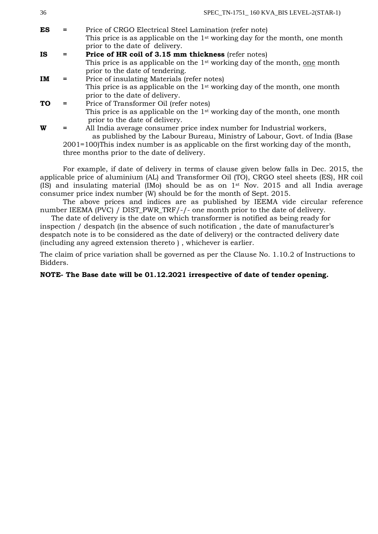| 30.       |   | SPEC $IN-1/51$ 100 KVA BIS LEVEL- $2(SIAK-1)$                                                                   |
|-----------|---|-----------------------------------------------------------------------------------------------------------------|
| ES        |   | Price of CRGO Electrical Steel Lamination (refer note)                                                          |
|           |   | This price is as applicable on the $1st$ working day for the month, one month<br>prior to the date of delivery. |
| <b>IS</b> |   | Price of HR coil of 3.15 mm thickness (refer notes)                                                             |
|           |   | This price is as applicable on the 1 <sup>st</sup> working day of the month, one month                          |
|           |   | prior to the date of tendering.                                                                                 |
| IM        |   | Price of insulating Materials (refer notes)                                                                     |
|           |   | This price is as applicable on the 1 <sup>st</sup> working day of the month, one month                          |
|           |   | prior to the date of delivery.                                                                                  |
| <b>TO</b> |   | Price of Transformer Oil (refer notes)                                                                          |
|           |   | This price is as applicable on the 1 <sup>st</sup> working day of the month, one month                          |
|           |   | prior to the date of delivery.                                                                                  |
| W         | = | All India average consumer price index number for Industrial workers,                                           |
|           |   | as published by the Labour Bureau, Ministry of Labour, Govt. of India (Base                                     |

2001=100)This index number is as applicable on the first working day of the month, three months prior to the date of delivery.

For example, if date of delivery in terms of clause given below falls in Dec. 2015, the applicable price of aluminium (AL) and Transformer Oil (TO), CRGO steel sheets (ES), HR coil (IS) and insulating material (IMo) should be as on 1st Nov. 2015 and all India average consumer price index number (W) should be for the month of Sept. 2015.

The above prices and indices are as published by IEEMA vide circular reference number IEEMA (PVC) / DIST\_PWR\_TRF/-/- one month prior to the date of delivery.

 The date of delivery is the date on which transformer is notified as being ready for inspection / despatch (in the absence of such notification , the date of manufacturer's despatch note is to be considered as the date of delivery) or the contracted delivery date (including any agreed extension thereto ) , whichever is earlier.

The claim of price variation shall be governed as per the Clause No. 1.10.2 of Instructions to Bidders.

## **NOTE- The Base date will be 01.12.2021 irrespective of date of tender opening.**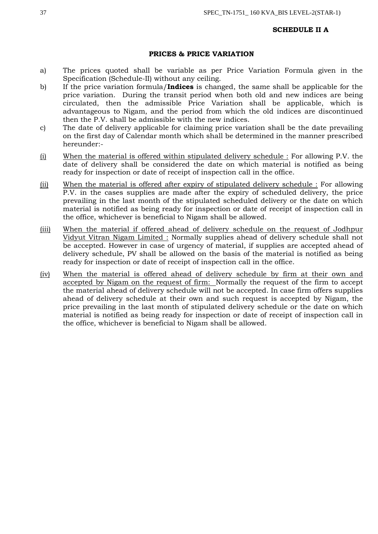### **SCHEDULE II A**

### **PRICES & PRICE VARIATION**

- a) The prices quoted shall be variable as per Price Variation Formula given in the Specification (Schedule-II) without any ceiling.
- b) If the price variation formula/**Indices** is changed, the same shall be applicable for the price variation. During the transit period when both old and new indices are being circulated, then the admissible Price Variation shall be applicable, which is advantageous to Nigam, and the period from which the old indices are discontinued then the P.V. shall be admissible with the new indices.
- c) The date of delivery applicable for claiming price variation shall be the date prevailing on the first day of Calendar month which shall be determined in the manner prescribed hereunder:-
- (i) When the material is offered within stipulated delivery schedule : For allowing P.V. the date of delivery shall be considered the date on which material is notified as being ready for inspection or date of receipt of inspection call in the office.
- (ii) When the material is offered after expiry of stipulated delivery schedule : For allowing P.V. in the cases supplies are made after the expiry of scheduled delivery, the price prevailing in the last month of the stipulated scheduled delivery or the date on which material is notified as being ready for inspection or date of receipt of inspection call in the office, whichever is beneficial to Nigam shall be allowed.
- (iii) When the material if offered ahead of delivery schedule on the request of Jodhpur Vidyut Vitran Nigam Limited : Normally supplies ahead of delivery schedule shall not be accepted. However in case of urgency of material, if supplies are accepted ahead of delivery schedule, PV shall be allowed on the basis of the material is notified as being ready for inspection or date of receipt of inspection call in the office.
- (iv) When the material is offered ahead of delivery schedule by firm at their own and accepted by Nigam on the request of firm: Normally the request of the firm to accept the material ahead of delivery schedule will not be accepted. In case firm offers supplies ahead of delivery schedule at their own and such request is accepted by Nigam, the price prevailing in the last month of stipulated delivery schedule or the date on which material is notified as being ready for inspection or date of receipt of inspection call in the office, whichever is beneficial to Nigam shall be allowed.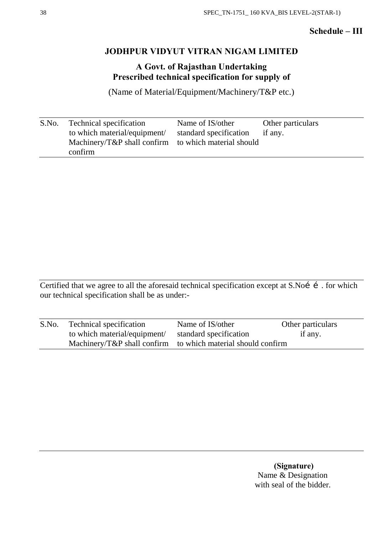## **Schedule – III**

## **JODHPUR VIDYUT VITRAN NIGAM LIMITED**

**A Govt. of Rajasthan Undertaking Prescribed technical specification for supply of** 

(Name of Material/Equipment/Machinery/T&P etc.)

| S.No. | <b>Technical specification</b>                       | Name of IS/other               | Other particulars |
|-------|------------------------------------------------------|--------------------------------|-------------------|
|       | to which material/equipment/                         | standard specification if any. |                   |
|       | Machinery/T&P shall confirm to which material should |                                |                   |
|       | confirm                                              |                                |                   |

Certified that we agree to all the aforesaid technical specification except at S.Noí í. for which our technical specification shall be as under:-

| S.No. | Technical specification      | Name of IS/other                                             | Other particulars |
|-------|------------------------------|--------------------------------------------------------------|-------------------|
|       | to which material/equipment/ | standard specification                                       | if any.           |
|       |                              | Machinery/T&P shall confirm to which material should confirm |                   |

**(Signature)** Name & Designation with seal of the bidder.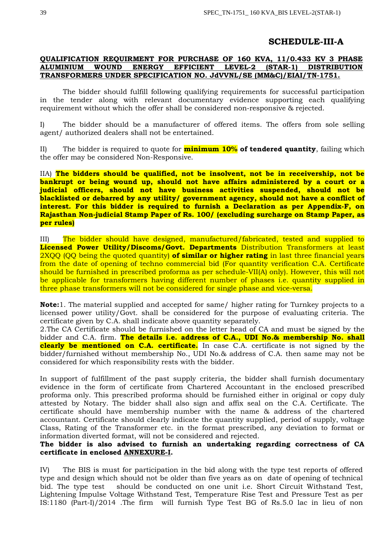## **SCHEDULE-III-A**

## **QUALIFICATION REQUIRMENT FOR PURCHASE OF 160 KVA, 11/0.433 KV 3 PHASE ALUMINIUM WOUND ENERGY EFFICIENT LEVEL-2 (STAR-1) DISTRIBUTION TRANSFORMERS UNDER SPECIFICATION NO. JdVVNL/SE (MM&C)/EIAI/TN-1751.**

The bidder should fulfill following qualifying requirements for successful participation in the tender along with relevant documentary evidence supporting each qualifying requirement without which the offer shall be considered non-responsive & rejected.

I) The bidder should be a manufacturer of offered items. The offers from sole selling agent/ authorized dealers shall not be entertained.

II) The bidder is required to quote for **minimum 10% of tendered quantity**, failing which the offer may be considered Non-Responsive.

IIA) **The bidders should be qualified, not be insolvent, not be in receivership, not be bankrupt or being wound up, should not have affairs administered by a court or a judicial officers, should not have business activities suspended, should not be blacklisted or debarred by any utility/ government agency, should not have a conflict of interest. For this bidder is required to furnish a Declaration as per Appendix-F, on Rajasthan Non-judicial Stamp Paper of Rs. 100/ (excluding surcharge on Stamp Paper, as per rules)**

III)The bidder should have designed, manufactured/fabricated, tested and supplied to **Licensed Power Utility/Discoms/Govt. Departments** Distribution Transformers at least 2XQQ (QQ being the quoted quantity) **of similar or higher rating** in last three financial years from the date of opening of techno commercial bid (For quantity verification C.A. Certificate should be furnished in prescribed proforma as per schedule-VII(A) only). However, this will not be applicable for transformers having different number of phases *i.e.* quantity supplied in three phase transformers will not be considered for single phase and vice-versa.

**Note:**1. The material supplied and accepted for same/ higher rating for Turnkey projects to a licensed power utility/Govt. shall be considered for the purpose of evaluating criteria. The certificate given by C.A. shall indicate above quantity separately.

2.The CA Certificate should be furnished on the letter head of CA and must be signed by the bidder and C.A. firm. **The details i.e. address of C.A., UDI No.& membership No. shall clearly be mentioned on C.A. certificate.** In case C.A. certificate is not signed by the bidder/furnished without membership No., UDI No.& address of C.A. then same may not be considered for which responsibility rests with the bidder.

In support of fulfillment of the past supply criteria, the bidder shall furnish documentary evidence in the form of certificate from Chartered Accountant in the enclosed prescribed proforma only. This prescribed proforma should be furnished either in original or copy duly attested by Notary. The bidder shall also sign and affix seal on the C.A. Certificate. The certificate should have membership number with the name & address of the chartered accountant. Certificate should clearly indicate the quantity supplied, period of supply, voltage Class, Rating of the Transformer etc. in the format prescribed, any deviation to format or information diverted format, will not be considered and rejected.

## **The bidder is also advised to furnish an undertaking regarding correctness of CA certificate in enclosed ANNEXURE-I.**

IV) The BIS is must for participation in the bid along with the type test reports of offered type and design which should not be older than five years as on date of opening of technical bid. The type test should be conducted on one unit i.e. Short Circuit Withstand Test, Lightening Impulse Voltage Withstand Test, Temperature Rise Test and Pressure Test as per IS:1180 (Part-I)/2014 .The firm will furnish Type Test BG of Rs.5.0 lac in lieu of non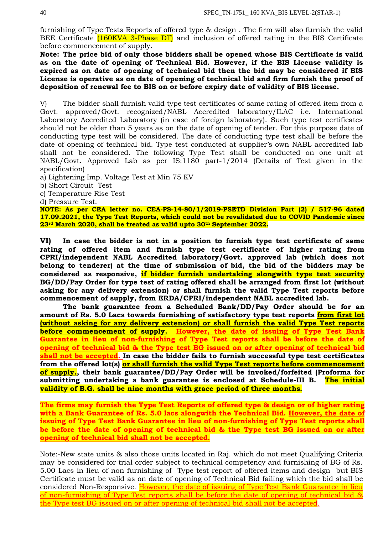furnishing of Type Tests Reports of offered type & design . The firm will also furnish the valid BEE Certificate (160KVA 3-Phase DT) and inclusion of offered rating in the BIS Certificate before commencement of supply.

**Note: The price bid of only those bidders shall be opened whose BIS Certificate is valid as on the date of opening of Technical Bid. However, if the BIS License validity is expired as on date of opening of technical bid then the bid may be considered if BIS License is operative as on date of opening of technical bid and firm furnish the proof of deposition of renewal fee to BIS on or before expiry date of validity of BIS license.** 

V) The bidder shall furnish valid type test certificates of same rating of offered item from a Govt. approved/Govt. recognized/NABL Accredited laboratory/ILAC i.e. International Laboratory Accredited Laboratory (in case of foreign laboratory). Such type test certificates should not be older than 5 years as on the date of opening of tender. For this purpose date of conducting type test will be considered. The date of conducting type test shall be before the date of opening of technical bid. Type test conducted at supplier's own NABL accredited lab shall not be considered. The following Type Test shall be conducted on one unit at NABL/Govt. Approved Lab as per IS:1180 part-1/2014 (Details of Test given in the specification)

a) Lightening Imp. Voltage Test at Min 75 KV

b) Short Circuit Test

c) Temperature Rise Test

d) Pressure Test.

**NOTE: As per CEA letter no. CEA-PS-14-80/1/2019-PSETD Division Part (2) / 517-96 dated 17.09.2021, the Type Test Reports, which could not be revalidated due to COVID Pandemic since 23rd March 2020, shall be treated as valid upto 30th September 2022.**

**VI) In case the bidder is not in a position to furnish type test certificate of same rating of offered item and furnish type test certificate of higher rating from CPRI/independent NABL Accredited laboratory/Govt. approved lab (which does not belong to tenderer) at the time of submission of bid, the bid of the bidders may be considered as responsive, if bidder furnish undertaking alongwith type test security BG/DD/Pay Order for type test of rating offered shall be arranged from first lot (without asking for any delivery extension) or shall furnish the valid Type Test reports before commencement of supply, from ERDA/CPRI/independent NABL accredited lab.**

**The bank guarantee from a Scheduled Bank/DD/Pay Order should be for an amount of Rs. 5.0 Lacs towards furnishing of satisfactory type test reports from first lot (without asking for any delivery extension) or shall furnish the valid Type Test reports before commencement of supply. However, the date of issuing of Type Test Bank Guarantee in lieu of non-furnishing of Type Test reports shall be before the date of opening of technical bid & the Type test BG issued on or after opening of technical bid shall not be accepted. In case the bidder fails to furnish successful type test certificates from the offered lot(s) or shall furnish the valid Type Test reports before commencement of supply., their bank guarantee/DD/Pay Order will be invoked/forfeited (Proforma for submitting undertaking a bank guarantee is enclosed at Schedule-III B. The initial validity of B.G. shall be nine months with grace period of three months.**

**The firms may furnish the Type Test Reports of offered type & design or of higher rating with a Bank Guarantee of Rs. 5.0 lacs alongwith the Technical Bid. However, the date of issuing of Type Test Bank Guarantee in lieu of non-furnishing of Type Test reports shall be before the date of opening of technical bid & the Type test BG issued on or after opening of technical bid shall not be accepted.**

Note:-New state units & also those units located in Raj. which do not meet Qualifying Criteria may be considered for trial order subject to technical competency and furnishing of BG of Rs. 5.00 Lacs in lieu of non furnishing of Type test report of offered items and design but BIS Certificate must be valid as on date of opening of Technical Bid failing which the bid shall be considered Non-Responsive. However, the date of issuing of Type Test Bank Guarantee in lieu of non-furnishing of Type Test reports shall be before the date of opening of technical bid  $\&$ the Type test BG issued on or after opening of technical bid shall not be accepted.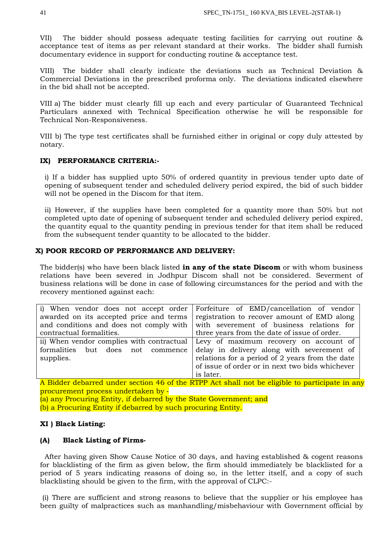VII) The bidder should possess adequate testing facilities for carrying out routine & acceptance test of items as per relevant standard at their works. The bidder shall furnish documentary evidence in support for conducting routine & acceptance test.

The bidder shall clearly indicate the deviations such as Technical Deviation  $\&$ Commercial Deviations in the prescribed proforma only. The deviations indicated elsewhere in the bid shall not be accepted.

VIII a) The bidder must clearly fill up each and every particular of Guaranteed Technical Particulars annexed with Technical Specification otherwise he will be responsible for Technical Non-Responsiveness.

VIII b) The type test certificates shall be furnished either in original or copy duly attested by notary.

## **IX) PERFORMANCE CRITERIA:-**

i) If a bidder has supplied upto 50% of ordered quantity in previous tender upto date of opening of subsequent tender and scheduled delivery period expired, the bid of such bidder will not be opened in the Discom for that item.

ii) However, if the supplies have been completed for a quantity more than 50% but not completed upto date of opening of subsequent tender and scheduled delivery period expired, the quantity equal to the quantity pending in previous tender for that item shall be reduced from the subsequent tender quantity to be allocated to the bidder.

## **X) POOR RECORD OF PERFORMANCE AND DELIVERY:**

The bidder(s) who have been black listed **in any of the state Discom** or with whom business relations have been severed in Jodhpur Discom shall not be considered. Severment of business relations will be done in case of following circumstances for the period and with the recovery mentioned against each:

| i) When vendor does not accept order      | Forfeiture of EMD/cancellation of vendor        |  |  |  |
|-------------------------------------------|-------------------------------------------------|--|--|--|
| awarded on its accepted price and terms   | registration to recover amount of EMD along     |  |  |  |
| and conditions and does not comply with   | with severement of business relations for       |  |  |  |
| contractual formalities.                  | three years from the date of issue of order.    |  |  |  |
| ii) When vendor complies with contractual | Levy of maximum recovery on account of          |  |  |  |
| formalities but does not commence         | delay in delivery along with severement of      |  |  |  |
| supplies.                                 | relations for a period of 2 years from the date |  |  |  |
|                                           | of issue of order or in next two bids whichever |  |  |  |
|                                           | is later.                                       |  |  |  |

A Bidder debarred under section 46 of the RTPP Act shall not be eligible to participate in any procurement process undertaken by ‐

(a) any Procuring Entity, if debarred by the State Government; and

(b) a Procuring Entity if debarred by such procuring Entity.

## **XI ) Black Listing:**

### **(A) Black Listing of Firms-**

 After having given Show Cause Notice of 30 days, and having established & cogent reasons for blacklisting of the firm as given below, the firm should immediately be blacklisted for a period of 5 years indicating reasons of doing so, in the letter itself, and a copy of such blacklisting should be given to the firm, with the approval of CLPC:-

(i) There are sufficient and strong reasons to believe that the supplier or his employee has been guilty of malpractices such as manhandling/misbehaviour with Government official by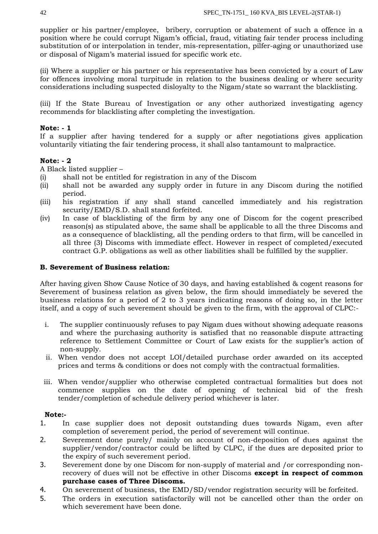supplier or his partner/employee, bribery, corruption or abatement of such a offence in a position where he could corrupt Nigam's official, fraud, vitiating fair tender process including substitution of or interpolation in tender, mis-representation, pilfer-aging or unauthorized use or disposal of Nigam's material issued for specific work etc.

(ii) Where a supplier or his partner or his representative has been convicted by a court of Law for offences involving moral turpitude in relation to the business dealing or where security considerations including suspected disloyalty to the Nigam/state so warrant the blacklisting.

(iii) If the State Bureau of Investigation or any other authorized investigating agency recommends for blacklisting after completing the investigation.

## **Note: - 1**

If a supplier after having tendered for a supply or after negotiations gives application voluntarily vitiating the fair tendering process, it shall also tantamount to malpractice.

## **Note: - 2**

A Black listed supplier –

- (i) shall not be entitled for registration in any of the Discom
- (ii) shall not be awarded any supply order in future in any Discom during the notified period.
- (iii) his registration if any shall stand cancelled immediately and his registration security/EMD/S.D. shall stand forfeited.
- (iv) In case of blacklisting of the firm by any one of Discom for the cogent prescribed reason(s) as stipulated above, the same shall be applicable to all the three Discoms and as a consequence of blacklisting, all the pending orders to that firm, will be cancelled in all three (3) Discoms with immediate effect. However in respect of completed/executed contract G.P. obligations as well as other liabilities shall be fulfilled by the supplier.

## **B. Severement of Business relation:**

After having given Show Cause Notice of 30 days, and having established & cogent reasons for Severement of business relation as given below, the firm should immediately be severed the business relations for a period of 2 to 3 years indicating reasons of doing so, in the letter itself, and a copy of such severement should be given to the firm, with the approval of CLPC:-

- i. The supplier continuously refuses to pay Nigam dues without showing adequate reasons and where the purchasing authority is satisfied that no reasonable dispute attracting reference to Settlement Committee or Court of Law exists for the supplier's action of non-supply.
- ii. When vendor does not accept LOI/detailed purchase order awarded on its accepted prices and terms & conditions or does not comply with the contractual formalities.
- iii. When vendor/supplier who otherwise completed contractual formalities but does not commence supplies on the date of opening of technical bid of the fresh tender/completion of schedule delivery period whichever is later.

## **Note:-**

- 1. In case supplier does not deposit outstanding dues towards Nigam, even after completion of severement period, the period of severement will continue.
- 2. Severement done purely/ mainly on account of non-deposition of dues against the supplier/vendor/contractor could be lifted by CLPC, if the dues are deposited prior to the expiry of such severement period.
- 3. Severement done by one Discom for non-supply of material and /or corresponding nonrecovery of dues will not be effective in other Discoms **except in respect of common purchase cases of Three Discoms.**
- 4. On severement of business, the EMD/SD/vendor registration security will be forfeited.
- 5. The orders in execution satisfactorily will not be cancelled other than the order on which severement have been done.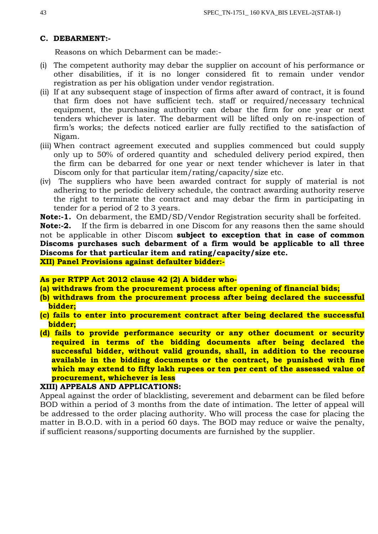## **C. DEBARMENT:-**

Reasons on which Debarment can be made:-

- (i) The competent authority may debar the supplier on account of his performance or other disabilities, if it is no longer considered fit to remain under vendor registration as per his obligation under vendor registration.
- (ii) If at any subsequent stage of inspection of firms after award of contract, it is found that firm does not have sufficient tech. staff or required/necessary technical equipment, the purchasing authority can debar the firm for one year or next tenders whichever is later. The debarment will be lifted only on re-inspection of firm's works; the defects noticed earlier are fully rectified to the satisfaction of Nigam.
- (iii) When contract agreement executed and supplies commenced but could supply only up to 50% of ordered quantity and scheduled delivery period expired, then the firm can be debarred for one year or next tender whichever is later in that Discom only for that particular item/rating/capacity/size etc.
- (iv) The suppliers who have been awarded contract for supply of material is not adhering to the periodic delivery schedule, the contract awarding authority reserve the right to terminate the contract and may debar the firm in participating in tender for a period of 2 to 3 years.

**Note:-1.** On debarment, the EMD/SD/Vendor Registration security shall be forfeited.

**Note:-2.** If the firm is debarred in one Discom for any reasons then the same should not be applicable in other Discom **subject to exception that in case of common Discoms purchases such debarment of a firm would be applicable to all three Discoms for that particular item and rating/capacity/size etc. XII) Panel Provisions against defaulter bidder:-**

## **As per RTPP Act 2012 clause 42 (2) A bidder who-**

- **(a) withdraws from the procurement process after opening of financial bids;**
- **(b) withdraws from the procurement process after being declared the successful bidder;**
- **(c) fails to enter into procurement contract after being declared the successful bidder;**
- **(d) fails to provide performance security or any other document or security required in terms of the bidding documents after being declared the successful bidder, without valid grounds, shall, in addition to the recourse available in the bidding documents or the contract, be punished with fine which may extend to fifty lakh rupees or ten per cent of the assessed value of procurement, whichever is less**

### **XIII) APPEALS AND APPLICATIONS:**

Appeal against the order of blacklisting, severement and debarment can be filed before BOD within a period of 3 months from the date of intimation. The letter of appeal will be addressed to the order placing authority. Who will process the case for placing the matter in B.O.D. with in a period 60 days. The BOD may reduce or waive the penalty, if sufficient reasons/supporting documents are furnished by the supplier.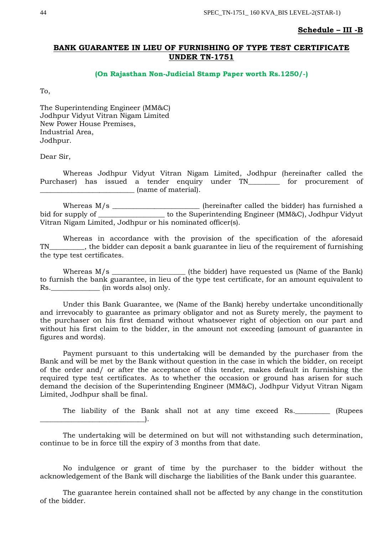### **Schedule – III -B**

## **BANK GUARANTEE IN LIEU OF FURNISHING OF TYPE TEST CERTIFICATE UNDER TN-1751**

### **(On Rajasthan Non-Judicial Stamp Paper worth Rs.1250/-)**

To,

The Superintending Engineer (MM&C) Jodhpur Vidyut Vitran Nigam Limited New Power House Premises, Industrial Area, Jodhpur.

Dear Sir,

Whereas Jodhpur Vidyut Vitran Nigam Limited, Jodhpur (hereinafter called the Purchaser) has issued a tender enquiry under TN\_\_\_\_\_\_\_\_ for procurement of \_\_\_\_\_\_\_\_\_\_\_\_\_\_\_\_\_\_\_\_\_\_\_\_\_\_\_ (name of material).

Whereas M/s \_\_\_\_\_\_\_\_\_\_\_\_\_\_\_\_\_\_\_\_\_\_\_\_\_ (hereinafter called the bidder) has furnished a bid for supply of \_\_\_\_\_\_\_\_\_\_\_\_\_\_\_\_\_\_\_\_ to the Superintending Engineer (MM&C), Jodhpur Vidyut Vitran Nigam Limited, Jodhpur or his nominated officer(s).

Whereas in accordance with the provision of the specification of the aforesaid TN FIMERT 2.1 THE bidder can deposit a bank guarantee in lieu of the requirement of furnishing the type test certificates.

Whereas M/s \_\_\_\_\_\_\_\_\_\_\_\_\_\_\_\_\_\_\_\_\_ (the bidder) have requested us (Name of the Bank) to furnish the bank guarantee, in lieu of the type test certificate, for an amount equivalent to Rs.\_\_\_\_\_\_\_\_\_\_\_\_\_\_ (in words also) only.

Under this Bank Guarantee, we (Name of the Bank) hereby undertake unconditionally and irrevocably to guarantee as primary obligator and not as Surety merely, the payment to the purchaser on his first demand without whatsoever right of objection on our part and without his first claim to the bidder, in the amount not exceeding (amount of guarantee in figures and words).

Payment pursuant to this undertaking will be demanded by the purchaser from the Bank and will be met by the Bank without question in the case in which the bidder, on receipt of the order and/ or after the acceptance of this tender, makes default in furnishing the required type test certificates. As to whether the occasion or ground has arisen for such demand the decision of the Superintending Engineer (MM&C), Jodhpur Vidyut Vitran Nigam Limited, Jodhpur shall be final.

The liability of the Bank shall not at any time exceed Rs.\_\_\_\_\_\_\_\_\_\_ (Rupees  $\Box$ 

The undertaking will be determined on but will not withstanding such determination, continue to be in force till the expiry of 3 months from that date.

No indulgence or grant of time by the purchaser to the bidder without the acknowledgement of the Bank will discharge the liabilities of the Bank under this guarantee.

The guarantee herein contained shall not be affected by any change in the constitution of the bidder.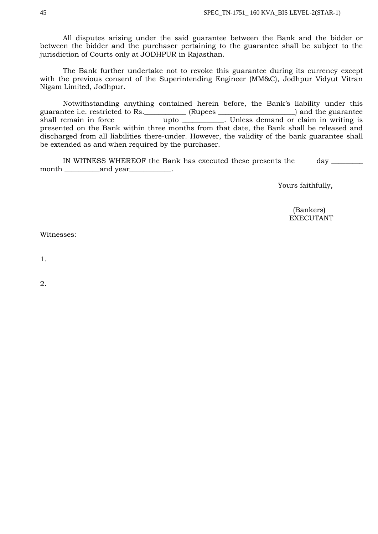All disputes arising under the said guarantee between the Bank and the bidder or between the bidder and the purchaser pertaining to the guarantee shall be subject to the jurisdiction of Courts only at JODHPUR in Rajasthan.

The Bank further undertake not to revoke this guarantee during its currency except with the previous consent of the Superintending Engineer (MM&C), Jodhpur Vidyut Vitran Nigam Limited, Jodhpur.

Notwithstanding anything contained herein before, the Bank's liability under this guarantee i.e. restricted to Rs.\_\_\_\_\_\_\_\_\_\_\_\_ (Rupees \_\_\_\_\_\_\_\_\_\_\_\_\_\_\_\_\_\_\_\_\_\_) and the guarantee shall remain in force Theorem University Contracts Unless demand or claim in writing is presented on the Bank within three months from that date, the Bank shall be released and discharged from all liabilities there-under. However, the validity of the bank guarantee shall be extended as and when required by the purchaser.

IN WITNESS WHEREOF the Bank has executed these presents the day \_\_\_\_\_\_\_\_\_\_\_\_\_\_\_\_ month \_\_\_\_\_\_\_\_\_\_and year\_\_\_\_\_\_\_\_\_\_\_\_.

Yours faithfully,

 (Bankers) EXECUTANT

Witnesses:

1.

2.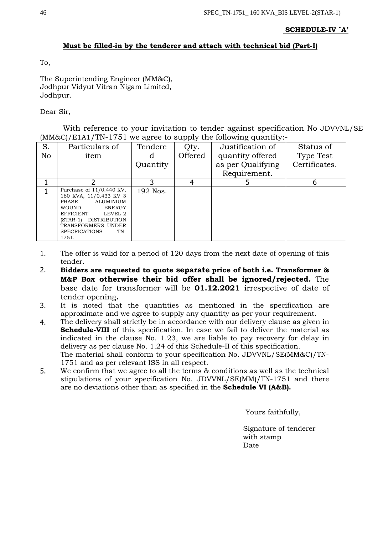## **SCHEDULE-IV `A'**

## **Must be filled-in by the tenderer and attach with technical bid (Part-I)**

To,

The Superintending Engineer (MM&C), Jodhpur Vidyut Vitran Nigam Limited, Jodhpur.

## Dear Sir,

With reference to your invitation to tender against specification No JDVVNL/SE (MM&C)/E1A1/TN-1751 we agree to supply the following quantity:-

| S. | Particulars of                                                                                                                                                                                                      | Tendere  | Qty.    | Justification of  | Status of     |
|----|---------------------------------------------------------------------------------------------------------------------------------------------------------------------------------------------------------------------|----------|---------|-------------------|---------------|
| No | item                                                                                                                                                                                                                |          | Offered | quantity offered  | Type Test     |
|    |                                                                                                                                                                                                                     | Quantity |         | as per Qualifying | Certificates. |
|    |                                                                                                                                                                                                                     |          |         | Requirement.      |               |
|    |                                                                                                                                                                                                                     |          |         |                   |               |
|    | Purchase of $11/0.440$ KV,<br>160 KVA, 11/0.433 KV 3<br>ALUMINIUM<br>PHASE<br><b>WOUND</b><br>ENERGY<br>EFFICIENT<br>LEVEL-2<br>(STAR-1) DISTRIBUTION<br>TRANSFORMERS UNDER<br><b>SPECFICATIONS</b><br>TN-<br>1751. | 192 Nos. |         |                   |               |

- 1. The offer is valid for a period of 120 days from the next date of opening of this tender.
- 2. **Bidders are requested to quote separate price of both i.e. Transformer & M&P Box otherwise their bid offer shall be ignored/rejected.** The base date for transformer will be **01.12.2021** irrespective of date of tender opening**.**
- 3. It is noted that the quantities as mentioned in the specification are approximate and we agree to supply any quantity as per your requirement.
- 4. The delivery shall strictly be in accordance with our delivery clause as given in **Schedule-VIII** of this specification. In case we fail to deliver the material as indicated in the clause No. 1.23, we are liable to pay recovery for delay in delivery as per clause No. 1.24 of this Schedule-II of this specification. The material shall conform to your specification No. JDVVNL/SE(MM&C)/TN-1751 and as per relevant ISS in all respect.
- 5. We confirm that we agree to all the terms & conditions as well as the technical stipulations of your specification No. JDVVNL/SE(MM)/TN-1751 and there are no deviations other than as specified in the **Schedule VI (A&B).**

Yours faithfully,

 Signature of tenderer with stamp Date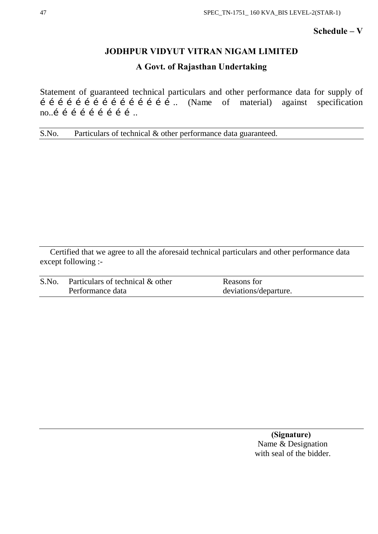## **Schedule – V**

## **JODHPUR VIDYUT VITRAN NIGAM LIMITED**

## **A Govt. of Rajasthan Undertaking**

Statement of guaranteed technical particulars and other performance data for supply of  $\overrightarrow{\textbf{i}}$   $\overrightarrow{\textbf{i}}$   $\overrightarrow{\textbf{i}}$   $\overrightarrow{\textbf{i}}$   $\overrightarrow{\textbf{i}}$   $\overrightarrow{\textbf{i}}$   $\overrightarrow{\textbf{i}}$   $\overrightarrow{\textbf{i}}$   $\overrightarrow{\textbf{i}}$   $\overrightarrow{\textbf{i}}$   $\overrightarrow{\textbf{i}}$   $\overrightarrow{\textbf{i}}$   $\overrightarrow{\textbf{i}}$   $\overrightarrow{\textbf{i}}$   $\overrightarrow{\textbf{i}}$   $\overrightarrow{\textbf{i}}$   $\overrightarrow{\textbf{i}}$   $\overrightarrow{\textbf{i}}$   $\overrightarrow{\textbf{i}}$   $\overrightarrow{\textbf{i}}$  no..í í í í í í í í í ..

S.No. Particulars of technical & other performance data guaranteed.

Certified that we agree to all the aforesaid technical particulars and other performance data except following :-

| S.No | Particulars of technical & other | Reasons for           |
|------|----------------------------------|-----------------------|
|      | Performance data                 | deviations/departure. |

 **(Signature)** Name & Designation with seal of the bidder.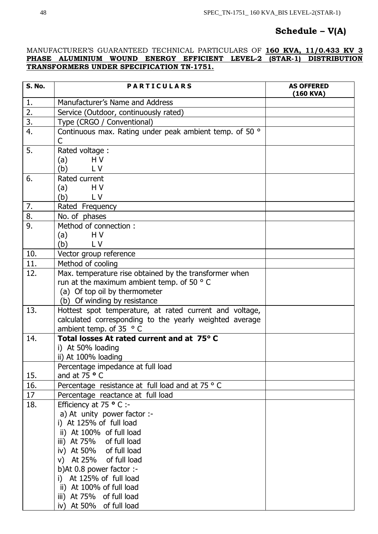## **Schedule – V(A)**

## MANUFACTURER'S GUARANTEED TECHNICAL PARTICULARS OF **160 KVA, 11/0.433 KV 3 PHASE ALUMINIUM WOUND ENERGY EFFICIENT LEVEL-2 (STAR-1) DISTRIBUTION TRANSFORMERS UNDER SPECIFICATION TN-1751.**

| <b>S. No.</b>    | <b>PARTICULARS</b>                                                                                                                                                                                                                                                                                                                               | <b>AS OFFERED</b><br>(160 KVA) |
|------------------|--------------------------------------------------------------------------------------------------------------------------------------------------------------------------------------------------------------------------------------------------------------------------------------------------------------------------------------------------|--------------------------------|
| 1.               | Manufacturer's Name and Address                                                                                                                                                                                                                                                                                                                  |                                |
| 2.               | Service (Outdoor, continuously rated)                                                                                                                                                                                                                                                                                                            |                                |
| $\overline{3}$ . | Type (CRGO / Conventional)                                                                                                                                                                                                                                                                                                                       |                                |
| 4.               | Continuous max. Rating under peak ambient temp. of 50 °<br>C                                                                                                                                                                                                                                                                                     |                                |
| 5.               | Rated voltage:<br>(a)<br>H V<br>L V<br>(b)                                                                                                                                                                                                                                                                                                       |                                |
| 6.               | Rated current<br>H V<br>(a)<br>(b)<br><b>LV</b>                                                                                                                                                                                                                                                                                                  |                                |
| 7.               | Rated Frequency                                                                                                                                                                                                                                                                                                                                  |                                |
| $\overline{8}$ . | No. of phases                                                                                                                                                                                                                                                                                                                                    |                                |
| 9.               | Method of connection:<br>(a)<br>H <sub>V</sub><br>(b)<br>LV                                                                                                                                                                                                                                                                                      |                                |
| 10.              | Vector group reference                                                                                                                                                                                                                                                                                                                           |                                |
| 11.              | Method of cooling                                                                                                                                                                                                                                                                                                                                |                                |
| 12.              | Max. temperature rise obtained by the transformer when<br>run at the maximum ambient temp. of 50 °C<br>(a) Of top oil by thermometer<br>(b) Of winding by resistance                                                                                                                                                                             |                                |
| 13.              | Hottest spot temperature, at rated current and voltage,<br>calculated corresponding to the yearly weighted average<br>ambient temp. of 35 $\degree$ C                                                                                                                                                                                            |                                |
| 14.              | Total losses At rated current and at 75° C<br>i) At 50% loading<br>ii) At 100% loading                                                                                                                                                                                                                                                           |                                |
|                  | Percentage impedance at full load                                                                                                                                                                                                                                                                                                                |                                |
| 15.              | and at $75 \circ C$                                                                                                                                                                                                                                                                                                                              |                                |
| 16.              | Percentage resistance at full load and at 75 ° C                                                                                                                                                                                                                                                                                                 |                                |
| 17               | Percentage reactance at full load                                                                                                                                                                                                                                                                                                                |                                |
| 18.              | Efficiency at 75 $\degree$ C :-<br>a) At unity power factor :-<br>i) At 125% of full load<br>ii) At 100% of full load<br>iii) At 75% of full load<br>iv) At 50% of full load<br>v) At 25% of full load<br>b)At 0.8 power factor :-<br>i) At 125% of full load<br>ii) At 100% of full load<br>iii) At 75% of full load<br>iv) At 50% of full load |                                |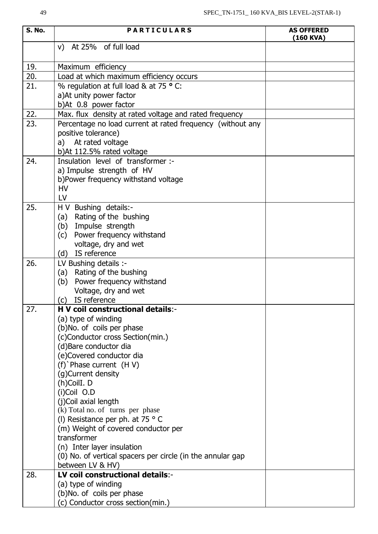| <b>S. No.</b> | <b>PARTICULARS</b>                                         | <b>AS OFFERED</b><br>$(160$ KVA) |
|---------------|------------------------------------------------------------|----------------------------------|
|               | v) At 25% of full load                                     |                                  |
| 19.           | Maximum efficiency                                         |                                  |
| 20.           | Load at which maximum efficiency occurs                    |                                  |
| 21.           | % regulation at full load & at 75 ° C:                     |                                  |
|               | a) At unity power factor                                   |                                  |
|               | b)At 0.8 power factor                                      |                                  |
| 22.           | Max. flux density at rated voltage and rated frequency     |                                  |
| 23.           | Percentage no load current at rated frequency (without any |                                  |
|               | positive tolerance)                                        |                                  |
|               | a) At rated voltage                                        |                                  |
|               | b)At 112.5% rated voltage                                  |                                  |
| 24.           | Insulation level of transformer :-                         |                                  |
|               | a) Impulse strength of HV                                  |                                  |
|               | b)Power frequency withstand voltage                        |                                  |
|               | <b>HV</b>                                                  |                                  |
|               | LV                                                         |                                  |
| 25.           | H V Bushing details:-                                      |                                  |
|               | (a) Rating of the bushing                                  |                                  |
|               | (b) Impulse strength                                       |                                  |
|               | (c) Power frequency withstand<br>voltage, dry and wet      |                                  |
|               | (d) IS reference                                           |                                  |
| 26.           | LV Bushing details :-                                      |                                  |
|               | (a) Rating of the bushing                                  |                                  |
|               | (b) Power frequency withstand                              |                                  |
|               | Voltage, dry and wet                                       |                                  |
|               | (c) IS reference                                           |                                  |
| 27.           | H V coil constructional details:-                          |                                  |
|               | (a) type of winding                                        |                                  |
|               | (b)No. of coils per phase                                  |                                  |
|               | (c)Conductor cross Section(min.)                           |                                  |
|               | (d) Bare conductor dia                                     |                                  |
|               | (e)Covered conductor dia<br>$(f)$ Phase current $(H V)$    |                                  |
|               | (g)Current density                                         |                                  |
|               | (h)CoilI. D                                                |                                  |
|               | (i)Coil O.D                                                |                                  |
|               | (j)Coil axial length                                       |                                  |
|               | (k) Total no. of turns per phase                           |                                  |
|               | (I) Resistance per ph. at 75 $\degree$ C                   |                                  |
|               | (m) Weight of covered conductor per                        |                                  |
|               | transformer                                                |                                  |
|               | (n) Inter layer insulation                                 |                                  |
|               | (0) No. of vertical spacers per circle (in the annular gap |                                  |
|               | between LV & HV)                                           |                                  |
| 28.           | LV coil constructional details:-                           |                                  |
|               | (a) type of winding                                        |                                  |
|               | (b)No. of coils per phase                                  |                                  |
|               | (c) Conductor cross section(min.)                          |                                  |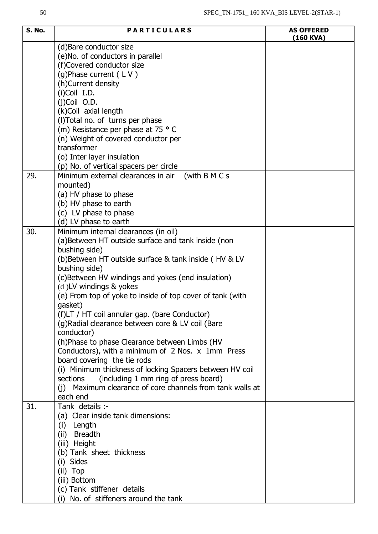| S. No. | <b>PARTICULARS</b>                                                  | <b>AS OFFERED</b><br>$(160$ KVA) |
|--------|---------------------------------------------------------------------|----------------------------------|
|        | (d) Bare conductor size<br>(e) No. of conductors in parallel        |                                  |
|        | (f)Covered conductor size                                           |                                  |
|        | (g)Phase current (LV)                                               |                                  |
|        | (h)Current density                                                  |                                  |
|        | $(i)$ Coil I.D.                                                     |                                  |
|        | $(i)$ Coil O.D.                                                     |                                  |
|        | (k)Coil axial length                                                |                                  |
|        | (I) Total no. of turns per phase                                    |                                  |
|        | (m) Resistance per phase at 75 ° C                                  |                                  |
|        | (n) Weight of covered conductor per                                 |                                  |
|        | transformer                                                         |                                  |
|        | (o) Inter layer insulation                                          |                                  |
|        | (p) No. of vertical spacers per circle                              |                                  |
| 29.    | (with B M C s<br>Minimum external clearances in air                 |                                  |
|        | mounted)                                                            |                                  |
|        | (a) HV phase to phase                                               |                                  |
|        | (b) HV phase to earth                                               |                                  |
|        | (c) LV phase to phase                                               |                                  |
| 30.    | (d) LV phase to earth                                               |                                  |
|        | Minimum internal clearances (in oil)                                |                                  |
|        | (a)Between HT outside surface and tank inside (non<br>bushing side) |                                  |
|        | (b)Between HT outside surface & tank inside (HV & LV                |                                  |
|        | bushing side)                                                       |                                  |
|        | (c)Between HV windings and yokes (end insulation)                   |                                  |
|        | (d)LV windings & yokes                                              |                                  |
|        | (e) From top of yoke to inside of top cover of tank (with           |                                  |
|        | gasket)                                                             |                                  |
|        | (f)LT / HT coil annular gap. (bare Conductor)                       |                                  |
|        | (g) Radial clearance between core & LV coil (Bare                   |                                  |
|        | conductor)                                                          |                                  |
|        | (h)Phase to phase Clearance between Limbs (HV                       |                                  |
|        | Conductors), with a minimum of 2 Nos. x 1mm Press                   |                                  |
|        | board covering the tie rods                                         |                                  |
|        | (i) Minimum thickness of locking Spacers between HV coil            |                                  |
|        | sections<br>(including 1 mm ring of press board)                    |                                  |
|        | (i) Maximum clearance of core channels from tank walls at           |                                  |
|        | each end                                                            |                                  |
| 31.    | Tank details :-                                                     |                                  |
|        | (a) Clear inside tank dimensions:                                   |                                  |
|        | (i) Length                                                          |                                  |
|        | <b>Breadth</b><br>(ii)                                              |                                  |
|        | (iii) Height                                                        |                                  |
|        | (b) Tank sheet thickness                                            |                                  |
|        | (i) Sides                                                           |                                  |
|        | (ii) Top                                                            |                                  |
|        | (iii) Bottom                                                        |                                  |
|        | (c) Tank stiffener details                                          |                                  |
|        | (i) No. of stiffeners around the tank                               |                                  |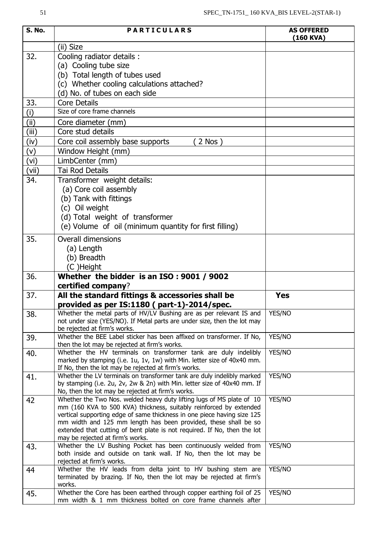| <b>S. No.</b> | <b>PARTICULARS</b>                                                                                                                                 | <b>AS OFFERED</b> |
|---------------|----------------------------------------------------------------------------------------------------------------------------------------------------|-------------------|
|               |                                                                                                                                                    | (160 KVA)         |
|               | (ii) Size                                                                                                                                          |                   |
| 32.           | Cooling radiator details :<br>(a) Cooling tube size                                                                                                |                   |
|               | (b) Total length of tubes used                                                                                                                     |                   |
|               | (c) Whether cooling calculations attached?                                                                                                         |                   |
|               | (d) No. of tubes on each side                                                                                                                      |                   |
| 33.           | <b>Core Details</b>                                                                                                                                |                   |
| (i)           | Size of core frame channels                                                                                                                        |                   |
| (ii)          | Core diameter (mm)                                                                                                                                 |                   |
| (iii)         | Core stud details                                                                                                                                  |                   |
| (iv)          | Core coil assembly base supports<br>$2$ Nos $)$                                                                                                    |                   |
| (v)           | Window Height (mm)                                                                                                                                 |                   |
| (vi)          | LimbCenter (mm)                                                                                                                                    |                   |
| (vii)         | <b>Tai Rod Details</b>                                                                                                                             |                   |
| 34.           | Transformer weight details:                                                                                                                        |                   |
|               | (a) Core coil assembly                                                                                                                             |                   |
|               | (b) Tank with fittings                                                                                                                             |                   |
|               | (c) Oil weight                                                                                                                                     |                   |
|               | (d) Total weight of transformer                                                                                                                    |                   |
|               | (e) Volume of oil (minimum quantity for first filling)                                                                                             |                   |
| 35.           |                                                                                                                                                    |                   |
|               | <b>Overall dimensions</b>                                                                                                                          |                   |
|               | (a) Length<br>(b) Breadth                                                                                                                          |                   |
|               | (C)Height                                                                                                                                          |                   |
| 36.           | Whether the bidder is an ISO: 9001 / 9002                                                                                                          |                   |
|               | certified company?                                                                                                                                 |                   |
| 37.           | All the standard fittings & accessories shall be                                                                                                   | <b>Yes</b>        |
|               | provided as per IS:1180 (part-1)-2014/spec.                                                                                                        |                   |
| 38.           | Whether the metal parts of HV/LV Bushing are as per relevant IS and                                                                                | YES/NO            |
|               | not under size (YES/NO). If Metal parts are under size, then the lot may                                                                           |                   |
|               | be rejected at firm's works.                                                                                                                       |                   |
| 39.           | Whether the BEE Label sticker has been affixed on transformer. If No,<br>then the lot may be rejected at firm's works.                             | YES/NO            |
| 40.           | Whether the HV terminals on transformer tank are duly indelibly                                                                                    | YES/NO            |
|               | marked by stamping (i.e. 1u, 1v, 1w) with Min. letter size of 40x40 mm.                                                                            |                   |
|               | If No, then the lot may be rejected at firm's works.                                                                                               |                   |
| 41.           | Whether the LV terminals on transformer tank are duly indelibly marked<br>by stamping (i.e. 2u, 2v, 2w & 2n) with Min. letter size of 40x40 mm. If | YES/NO            |
|               | No, then the lot may be rejected at firm's works.                                                                                                  |                   |
| 42            | Whether the Two Nos. welded heavy duty lifting lugs of MS plate of 10                                                                              | YES/NO            |
|               | mm (160 KVA to 500 KVA) thickness, suitably reinforced by extended                                                                                 |                   |
|               | vertical supporting edge of same thickness in one piece having size 125<br>mm width and 125 mm length has been provided, these shall be so         |                   |
|               | extended that cutting of bent plate is not required. If No, then the lot                                                                           |                   |
|               | may be rejected at firm's works.                                                                                                                   |                   |
| 43.           | Whether the LV Bushing Pocket has been continuously welded from                                                                                    | YES/NO            |
|               | both inside and outside on tank wall. If No, then the lot may be                                                                                   |                   |
|               | rejected at firm's works.<br>Whether the HV leads from delta joint to HV bushing stem are                                                          | YES/NO            |
| 44            | terminated by brazing. If No, then the lot may be rejected at firm's                                                                               |                   |
|               | works.                                                                                                                                             |                   |
| 45.           | Whether the Core has been earthed through copper earthing foil of 25                                                                               | YES/NO            |
|               | mm width & 1 mm thickness bolted on core frame channels after                                                                                      |                   |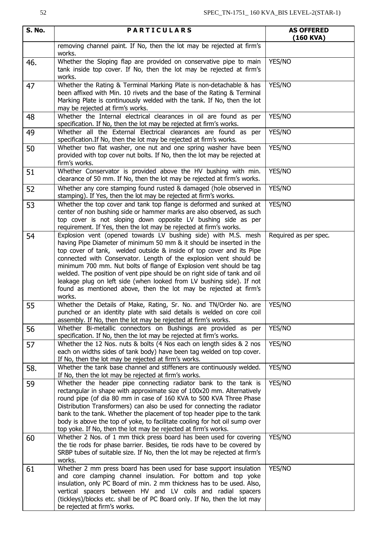| S. No. | <b>PARTICULARS</b>                                                                                                                                                                                                                                                                                                                                                                                                                                                                                                                                                                             | <b>AS OFFERED</b><br>(160 KVA) |  |  |  |  |
|--------|------------------------------------------------------------------------------------------------------------------------------------------------------------------------------------------------------------------------------------------------------------------------------------------------------------------------------------------------------------------------------------------------------------------------------------------------------------------------------------------------------------------------------------------------------------------------------------------------|--------------------------------|--|--|--|--|
|        | removing channel paint. If No, then the lot may be rejected at firm's<br>works.                                                                                                                                                                                                                                                                                                                                                                                                                                                                                                                |                                |  |  |  |  |
| 46.    | Whether the Sloping flap are provided on conservative pipe to main<br>tank inside top cover. If No, then the lot may be rejected at firm's<br>works.                                                                                                                                                                                                                                                                                                                                                                                                                                           | YES/NO                         |  |  |  |  |
| 47     | Whether the Rating & Terminal Marking Plate is non-detachable & has<br>YES/NO<br>been affixed with Min. 10 rivets and the base of the Rating & Terminal<br>Marking Plate is continuously welded with the tank. If No, then the lot<br>may be rejected at firm's works.                                                                                                                                                                                                                                                                                                                         |                                |  |  |  |  |
| 48     | Whether the Internal electrical clearances in oil are found as per<br>specification. If No, then the lot may be rejected at firm's works.                                                                                                                                                                                                                                                                                                                                                                                                                                                      | YES/NO                         |  |  |  |  |
| 49     | Whether all the External Electrical clearances are found as per<br>specification. If No, then the lot may be rejected at firm's works.                                                                                                                                                                                                                                                                                                                                                                                                                                                         | YES/NO                         |  |  |  |  |
| 50     | Whether two flat washer, one nut and one spring washer have been<br>provided with top cover nut bolts. If No, then the lot may be rejected at<br>firm's works.                                                                                                                                                                                                                                                                                                                                                                                                                                 | YES/NO                         |  |  |  |  |
| 51     | Whether Conservator is provided above the HV bushing with min.<br>clearance of 50 mm. If No, then the lot may be rejected at firm's works.                                                                                                                                                                                                                                                                                                                                                                                                                                                     | YES/NO                         |  |  |  |  |
| 52     | Whether any core stamping found rusted & damaged (hole observed in<br>stamping). If Yes, then the lot may be rejected at firm's works.                                                                                                                                                                                                                                                                                                                                                                                                                                                         | YES/NO                         |  |  |  |  |
| 53     | Whether the top cover and tank top flange is deformed and sunked at<br>center of non bushing side or hammer marks are also observed, as such<br>top cover is not sloping down opposite LV bushing side as per<br>requirement. If Yes, then the lot may be rejected at firm's works.                                                                                                                                                                                                                                                                                                            | YES/NO                         |  |  |  |  |
| 54     | Explosion vent (opened towards LV bushing side) with M.S. mesh<br>having Pipe Diameter of minimum 50 mm & it should be inserted in the<br>top cover of tank, welded outside & inside of top cover and its Pipe<br>connected with Conservator. Length of the explosion vent should be<br>minimum 700 mm. Nut bolts of flange of Explosion vent should be tag<br>welded. The position of vent pipe should be on right side of tank and oil<br>leakage plug on left side (when looked from LV bushing side). If not<br>found as mentioned above, then the lot may be rejected at firm's<br>works. | Required as per spec.          |  |  |  |  |
| 55     | Whether the Details of Make, Rating, Sr. No. and TN/Order No. are<br>punched or an identity plate with said details is welded on core coil<br>assembly. If No, then the lot may be rejected at firm's works.                                                                                                                                                                                                                                                                                                                                                                                   | YES/NO                         |  |  |  |  |
| 56     | Whether Bi-metallic connectors on Bushings are provided as per<br>specification. If No, then the lot may be rejected at firm's works.                                                                                                                                                                                                                                                                                                                                                                                                                                                          | YES/NO                         |  |  |  |  |
| 57     | Whether the 12 Nos. nuts & bolts (4 Nos each on length sides & 2 nos<br>each on widths sides of tank body) have been tag welded on top cover.<br>If No, then the lot may be rejected at firm's works.                                                                                                                                                                                                                                                                                                                                                                                          | YES/NO                         |  |  |  |  |
| 58.    | Whether the tank base channel and stiffeners are continuously welded.<br>If No, then the lot may be rejected at firm's works.                                                                                                                                                                                                                                                                                                                                                                                                                                                                  | YES/NO                         |  |  |  |  |
| 59     | Whether the header pipe connecting radiator bank to the tank is<br>rectangular in shape with approximate size of 100x20 mm. Alternatively<br>round pipe (of dia 80 mm in case of 160 KVA to 500 KVA Three Phase<br>Distribution Transformers) can also be used for connecting the radiator<br>bank to the tank. Whether the placement of top header pipe to the tank<br>body is above the top of yoke, to facilitate cooling for hot oil sump over<br>top yoke. If No, then the lot may be rejected at firm's works.                                                                           | YES/NO                         |  |  |  |  |
| 60     | Whether 2 Nos. of 1 mm thick press board has been used for covering<br>the tie rods for phase barrier. Besides, tie rods have to be covered by<br>SRBP tubes of suitable size. If No, then the lot may be rejected at firm's<br>works.                                                                                                                                                                                                                                                                                                                                                         | YES/NO                         |  |  |  |  |
| 61     | Whether 2 mm press board has been used for base support insulation<br>and core clamping channel insulation. For bottom and top yoke<br>insulation, only PC Board of min. 2 mm thickness has to be used. Also,<br>vertical spacers between HV and LV coils and radial spacers<br>(tickleys)/blocks etc. shall be of PC Board only. If No, then the lot may<br>be rejected at firm's works.                                                                                                                                                                                                      | YES/NO                         |  |  |  |  |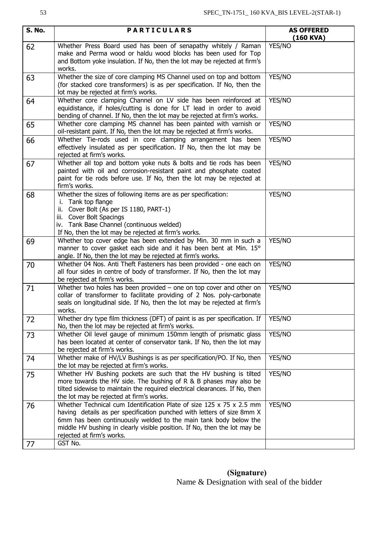| S. No. | <b>PARTICULARS</b>                                                                                                                                                                                                                                                                                                           | <b>AS OFFERED</b><br>(160 KVA) |  |  |  |  |
|--------|------------------------------------------------------------------------------------------------------------------------------------------------------------------------------------------------------------------------------------------------------------------------------------------------------------------------------|--------------------------------|--|--|--|--|
| 62     | Whether Press Board used has been of senapathy whitely / Raman<br>make and Perma wood or haldu wood blocks has been used for Top<br>and Bottom yoke insulation. If No, then the lot may be rejected at firm's<br>works.                                                                                                      | YES/NO                         |  |  |  |  |
| 63     | Whether the size of core clamping MS Channel used on top and bottom<br>YES/NO<br>(for stacked core transformers) is as per specification. If No, then the<br>lot may be rejected at firm's works.                                                                                                                            |                                |  |  |  |  |
| 64     | Whether core clamping Channel on LV side has been reinforced at<br>YES/NO<br>equidistance, if holes/cutting is done for LT lead in order to avoid<br>bending of channel. If No, then the lot may be rejected at firm's works.                                                                                                |                                |  |  |  |  |
| 65     | Whether core clamping MS channel has been painted with varnish or<br>oil-resistant paint. If No, then the lot may be rejected at firm's works.                                                                                                                                                                               | YES/NO                         |  |  |  |  |
| 66     | Whether Tie-rods used in core clamping arrangement has been<br>effectively insulated as per specification. If No, then the lot may be<br>rejected at firm's works.                                                                                                                                                           | YES/NO                         |  |  |  |  |
| 67     | Whether all top and bottom yoke nuts & bolts and tie rods has been<br>painted with oil and corrosion-resistant paint and phosphate coated<br>paint for tie rods before use. If No, then the lot may be rejected at<br>firm's works.                                                                                          | YES/NO                         |  |  |  |  |
| 68     | Whether the sizes of following items are as per specification:<br>i. Tank top flange<br>ii. Cover Bolt (As per IS 1180, PART-1)<br>iii. Cover Bolt Spacings<br>iv. Tank Base Channel (continuous welded)<br>If No, then the lot may be rejected at firm's works.                                                             | YES/NO                         |  |  |  |  |
| 69     | Whether top cover edge has been extended by Min. 30 mm in such a<br>manner to cover gasket each side and it has been bent at Min. 15°<br>angle. If No, then the lot may be rejected at firm's works.                                                                                                                         | YES/NO                         |  |  |  |  |
| 70     | Whether 04 Nos. Anti Theft Fasteners has been provided - one each on<br>all four sides in centre of body of transformer. If No, then the lot may<br>be rejected at firm's works.                                                                                                                                             | YES/NO                         |  |  |  |  |
| 71     | Whether two holes has been provided $-$ one on top cover and other on<br>collar of transformer to facilitate providing of 2 Nos. poly-carbonate<br>seals on longitudinal side. If No, then the lot may be rejected at firm's<br>works.                                                                                       | YES/NO                         |  |  |  |  |
| 72     | Whether dry type film thickness (DFT) of paint is as per specification. If<br>No, then the lot may be rejected at firm's works.                                                                                                                                                                                              | YES/NO                         |  |  |  |  |
| 73     | Whether Oil level gauge of minimum 150mm length of prismatic glass<br>has been located at center of conservator tank. If No, then the lot may<br>be rejected at firm's works.                                                                                                                                                | YES/NO                         |  |  |  |  |
| 74     | Whether make of HV/LV Bushings is as per specification/PO. If No, then<br>the lot may be rejected at firm's works.                                                                                                                                                                                                           | YES/NO                         |  |  |  |  |
| 75     | Whether HV Bushing pockets are such that the HV bushing is tilted<br>more towards the HV side. The bushing of R & B phases may also be<br>tilted sidewise to maintain the required electrical clearances. If No, then<br>the lot may be rejected at firm's works.                                                            | YES/NO                         |  |  |  |  |
| 76     | Whether Technical cum Identification Plate of size 125 x 75 x 2.5 mm<br>having details as per specification punched with letters of size 8mm X<br>6mm has been continuously welded to the main tank body below the<br>middle HV bushing in clearly visible position. If No, then the lot may be<br>rejected at firm's works. | YES/NO                         |  |  |  |  |
| 77     | GST No.                                                                                                                                                                                                                                                                                                                      |                                |  |  |  |  |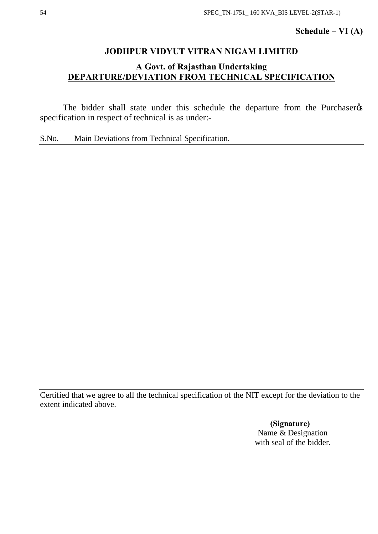## **Schedule – VI (A)**

## **JODHPUR VIDYUT VITRAN NIGAM LIMITED**

## **A Govt. of Rajasthan Undertaking DEPARTURE/DEVIATION FROM TECHNICAL SPECIFICATION**

The bidder shall state under this schedule the departure from the Purchaser  $\alpha$ specification in respect of technical is as under:-

S.No. Main Deviations from Technical Specification.

Certified that we agree to all the technical specification of the NIT except for the deviation to the extent indicated above.

> **(Signature)** Name & Designation with seal of the bidder.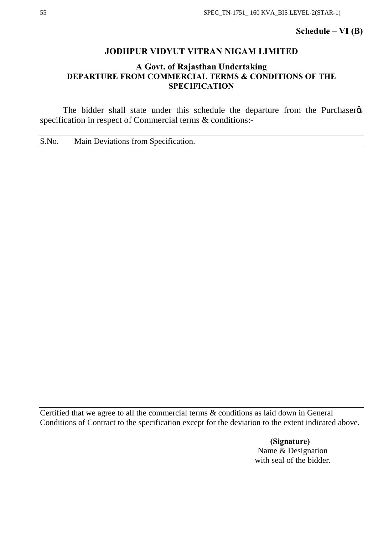## **Schedule – VI (B)**

## **JODHPUR VIDYUT VITRAN NIGAM LIMITED**

## **A Govt. of Rajasthan Undertaking DEPARTURE FROM COMMERCIAL TERMS & CONDITIONS OF THE SPECIFICATION**

The bidder shall state under this schedule the departure from the Purchaser  $\alpha$ specification in respect of Commercial terms & conditions:-

S.No. Main Deviations from Specification.

Certified that we agree to all the commercial terms & conditions as laid down in General Conditions of Contract to the specification except for the deviation to the extent indicated above.

> **(Signature)** Name & Designation with seal of the bidder.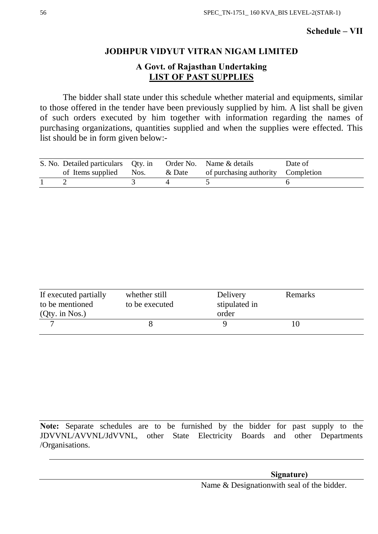## **Schedule – VII**

## **JODHPUR VIDYUT VITRAN NIGAM LIMITED**

## **A Govt. of Rajasthan Undertaking LIST OF PAST SUPPLIES**

The bidder shall state under this schedule whether material and equipments, similar to those offered in the tender have been previously supplied by him. A list shall be given of such orders executed by him together with information regarding the names of purchasing organizations, quantities supplied and when the supplies were effected. This list should be in form given below:-

| S. No. Detailed particulars Qty. in |           | Order No. Name & details           | Date of |
|-------------------------------------|-----------|------------------------------------|---------|
| of Items supplied Nos.              | $\&$ Date | of purchasing authority Completion |         |
|                                     |           |                                    |         |

| If executed partially<br>to be mentioned<br>$(Qty.$ in Nos.) | whether still<br>to be executed | Delivery<br>stipulated in<br>order | Remarks |
|--------------------------------------------------------------|---------------------------------|------------------------------------|---------|
|                                                              |                                 |                                    |         |

**Note:** Separate schedules are to be furnished by the bidder for past supply to the JDVVNL/AVVNL/JdVVNL, other State Electricity Boards and other Departments /Organisations.

 **Signature)** 

Name & Designationwith seal of the bidder.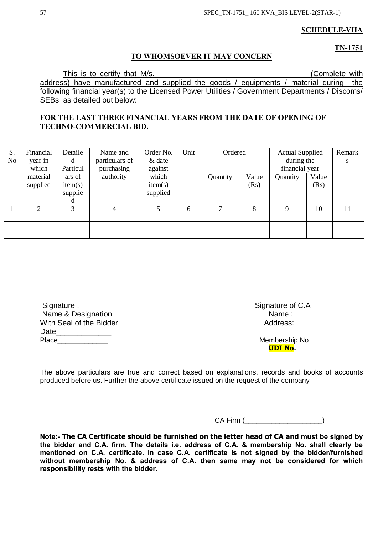## **SCHEDULE-VIIA**

**TN-1751**

## **TO WHOMSOEVER IT MAY CONCERN**

This is to certify that M/s. This is to certify that M/s. address) have manufactured and supplied the goods / equipments / material during the following financial year(s) to the Licensed Power Utilities / Government Departments / Discoms/ SEBs as detailed out below:

## **FOR THE LAST THREE FINANCIAL YEARS FROM THE DATE OF OPENING OF TECHNO-COMMERCIAL BID.**

| S. | Financial             | Detaile  | Name and       | Order No. | Unit | Ordered      |       | <b>Actual Supplied</b> |       | Remark |
|----|-----------------------|----------|----------------|-----------|------|--------------|-------|------------------------|-------|--------|
| No | year in               | d        | particulars of | $&$ date  |      |              |       | during the             |       | S      |
|    | which                 | Particul | purchasing     | against   |      |              |       | financial year         |       |        |
|    | material              | ars of   | authority      | which     |      | Quantity     | Value | Quantity               | Value |        |
|    | supplied              | item(s)  |                | item(s)   |      |              | (Rs)  |                        | (Rs)  |        |
|    |                       | supplie  |                | supplied  |      |              |       |                        |       |        |
|    |                       | d        |                |           |      |              |       |                        |       |        |
|    | $\mathcal{D}_{\cdot}$ | 3        | 4              |           | 6    | $\mathbf{r}$ | 8     | $\mathbf Q$            | 10    | 11     |
|    |                       |          |                |           |      |              |       |                        |       |        |
|    |                       |          |                |           |      |              |       |                        |       |        |
|    |                       |          |                |           |      |              |       |                        |       |        |

| Signature,              | Signature c |
|-------------------------|-------------|
| Name & Designation      | Name:       |
| With Seal of the Bidder | Address     |
| Date                    |             |
| Place                   | Membersh    |

Signature of C.A Address:

Membership No **UDI No.**

The above particulars are true and correct based on explanations, records and books of accounts produced before us. Further the above certificate issued on the request of the company

CA Firm (

**Note:- The CA Certificate should be furnished on the letter head of CA and must be signed by the bidder and C.A. firm. The details i.e. address of C.A. & membership No. shall clearly be mentioned on C.A. certificate. In case C.A. certificate is not signed by the bidder/furnished without membership No. & address of C.A. then same may not be considered for which responsibility rests with the bidder.**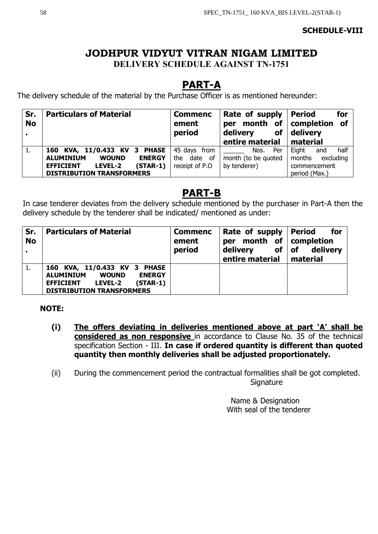## **SCHEDULE-VIII**

## **JODHPUR VIDYUT VITRAN NIGAM LIMITED DELIVERY SCHEDULE AGAINST TN-1751**

# **PART-A**

The delivery schedule of the material by the Purchase Officer is as mentioned hereunder:

| Sr.<br><b>No</b> | <b>Particulars of Material</b>                    | <b>Commenc</b><br>ement<br>period | Rate of supply<br>per<br>delivery<br><b>of</b><br>entire material | for<br><b>Period</b><br>month of   completion of<br>delivery<br>material |
|------------------|---------------------------------------------------|-----------------------------------|-------------------------------------------------------------------|--------------------------------------------------------------------------|
| л.               | 160 KVA, 11/0.433 KV 3 PHASE                      | 45 days from                      | Per<br>Nos.                                                       | half<br>Eight<br>and                                                     |
|                  | <b>ALUMINIUM</b><br><b>ENERGY</b><br><b>WOUND</b> | the date of                       | month (to be quoted                                               | months excluding                                                         |
|                  | $(STAR-1)$<br>LEVEL-2<br><b>EFFICIENT</b>         | receipt of P.O                    | by tenderer)                                                      | commencement                                                             |
|                  | <b>DISTRIBUTION TRANSFORMERS</b>                  |                                   |                                                                   | period (Max.)                                                            |

# **PART-B**

In case tenderer deviates from the delivery schedule mentioned by the purchaser in Part-A then the delivery schedule by the tenderer shall be indicated/ mentioned as under:

| Sr.<br><b>No</b> | <b>Particulars of Material</b>                                                                                                                                            | <b>Commenc</b><br>ement<br>period | Rate of supply   Period<br>month of completion<br>per<br>of<br>delivery<br>entire material | for<br>delivery<br><b>of</b><br>  material |
|------------------|---------------------------------------------------------------------------------------------------------------------------------------------------------------------------|-----------------------------------|--------------------------------------------------------------------------------------------|--------------------------------------------|
| 1.               | 160 KVA, 11/0.433 KV 3 PHASE<br><b>ALUMINIUM</b><br><b>WOUND</b><br><b>ENERGY</b><br><b>LEVEL-2</b><br>$(STAR-1)$<br><b>EFFICIENT</b><br><b>DISTRIBUTION TRANSFORMERS</b> |                                   |                                                                                            |                                            |

## **NOTE:**

- **(i) The offers deviating in deliveries mentioned above at part 'A' shall be considered as non responsive** in accordance to Clause No. 35 of the technical specification Section - III. **In case if ordered quantity is different than quoted quantity then monthly deliveries shall be adjusted proportionately.**
- (ii) During the commencement period the contractual formalities shall be got completed. **Signature**

 Name & Designation With seal of the tenderer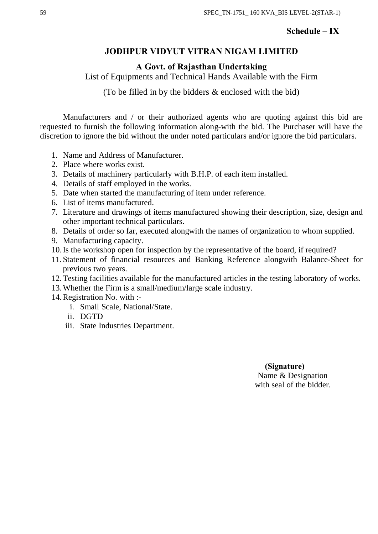## **Schedule – IX**

## **JODHPUR VIDYUT VITRAN NIGAM LIMITED**

**A Govt. of Rajasthan Undertaking**

List of Equipments and Technical Hands Available with the Firm

(To be filled in by the bidders & enclosed with the bid)

Manufacturers and / or their authorized agents who are quoting against this bid are requested to furnish the following information along-with the bid. The Purchaser will have the discretion to ignore the bid without the under noted particulars and/or ignore the bid particulars.

- 1. Name and Address of Manufacturer.
- 2. Place where works exist.
- 3. Details of machinery particularly with B.H.P. of each item installed.
- 4. Details of staff employed in the works.
- 5. Date when started the manufacturing of item under reference.
- 6. List of items manufactured.
- 7. Literature and drawings of items manufactured showing their description, size, design and other important technical particulars.
- 8. Details of order so far, executed alongwith the names of organization to whom supplied.
- 9. Manufacturing capacity.
- 10.Is the workshop open for inspection by the representative of the board, if required?
- 11. Statement of financial resources and Banking Reference alongwith Balance-Sheet for previous two years.
- 12.Testing facilities available for the manufactured articles in the testing laboratory of works.
- 13.Whether the Firm is a small/medium/large scale industry.
- 14.Registration No. with :
	- i. Small Scale, National/State.
	- ii. DGTD
	- iii. State Industries Department.

 **(Signature)** Name & Designation with seal of the bidder.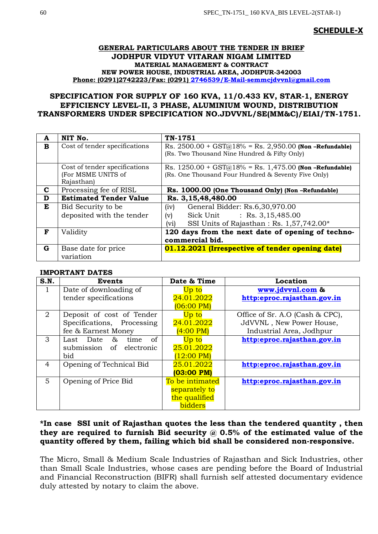## **SCHEDULE-X**

### **GENERAL PARTICULARS ABOUT THE TENDER IN BRIEF JODHPUR VIDYUT VITARAN NIGAM LIMITED MATERIAL MANAGEMENT & CONTRACT NEW POWER HOUSE, INDUSTRIAL AREA, JODHPUR-342003 Phone: (0291)2742223/Fax: (0291) [2746539/E-Mail-semmcjdvvnl@gmail.com](mailto:2746539/E-Mail-semmcjdvvnl@gmail.com)**

## **SPECIFICATION FOR SUPPLY OF 160 KVA, 11/0.433 KV, STAR-1, ENERGY EFFICIENCY LEVEL-II, 3 PHASE, ALUMINIUM WOUND, DISTRIBUTION TRANSFORMERS UNDER SPECIFICATION NO.JDVVNL/SE(MM&C)/EIAI/TN-1751.**

| A | NIT No.                                                           | TN-1751                                                                                                                          |
|---|-------------------------------------------------------------------|----------------------------------------------------------------------------------------------------------------------------------|
| в | Cost of tender specifications                                     | Rs. $2500.00 + GST(a)18% = Rs. 2,950.00$ (Non-Refundable)<br>(Rs. Two Thousand Nine Hundred & Fifty Only)                        |
|   | Cost of tender specifications<br>(For MSME UNITS of<br>Rajasthan) | Rs. $1250.00 + GST(a)18% = Rs. 1,475.00$ (Non-Refundable)<br>(Rs. One Thousand Four Hundred & Seventy Five Only)                 |
| C | Processing fee of RISL                                            | Rs. 1000.00 (One Thousand Only) (Non-Refundable)                                                                                 |
| D | <b>Estimated Tender Value</b>                                     | Rs. 3,15,48,480.00                                                                                                               |
| E | Bid Security to be<br>deposited with the tender                   | (iv)<br>General Bidder: Rs.6,30,970.00<br>Sick Unit : Rs. 3,15,485.00<br>(v)<br>SSI Units of Rajasthan: Rs. 1,57,742.00*<br>(vi) |
| F | Validity                                                          | 120 days from the next date of opening of techno-<br>commercial bid.                                                             |
| G | Base date for price<br>variation                                  | 01.12.2021 (Irrespective of tender opening date)                                                                                 |

### **IMPORTANT DATES**

| S.N. | <b>Events</b>                           | Date & Time             | Location                        |  |  |
|------|-----------------------------------------|-------------------------|---------------------------------|--|--|
| 1    | Date of downloading of                  | Up to                   | www.jdvvnl.com &                |  |  |
|      | tender specifications                   | 24.01.2022              | http:eproc.rajasthan.gov.in     |  |  |
|      |                                         | $(06:00 \text{ PM})$    |                                 |  |  |
| 2    | Deposit of cost of Tender               | Up to                   | Office of Sr. A.O (Cash & CPC), |  |  |
|      | Specifications, Processing              | 24.01.2022              | JdVVNL, New Power House,        |  |  |
|      | fee & Earnest Money                     | $(4:00 \text{ PM})$     | Industrial Area, Jodhpur        |  |  |
| 3    | <sub>of</sub><br>&<br>Last Date<br>time | Up to                   | http:eproc.rajasthan.gov.in     |  |  |
|      | submission of electronic                | 25.01.2022              |                                 |  |  |
|      | bid                                     | $(12:00 \text{ PM})$    |                                 |  |  |
| 4    | Opening of Technical Bid                | 25.01.2022              | http:eproc.rajasthan.gov.in     |  |  |
|      |                                         | (03:00 P <sub>M</sub> ) |                                 |  |  |
| 5    | Opening of Price Bid                    | To be intimated         | http:eproc.rajasthan.gov.in     |  |  |
|      |                                         | separately to           |                                 |  |  |
|      |                                         | the qualified           |                                 |  |  |
|      |                                         | bidders                 |                                 |  |  |

## **\*In case SSI unit of Rajasthan quotes the less than the tendered quantity , then they are required to furnish Bid security @ 0.5% of the estimated value of the quantity offered by them, failing which bid shall be considered non-responsive.**

The Micro, Small & Medium Scale Industries of Rajasthan and Sick Industries, other than Small Scale Industries, whose cases are pending before the Board of Industrial and Financial Reconstruction (BIFR) shall furnish self attested documentary evidence duly attested by notary to claim the above.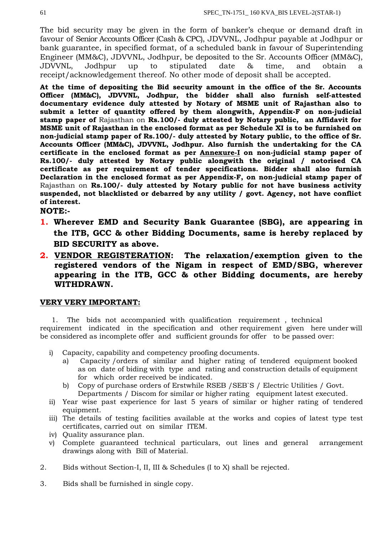The bid security may be given in the form of banker's cheque or demand draft in favour of Senior Accounts Officer (Cash & CPC), JDVVNL, Jodhpur payable at Jodhpur or bank guarantee, in specified format, of a scheduled bank in favour of Superintending Engineer (MM&C), JDVVNL, Jodhpur, be deposited to the Sr. Accounts Officer (MM&C), JDVVNL, Jodhpur up to stipulated date & time, and obtain a receipt/acknowledgement thereof. No other mode of deposit shall be accepted.

**At the time of depositing the Bid security amount in the office of the Sr. Accounts Officer (MM&C), JDVVNL, Jodhpur, the bidder shall also furnish self-attested documentary evidence duly attested by Notary of MSME unit of Rajasthan also to submit a letter of quantity offered by them alongwith, Appendix-F on non-judicial stamp paper of** Rajasthan on **Rs.100/- duly attested by Notary public, an Affidavit for MSME unit of Rajasthan in the enclosed format as per Schedule XI is to be furnished on non-judicial stamp paper of Rs.100/- duly attested by Notary public, to the office of Sr. Accounts Officer (MM&C), JDVVNL, Jodhpur. Also furnish the undertaking for the CA certificate in the enclosed format as per Annexure-I on non-judicial stamp paper of Rs.100/- duly attested by Notary public alongwith the original / notorised CA certificate as per requirement of tender specifications. Bidder shall also furnish Declaration in the enclosed format as per Appendix-F, on non-judicial stamp paper of**  Rajasthan on **Rs.100/- duly attested by Notary public for not have business activity suspended, not blacklisted or debarred by any utility / govt. Agency, not have conflict of interest.**

**NOTE:-**

- **1. Wherever EMD and Security Bank Guarantee (SBG), are appearing in the ITB, GCC & other Bidding Documents, same is hereby replaced by BID SECURITY as above.**
- **2. VENDOR REGISTERATION: The relaxation/exemption given to the registered vendors of the Nigam in respect of EMD/SBG, wherever appearing in the ITB, GCC & other Bidding documents, are hereby WITHDRAWN.**

## **VERY VERY IMPORTANT:**

1. The bids not accompanied with qualification requirement , technical requirement indicated in the specification and other requirement given here under will be considered as incomplete offer and sufficient grounds for offer to be passed over:

- i) Capacity, capability and competency proofing documents.
	- a) Capacity /orders of similar and higher rating of tendered equipment booked as on date of biding with type and rating and construction details of equipment for which order received be indicated.
	- b) Copy of purchase orders of Erstwhile RSEB /SEB`S / Electric Utilities / Govt. Departments / Discom for similar or higher rating equipment latest executed.
- ii) Year wise past experience for last 5 years of similar or higher rating of tendered equipment.
- iii) The details of testing facilities available at the works and copies of latest type test certificates, carried out on similar ITEM.
- iv) Quality assurance plan.
- v) Complete guaranteed technical particulars, out lines and general arrangement drawings along with Bill of Material.
- 2. Bids without Section-I, II, III & Schedules (I to X) shall be rejected.
- 3. Bids shall be furnished in single copy.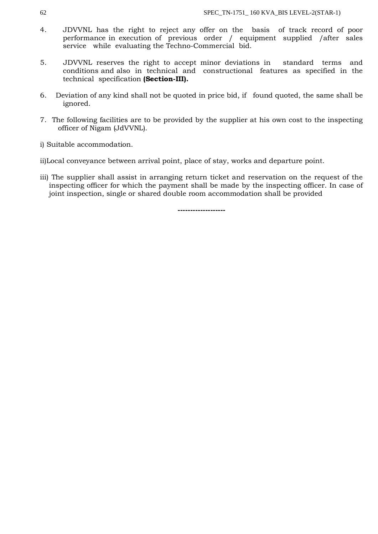- 4. JDVVNL has the right to reject any offer on the basis of track record of poor performance in execution of previous order / equipment supplied /after sales service while evaluating the Techno-Commercial bid.
- 5. JDVVNL reserves the right to accept minor deviations in standard terms and conditions and also in technical and constructional features as specified in the technical specification **(Section-III).**
- 6. Deviation of any kind shall not be quoted in price bid, if found quoted, the same shall be ignored.
- 7. The following facilities are to be provided by the supplier at his own cost to the inspecting officer of Nigam (JdVVNL).
- i) Suitable accommodation.
- ii)Local conveyance between arrival point, place of stay, works and departure point.
- iii) The supplier shall assist in arranging return ticket and reservation on the request of the inspecting officer for which the payment shall be made by the inspecting officer. In case of joint inspection, single or shared double room accommodation shall be provided

**-------------------**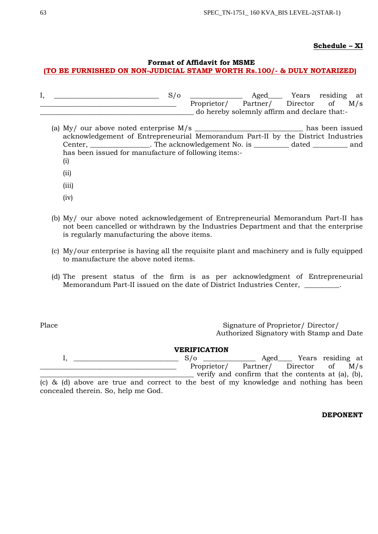## **Schedule – XI**

## **Format of Affidavit for MSME**

## **(TO BE FURNISHED ON NON-JUDICIAL STAMP WORTH Rs.100/- & DULY NOTARIZED)**

| д, |  | Aged_                                        | Years residing at |     |
|----|--|----------------------------------------------|-------------------|-----|
|    |  | Proprietor/ Partner/ Director of             |                   | M/s |
|    |  | do hereby solemnly affirm and declare that:- |                   |     |

- (a) My/ our above noted enterprise M/s \_\_\_\_\_\_\_\_\_\_\_\_\_\_\_\_\_\_\_\_\_\_\_\_\_\_\_\_\_\_\_ has been issued acknowledgement of Entrepreneurial Memorandum Part-II by the District Industries Center, \_\_\_\_\_\_\_\_\_\_\_\_\_\_\_\_\_. The acknowledgement No. is \_\_\_\_\_\_\_\_\_\_ dated \_\_\_\_\_\_\_\_\_\_ and has been issued for manufacture of following items:- (i)
	- (ii)
	- (iii)
	- (iv)
- (b) My/ our above noted acknowledgement of Entrepreneurial Memorandum Part-II has not been cancelled or withdrawn by the Industries Department and that the enterprise is regularly manufacturing the above items.
- (c) My/our enterprise is having all the requisite plant and machinery and is fully equipped to manufacture the above noted items.
- (d) The present status of the firm is as per acknowledgment of Entrepreneurial Memorandum Part-II issued on the date of District Industries Center, \_\_\_\_\_\_\_\_\_\_.

concealed therein. So, help me God.

Place Signature of Proprietor/ Director/ Authorized Signatory with Stamp and Date

| <b>VERIFICATION</b> |  |  |  |  |  |  |  |            |                                                                                       |                        |  |
|---------------------|--|--|--|--|--|--|--|------------|---------------------------------------------------------------------------------------|------------------------|--|
|                     |  |  |  |  |  |  |  | $S/\sigma$ |                                                                                       | Aged Years residing at |  |
|                     |  |  |  |  |  |  |  |            | Proprietor/ Partner/ Director of M/s                                                  |                        |  |
|                     |  |  |  |  |  |  |  |            | verify and confirm that the contents at (a), (b),                                     |                        |  |
|                     |  |  |  |  |  |  |  |            | (c) & (d) above are true and correct to the best of my knowledge and nothing has been |                        |  |

### **DEPONENT**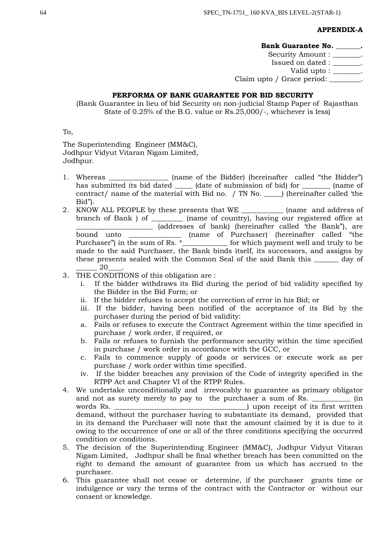## **APPENDIX-A**

### **Bank Guarantee No. \_\_\_\_\_\_\_.**

Security Amount : \_\_\_\_\_\_\_. Issued on dated : \_\_\_\_\_\_\_\_. Valid upto : \_\_\_\_\_\_\_. Claim upto / Grace period: \_\_\_\_\_\_\_\_.

## **PERFORMA OF BANK GUARANTEE FOR BID SECURITY**

(Bank Guarantee in lieu of bid Security on non-judicial Stamp Paper of Rajasthan State of 0.25% of the B.G. value or Rs.25,000/-, whichever is less)

To,

The Superintending Engineer (MM&C), Jodhpur Vidyut Vitaran Nigam Limited, Jodhpur.

- 1. Whereas (name of the Bidder) (hereinafter called "the Bidder") has submitted its bid dated \_\_\_\_\_\_ (date of submission of bid) for \_\_\_\_\_\_\_\_\_ (name of contract/ name of the material with Bid no. / TN No. \_\_\_\_\_) (hereinafter called 'the Bid").
- 2. KNOW ALL PEOPLE by these presents that WE \_\_\_\_\_\_\_\_\_\_\_\_ (name and address of branch of Bank ) of \_\_\_\_\_\_\_\_\_ (name of country), having our registered office at \_\_\_\_\_\_\_\_\_\_\_\_\_\_\_\_\_\_\_\_\_\_ (addresses of bank) (hereinafter called 'the Bank"), are bound unto \_\_\_\_\_\_\_\_\_\_\_\_\_\_\_\_ (name of Purchaser) (hereinafter called "the Purchaser") in the sum of Rs. \*\_\_\_\_\_\_\_\_\_\_\_\_\_ for which payment well and truly to be made to the said Purchaser, the Bank binds itself, its successors, and assigns by these presents sealed with the Common Seal of the said Bank this \_\_\_\_\_\_\_ day of \_\_\_\_\_\_ 20\_\_\_\_.
- 3. THE CONDITIONS of this obligation are :
	- i. If the bidder withdraws its Bid during the period of bid validity specified by the Bidder in the Bid Form; or
	- ii. If the bidder refuses to accept the correction of error in his Bid; or
	- iii. If the bidder, having been notified of the acceptance of its Bid by the purchaser during the period of bid validity:
	- a. Fails or refuses to execute the Contract Agreement within the time specified in purchase / work order, if required, or
	- b. Fails or refuses to furnish the performance security within the time specified in purchase / work order in accordance with the GCC, or
	- c. Fails to commence supply of goods or services or execute work as per purchase / work order within time specified.
	- iv. If the bidder breaches any provision of the Code of integrity specified in the RTPP Act and Chapter VI of the RTPP Rules.
- 4. We undertake unconditionally and irrevocably to guarantee as primary obligator and not as surety merely to pay to the purchaser a sum of Rs. \_\_\_\_\_\_\_\_\_\_\_\_ (in words Rs.  $\Box$ demand, without the purchaser having to substantiate its demand, provided that in its demand the Purchaser will note that the amount claimed by it is due to it owing to the occurrence of one or all of the three conditions specifying the occurred condition or conditions.
- 5. The decision of the Superintending Engineer (MM&C), Jodhpur Vidyut Vitaran Nigam Limited, Jodhpur shall be final whether breach has been committed on the right to demand the amount of guarantee from us which has accrued to the purchaser.
- 6. This guarantee shall not cease or determine, if the purchaser grants time or indulgence or vary the terms of the contract with the Contractor or without our consent or knowledge.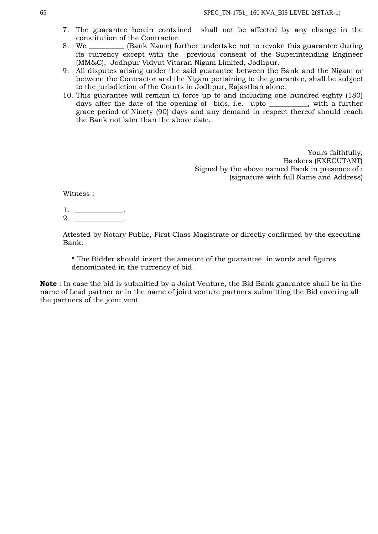- 7. The guarantee herein contained shall not be affected by any change in the constitution of the Contractor.
- 8. We \_\_\_\_\_\_\_\_\_\_ (Bank Name) further undertake not to revoke this guarantee during its currency except with the previous consent of the Superintending Engineer (MM&C), Jodhpur Vidyut Vitaran Nigam Limited, Jodhpur.
- 9. All disputes arising under the said guarantee between the Bank and the Nigam or between the Contractor and the Nigam pertaining to the guarantee, shall be subject to the jurisdiction of the Courts in Jodhpur, Rajasthan alone.
- 10. This guarantee will remain in force up to and including one hundred eighty (180) days after the date of the opening of bids, i.e. upto \_\_\_\_\_\_\_\_, with a further grace period of Ninety (90) days and any demand in respect thereof should reach the Bank not later than the above date.

Yours faithfully, Bankers (EXECUTANT) Signed by the above named Bank in presence of : (signature with full Name and Address)

Witness :

1. \_\_\_\_\_\_\_\_\_\_\_\_\_\_. 2. \_\_\_\_\_\_\_\_\_\_\_\_\_\_.

Attested by Notary Public, First Class Magistrate or directly confirmed by the executing Bank.

\* The Bidder should insert the amount of the guarantee in words and figures denominated in the currency of bid.

**Note** : In case the bid is submitted by a Joint Venture, the Bid Bank guarantee shall be in the name of Lead partner or in the name of joint venture partners submitting the Bid covering all the partners of the joint vent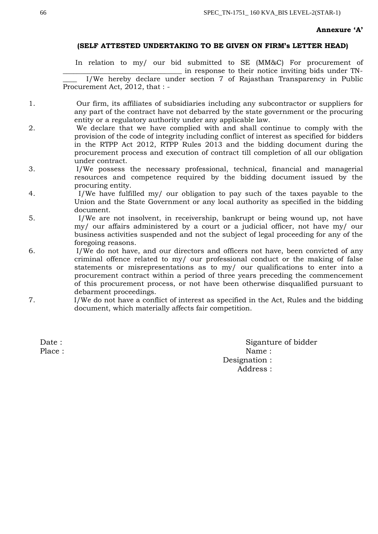### **Annexure 'A'**

### **(SELF ATTESTED UNDERTAKING TO BE GIVEN ON FIRM's LETTER HEAD)**

In relation to my/ our bid submitted to SE (MM&C) For procurement of \_\_\_\_\_\_\_\_\_\_\_\_\_\_\_\_\_\_\_\_\_\_\_\_\_\_\_\_\_\_\_\_\_\_ in response to their notice inviting bids under TN-

I/We hereby declare under section 7 of Rajasthan Transparency in Public Procurement Act, 2012, that : -

- 1. Our firm, its affiliates of subsidiaries including any subcontractor or suppliers for any part of the contract have not debarred by the state government or the procuring entity or a regulatory authority under any applicable law.
- 2. We declare that we have complied with and shall continue to comply with the provision of the code of integrity including conflict of interest as specified for bidders in the RTPP Act 2012, RTPP Rules 2013 and the bidding document during the procurement process and execution of contract till completion of all our obligation under contract.
- 3. I/We possess the necessary professional, technical, financial and managerial resources and competence required by the bidding document issued by the procuring entity.
- 4. I/We have fulfilled my/ our obligation to pay such of the taxes payable to the Union and the State Government or any local authority as specified in the bidding document.
- 5. I/We are not insolvent, in receivership, bankrupt or being wound up, not have my/ our affairs administered by a court or a judicial officer, not have my/ our business activities suspended and not the subject of legal proceeding for any of the foregoing reasons.
- 6. I/We do not have, and our directors and officers not have, been convicted of any criminal offence related to my/ our professional conduct or the making of false statements or misrepresentations as to my/ our qualifications to enter into a procurement contract within a period of three years preceding the commencement of this procurement process, or not have been otherwise disqualified pursuant to debarment proceedings.
- 7. I/We do not have a conflict of interest as specified in the Act, Rules and the bidding document, which materially affects fair competition.

Date : Siganture of bidder Place : Name : Name : Name : Name : Name : Name : Name : Name : Name : Name : Name : Name : Name : Name :  $\mathbb{R}^2 \times \mathbb{R}^2 \times \mathbb{R}^2 \times \mathbb{R}^2 \times \mathbb{R}^2 \times \mathbb{R}^2 \times \mathbb{R}^2 \times \mathbb{R}^2 \times \mathbb{R}^2 \times \mathbb{R}^2 \times \mathbb{R}^2 \times \mathbb{R$ Designation : Address :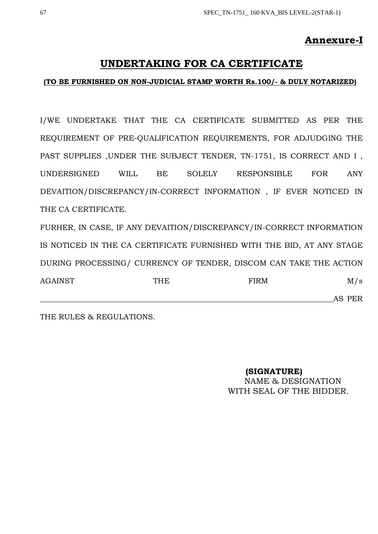## **Annexure-I**

## **UNDERTAKING FOR CA CERTIFICATE**

## **(TO BE FURNISHED ON NON-JUDICIAL STAMP WORTH Rs.100/- & DULY NOTARIZED)**

I/WE UNDERTAKE THAT THE CA CERTIFICATE SUBMITTED AS PER THE REQUIREMENT OF PRE-QUALIFICATION REQUIREMENTS, FOR ADJUDGING THE PAST SUPPLIES ,UNDER THE SUBJECT TENDER, TN-1751, IS CORRECT AND I , UNDERSIGNED WILL BE SOLELY RESPONSIBLE FOR ANY DEVAITION/DISCREPANCY/IN-CORRECT INFORMATION , IF EVER NOTICED IN THE CA CERTIFICATE.

FURHER, IN CASE, IF ANY DEVAITION/DISCREPANCY/IN-CORRECT INFORMATION IS NOTICED IN THE CA CERTIFICATE FURNISHED WITH THE BID, AT ANY STAGE DURING PROCESSING/ CURRENCY OF TENDER, DISCOM CAN TAKE THE ACTION AGAINST THE FIRM M/s \_\_\_\_\_\_\_\_\_\_\_\_\_\_\_\_\_\_\_\_\_\_\_\_\_\_\_\_\_\_\_\_\_\_\_\_\_\_\_\_\_\_\_\_\_\_\_\_\_\_\_\_\_\_\_\_\_\_\_\_\_\_\_\_\_\_\_\_\_\_\_\_\_\_\_\_\_AS PER

THE RULES & REGULATIONS.

**(SIGNATURE)** NAME & DESIGNATION WITH SEAL OF THE BIDDER.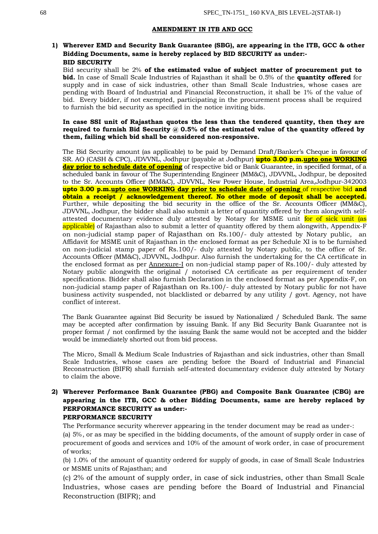#### **AMENDMENT IN ITB AND GCC**

## **1) Wherever EMD and Security Bank Guarantee (SBG), are appearing in the ITB, GCC & other Bidding Documents, same is hereby replaced by BID SECURITY as under:- BID SECURITY**

Bid security shall be 2% **of the estimated value of subject matter of procurement put to bid.** In case of Small Scale Industries of Rajasthan it shall be 0.5% of the **quantity offered** for supply and in case of sick industries, other than Small Scale Industries, whose cases are pending with Board of Industrial and Financial Reconstruction, it shall be 1% of the value of bid. Every bidder, if not exempted, participating in the procurement process shall be required to furnish the bid security as specified in the notice inviting bids.

#### **In case SSI unit of Rajasthan quotes the less than the tendered quantity, then they are required to furnish Bid Security @ 0.5% of the estimated value of the quantity offered by them, failing which bid shall be considered non-responsive.**

The Bid Security amount (as applicable) to be paid by Demand Draft/Banker's Cheque in favour of SR. AO (CASH & CPC), JDVVNL, Jodhpur (payable at Jodhpur) **upto 3.00 p.m.upto one WORKING day prior to schedule date of opening** of respective bid or Bank Guarantee, in specified format, of a scheduled bank in favour of The Superintending Engineer (MM&C), JDVVNL, Jodhpur, be deposited to the Sr. Accounts Officer (MM&C), JDVVNL, New Power House, Industrial Area,Jodhpur-342003 **upto 3.00 p.m.upto one WORKING day prior to schedule date of opening** of respective bid **and obtain a receipt / acknowledgement thereof. No other mode of deposit shall be accepted.**  Further, while depositing the bid security in the office of the Sr. Accounts Officer (MM&C), JDVVNL, Jodhpur, the bidder shall also submit a letter of quantity offered by them alongwith selfattested documentary evidence duly attested by Notary for MSME unit for of sick unit (as applicable) of Rajasthan also to submit a letter of quantity offered by them alongwith, Appendix-F on non-judicial stamp paper of Rajasthan on Rs.100/- duly attested by Notary public, an Affidavit for MSME unit of Rajasthan in the enclosed format as per Schedule XI is to be furnished on non-judicial stamp paper of Rs.100/- duly attested by Notary public, to the office of Sr. Accounts Officer (MM&C), JDVVNL, Jodhpur. Also furnish the undertaking for the CA certificate in the enclosed format as per Annexure-I on non-judicial stamp paper of Rs.100/- duly attested by Notary public alongwith the original / notorised CA certificate as per requirement of tender specifications. Bidder shall also furnish Declaration in the enclosed format as per Appendix-F, on non-judicial stamp paper of Rajasthan on Rs.100/- duly attested by Notary public for not have business activity suspended, not blacklisted or debarred by any utility / govt. Agency, not have conflict of interest.

The Bank Guarantee against Bid Security be issued by Nationalized / Scheduled Bank. The same may be accepted after confirmation by issuing Bank. If any Bid Security Bank Guarantee not is proper format / not confirmed by the issuing Bank the same would not be accepted and the bidder would be immediately shorted out from bid process.

The Micro, Small & Medium Scale Industries of Rajasthan and sick industries, other than Small Scale Industries, whose cases are pending before the Board of Industrial and Financial Reconstruction (BIFR) shall furnish self-attested documentary evidence duly attested by Notary to claim the above.

### **2) Wherever Performance Bank Guarantee (PBG) and Composite Bank Guarantee (CBG) are appearing in the ITB, GCC & other Bidding Documents, same are hereby replaced by PERFORMANCE SECURITY as under:- PERFORMANCE SECURITY**

The Performance security wherever appearing in the tender document may be read as under-:

(a) 5%, or as may be specified in the bidding documents, of the amount of supply order in case of procurement of goods and services and 10% of the amount of work order, in case of procurement of works;

(b) 1.0% of the amount of quantity ordered for supply of goods, in case of Small Scale Industries or MSME units of Rajasthan; and

(c) 2% of the amount of supply order, in case of sick industries, other than Small Scale Industries, whose cases are pending before the Board of Industrial and Financial Reconstruction (BIFR); and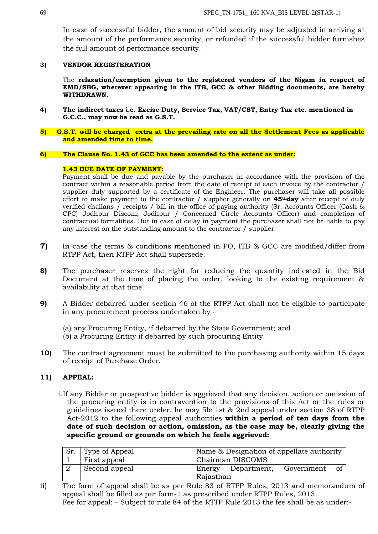In case of successful bidder, the amount of bid security may be adjusted in arriving at the amount of the performance security, or refunded if the successful bidder furnishes the full amount of performance security.

### **3) VENDOR REGISTERATION**

The **relaxation/exemption given to the registered vendors of the Nigam in respect of EMD/SBG, wherever appearing in the ITB, GCC & other Bidding documents, are hereby WITHDRAWN.**

- **4) The indirect taxes i.e. Excise Duty, Service Tax, VAT/CST, Entry Tax etc. mentioned in G.C.C., may now be read as G.S.T.**
- **5) G.S.T. will be charged extra at the prevailing rate on all the Settlement Fees as applicable and amended time to time.**

### **6) The Clause No. 1.43 of GCC has been amended to the extent as under:**

### **1.43 DUE DATE OF PAYMENT:**

Payment shall be due and payable by the purchaser in accordance with the provision of the contract within a reasonable period from the date of receipt of each invoice by the contractor / supplier duly supported by a certificate of the Engineer. The purchaser will take all possible effort to make payment to the contractor / supplier generally on **45thday** after receipt of duly verified challans / receipts / bill in the office of paying authority (Sr. Accounts Officer (Cash & CPC) Jodhpur Discom, Jodhpur / Concerned Circle Accounts Officer) and completion of contractual formalities. But in case of delay in payment the purchaser shall not be liable to pay any interest on the outstanding amount to the contractor / supplier.

- **7)** In case the terms & conditions mentioned in PO, ITB & GCC are modified/differ from RTPP Act, then RTPP Act shall supersede.
- **8)** The purchaser reserves the right for reducing the quantity indicated in the Bid Document at the time of placing the order, looking to the existing requirement & availability at that time.
- **9)** A Bidder debarred under section 46 of the RTPP Act shall not be eligible to participate in any procurement process undertaken by ‐
	- (a) any Procuring Entity, if debarred by the State Government; and
	- (b) a Procuring Entity if debarred by such procuring Entity.
- **10)** The contract agreement must be submitted to the purchasing authority within 15 days of receipt of Purchase Order.

## **11) APPEAL:**

i.If any Bidder or prospective bidder is aggrieved that any decision, action or omission of the procuring entity is in contravention to the provisions of this Act or the rules or guidelines issued there under, he may file 1st & 2nd appeal under section 38 of RTPP Act-2012 to the following appeal authorities **within a period of ten days from the date of such decision or action, omission, as the case may be, clearly giving the specific ground or grounds on which he feels aggrieved:**

| Sr. | Type of Appeal | Name & Designation of appellate authority  |  |  |  |  |  |  |
|-----|----------------|--------------------------------------------|--|--|--|--|--|--|
|     | First appeal   | Chairman DISCOMS                           |  |  |  |  |  |  |
|     | Second appeal  | Energy Department, Government<br>Rajasthan |  |  |  |  |  |  |

ii) The form of appeal shall be as per Rule 83 of RTPP Rules, 2013 and memorandum of appeal shall be filled as per form-1 as prescribed under RTPP Rules, 2013. Fee for appeal: - Subject to rule 84 of the RTTP Rule 2013 the fee shall be as under:-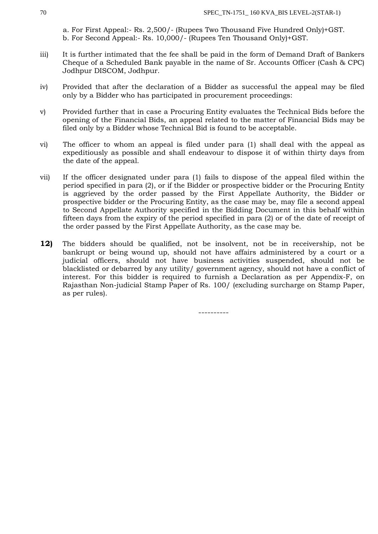a. For First Appeal:- Rs. 2,500/- (Rupees Two Thousand Five Hundred Only)+GST. b. For Second Appeal:- Rs. 10,000/- (Rupees Ten Thousand Only)+GST.

- iii) It is further intimated that the fee shall be paid in the form of Demand Draft of Bankers Cheque of a Scheduled Bank payable in the name of Sr. Accounts Officer (Cash & CPC) Jodhpur DISCOM, Jodhpur.
- iv) Provided that after the declaration of a Bidder as successful the appeal may be filed only by a Bidder who has participated in procurement proceedings:
- v) Provided further that in case a Procuring Entity evaluates the Technical Bids before the opening of the Financial Bids, an appeal related to the matter of Financial Bids may be filed only by a Bidder whose Technical Bid is found to be acceptable.
- vi) The officer to whom an appeal is filed under para (1) shall deal with the appeal as expeditiously as possible and shall endeavour to dispose it of within thirty days from the date of the appeal.
- vii) If the officer designated under para (1) fails to dispose of the appeal filed within the period specified in para (2), or if the Bidder or prospective bidder or the Procuring Entity is aggrieved by the order passed by the First Appellate Authority, the Bidder or prospective bidder or the Procuring Entity, as the case may be, may file a second appeal to Second Appellate Authority specified in the Bidding Document in this behalf within fifteen days from the expiry of the period specified in para (2) or of the date of receipt of the order passed by the First Appellate Authority, as the case may be.
- **12)** The bidders should be qualified, not be insolvent, not be in receivership, not be bankrupt or being wound up, should not have affairs administered by a court or a judicial officers, should not have business activities suspended, should not be blacklisted or debarred by any utility/ government agency, should not have a conflict of interest. For this bidder is required to furnish a Declaration as per Appendix-F, on Rajasthan Non-judicial Stamp Paper of Rs. 100/ (excluding surcharge on Stamp Paper, as per rules).

----------